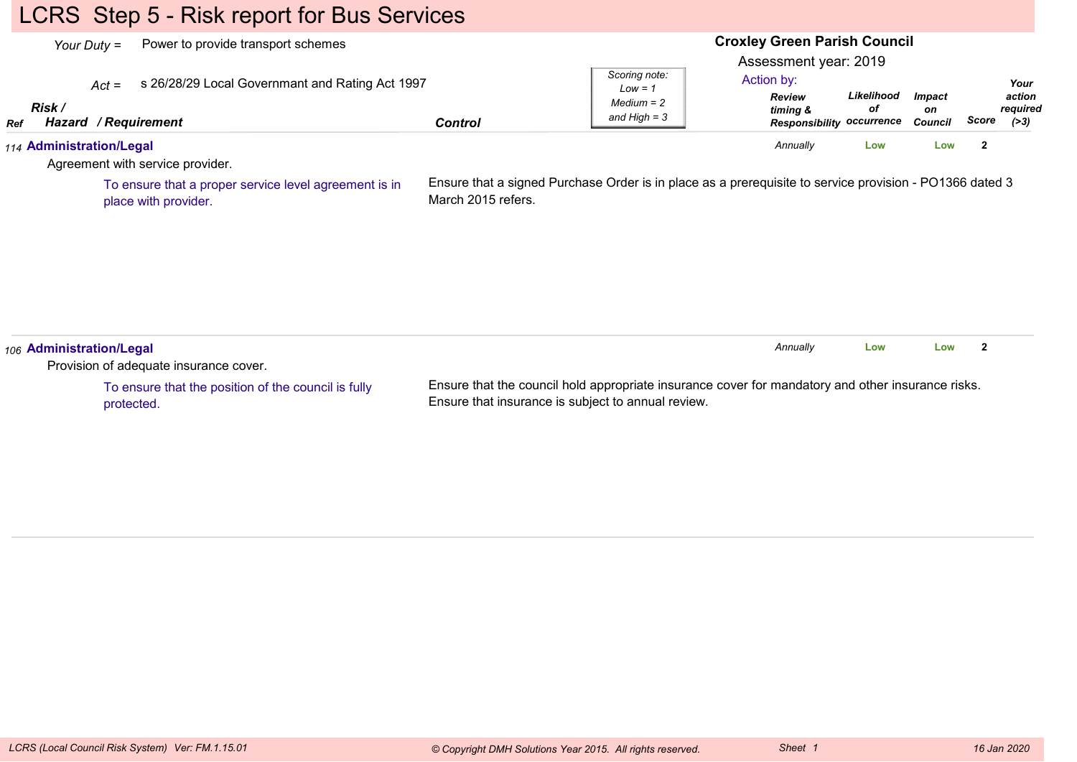# LCRS Step 5 - Risk report for Bus Services

|                      | Power to provide transport schemes<br>Your Duty $=$                                | <b>Croxley Green Parish Council</b><br>Assessment year: 2019 |                                                                                                         |                                                                      |                  |                                       |              |                                     |  |
|----------------------|------------------------------------------------------------------------------------|--------------------------------------------------------------|---------------------------------------------------------------------------------------------------------|----------------------------------------------------------------------|------------------|---------------------------------------|--------------|-------------------------------------|--|
| Risk /<br><b>Ref</b> | s 26/28/29 Local Governmant and Rating Act 1997<br>$Act =$<br>Hazard / Requirement | <b>Control</b>                                               | Scoring note:<br>$Low = 1$<br>$Median = 2$<br>and $High = 3$                                            | Action by:<br>Review<br>timing &<br><b>Responsibility occurrence</b> | Likelihood<br>оf | <b>Impact</b><br>on<br><b>Council</b> | Score        | Your<br>action<br>required<br>( >3) |  |
|                      | 114 Administration/Legal<br>Agreement with service provider.                       |                                                              |                                                                                                         | Annually                                                             | Low              | Low                                   | $\mathbf{2}$ |                                     |  |
|                      | To ensure that a proper service level agreement is in<br>place with provider.      | March 2015 refers.                                           | Ensure that a signed Purchase Order is in place as a prerequisite to service provision - PO1366 dated 3 |                                                                      |                  |                                       |              |                                     |  |
|                      |                                                                                    |                                                              |                                                                                                         |                                                                      |                  |                                       |              |                                     |  |

To ensure that the position of the council is fullyprotected.

Ensure that the council hold appropriate insurance cover for mandatory and other insurance risks.Ensure that insurance is subject to annual review.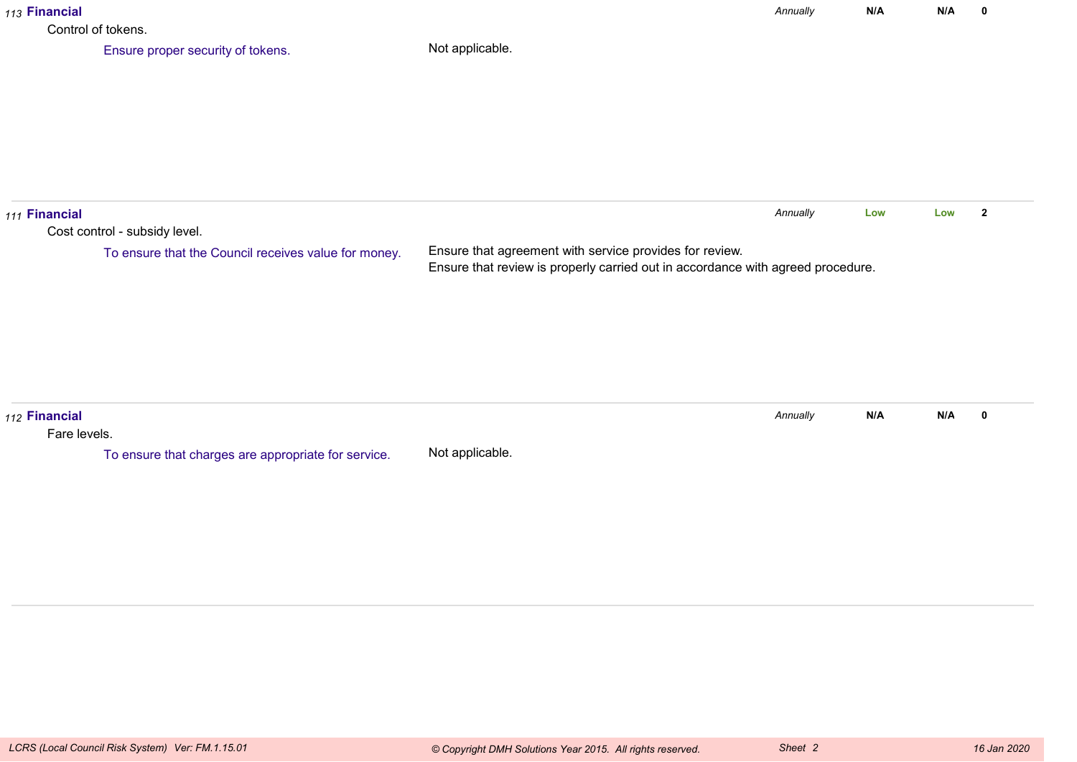| 113 Financial                 | Control of tokens.                                                                    |                                                                                                                                            | Annually | N/A | N/A | $\mathbf 0$    |
|-------------------------------|---------------------------------------------------------------------------------------|--------------------------------------------------------------------------------------------------------------------------------------------|----------|-----|-----|----------------|
|                               | Ensure proper security of tokens.                                                     | Not applicable.                                                                                                                            |          |     |     |                |
| 111 Financial                 | Cost control - subsidy level.<br>To ensure that the Council receives value for money. | Ensure that agreement with service provides for review.<br>Ensure that review is properly carried out in accordance with agreed procedure. | Annually | Low | Low | $\overline{2}$ |
| 112 Financial<br>Fare levels. | To ensure that charges are appropriate for service.                                   | Not applicable.                                                                                                                            | Annually | N/A | N/A | $\mathbf 0$    |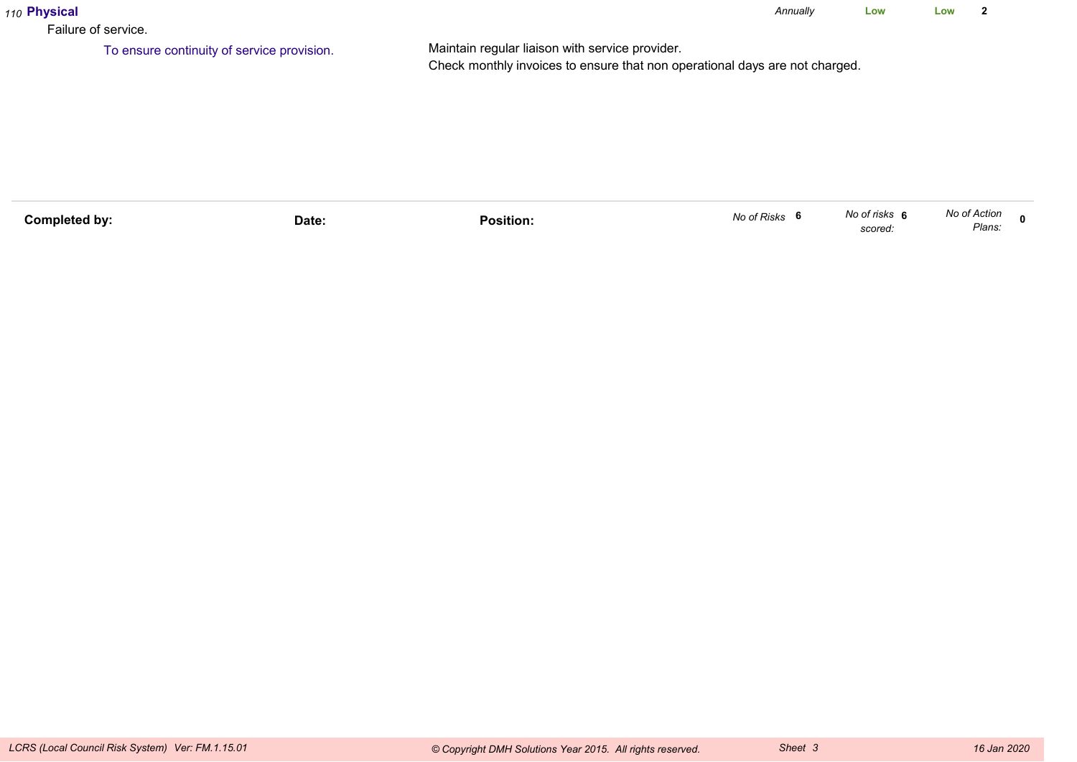| 110 Physical<br>Failure of service. |                                            |                                                                                                                                | Annually | Low | Low |  |
|-------------------------------------|--------------------------------------------|--------------------------------------------------------------------------------------------------------------------------------|----------|-----|-----|--|
|                                     | To ensure continuity of service provision. | Maintain regular liaison with service provider.<br>Check monthly invoices to ensure that non operational days are not charged. |          |     |     |  |

| Completed by: | Date: | .<br>Position: | No of Risks | No of risks<br>scored. | No of Action<br>Plans: |  |
|---------------|-------|----------------|-------------|------------------------|------------------------|--|
|               |       |                |             |                        |                        |  |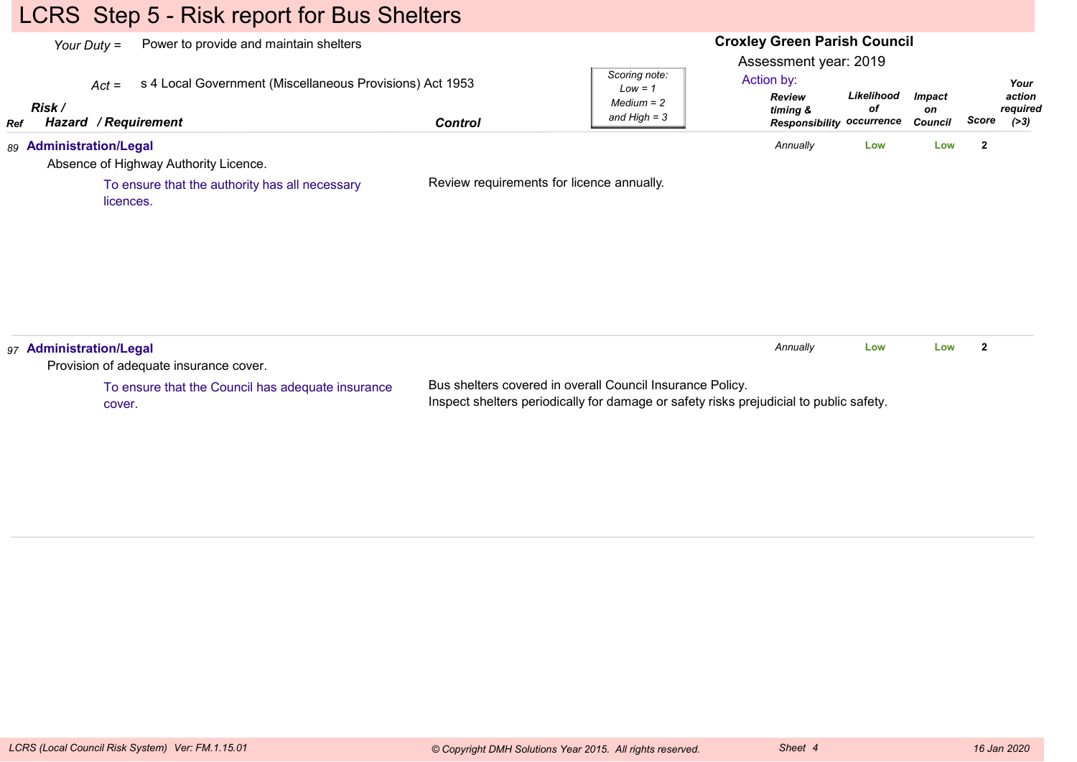# LCRS Step 5 - Risk report for Bus Shelters

| <b>Responsibility occurrence</b><br>Annually<br>$\overline{2}$<br>89 Administration/Legal<br>Low<br>Low<br>Absence of Highway Authority Licence.<br>Review requirements for licence annually.<br>To ensure that the authority has all necessary<br>licences.<br>Annually<br>$\mathbf{2}$<br>Low<br>Low | Ref | Risk / | Power to provide and maintain shelters<br>Your Duty $=$<br>s 4 Local Government (Miscellaneous Provisions) Act 1953<br>$Act =$<br>Hazard / Requirement | <b>Control</b> | Scoring note:<br>$Low = 1$<br>$Median = 2$<br>and $High = 3$ | <b>Croxley Green Parish Council</b><br>Assessment year: 2019<br>Action by:<br>Review<br>timing & | Likelihood<br>оf | <b>Impact</b><br>on<br><b>Council</b> | Score | Your<br>action<br>required<br>( > 3) |
|--------------------------------------------------------------------------------------------------------------------------------------------------------------------------------------------------------------------------------------------------------------------------------------------------------|-----|--------|--------------------------------------------------------------------------------------------------------------------------------------------------------|----------------|--------------------------------------------------------------|--------------------------------------------------------------------------------------------------|------------------|---------------------------------------|-------|--------------------------------------|
| 97 Administration/Legal                                                                                                                                                                                                                                                                                |     |        |                                                                                                                                                        |                |                                                              |                                                                                                  |                  |                                       |       |                                      |
|                                                                                                                                                                                                                                                                                                        |     |        |                                                                                                                                                        |                |                                                              |                                                                                                  |                  |                                       |       |                                      |
|                                                                                                                                                                                                                                                                                                        |     |        |                                                                                                                                                        |                |                                                              |                                                                                                  |                  |                                       |       |                                      |
| Provision of adequate insurance cover.                                                                                                                                                                                                                                                                 |     |        |                                                                                                                                                        |                |                                                              |                                                                                                  |                  |                                       |       |                                      |

To ensure that the Council has adequate insurancecover.

Bus shelters covered in overall Council Insurance Policy.Inspect shelters periodically for damage or safety risks prejudicial to public safety.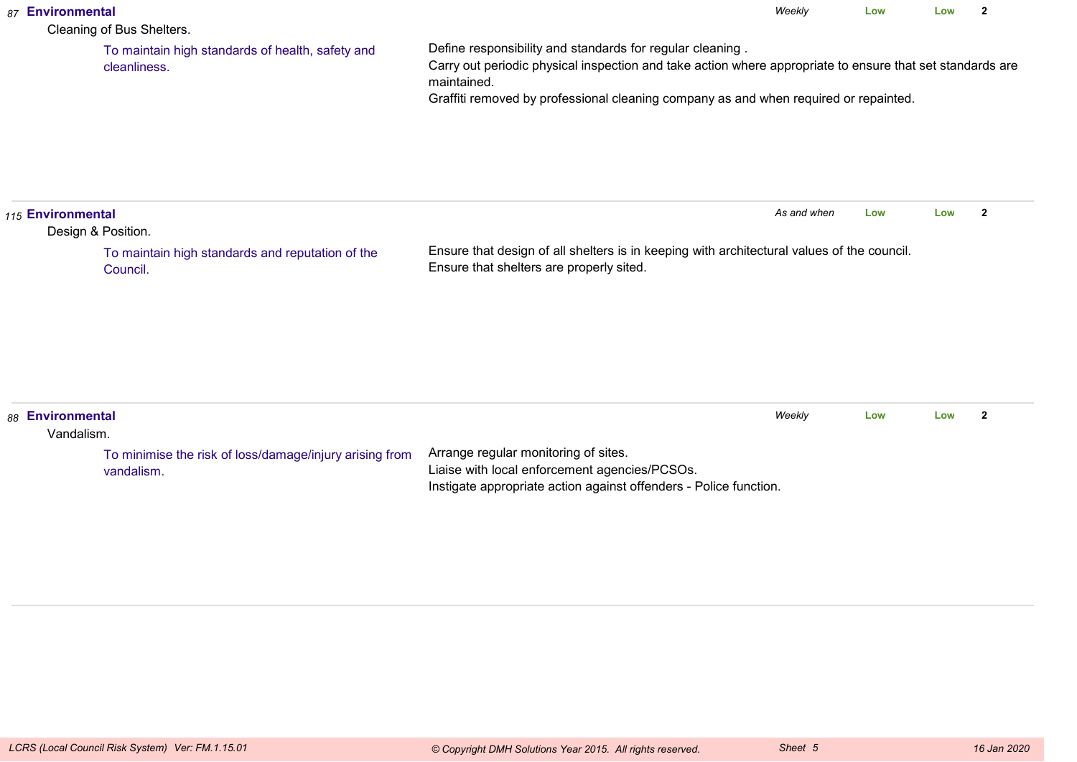| 87 Environmental               | Cleaning of Bus Shelters.                                             |                                                                                                                                                                                                                                                                               | Weekly      | Low | Low | $\overline{2}$ |
|--------------------------------|-----------------------------------------------------------------------|-------------------------------------------------------------------------------------------------------------------------------------------------------------------------------------------------------------------------------------------------------------------------------|-------------|-----|-----|----------------|
|                                | To maintain high standards of health, safety and<br>cleanliness.      | Define responsibility and standards for regular cleaning.<br>Carry out periodic physical inspection and take action where appropriate to ensure that set standards are<br>maintained.<br>Graffiti removed by professional cleaning company as and when required or repainted. |             |     |     |                |
| 115 Environmental              | Design & Position.                                                    |                                                                                                                                                                                                                                                                               | As and when | Low | Low | $\overline{2}$ |
|                                | To maintain high standards and reputation of the<br>Council.          | Ensure that design of all shelters is in keeping with architectural values of the council.<br>Ensure that shelters are properly sited.                                                                                                                                        |             |     |     |                |
| 88 Environmental<br>Vandalism. |                                                                       |                                                                                                                                                                                                                                                                               | Weekly      | Low | Low | $\overline{2}$ |
|                                | To minimise the risk of loss/damage/injury arising from<br>vandalism. | Arrange regular monitoring of sites.<br>Liaise with local enforcement agencies/PCSOs.<br>Instigate appropriate action against offenders - Police function.                                                                                                                    |             |     |     |                |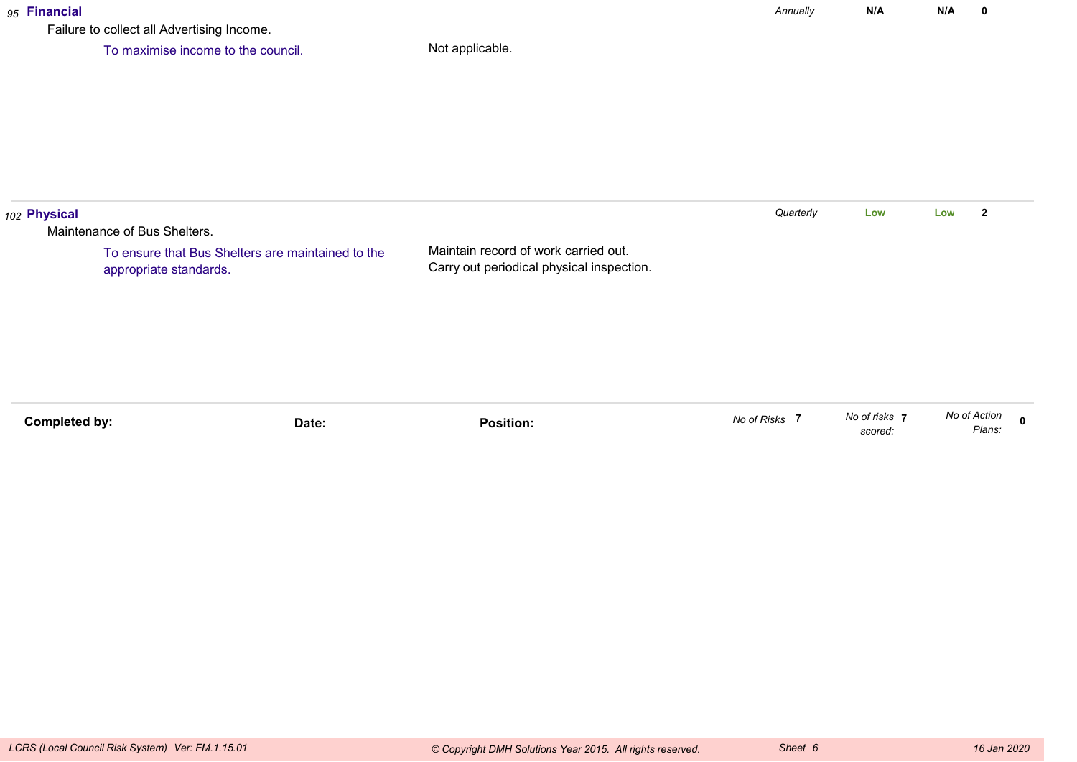### *95* **Financial**

Failure to collect all Advertising Income.

To maximise income to the council.

| 102 Physical |                                                                             |                                                                                   | Quarterly | Low | Low | $\overline{2}$ |
|--------------|-----------------------------------------------------------------------------|-----------------------------------------------------------------------------------|-----------|-----|-----|----------------|
|              | Maintenance of Bus Shelters.                                                |                                                                                   |           |     |     |                |
|              | To ensure that Bus Shelters are maintained to the<br>appropriate standards. | Maintain record of work carried out.<br>Carry out periodical physical inspection. |           |     |     |                |
|              |                                                                             |                                                                                   |           |     |     |                |
|              |                                                                             |                                                                                   |           |     |     |                |

| No of Action | Plans.                 |
|--------------|------------------------|
|              | No of risks<br>scored. |

*Annually*

**N/A**

**N/A <sup>0</sup>**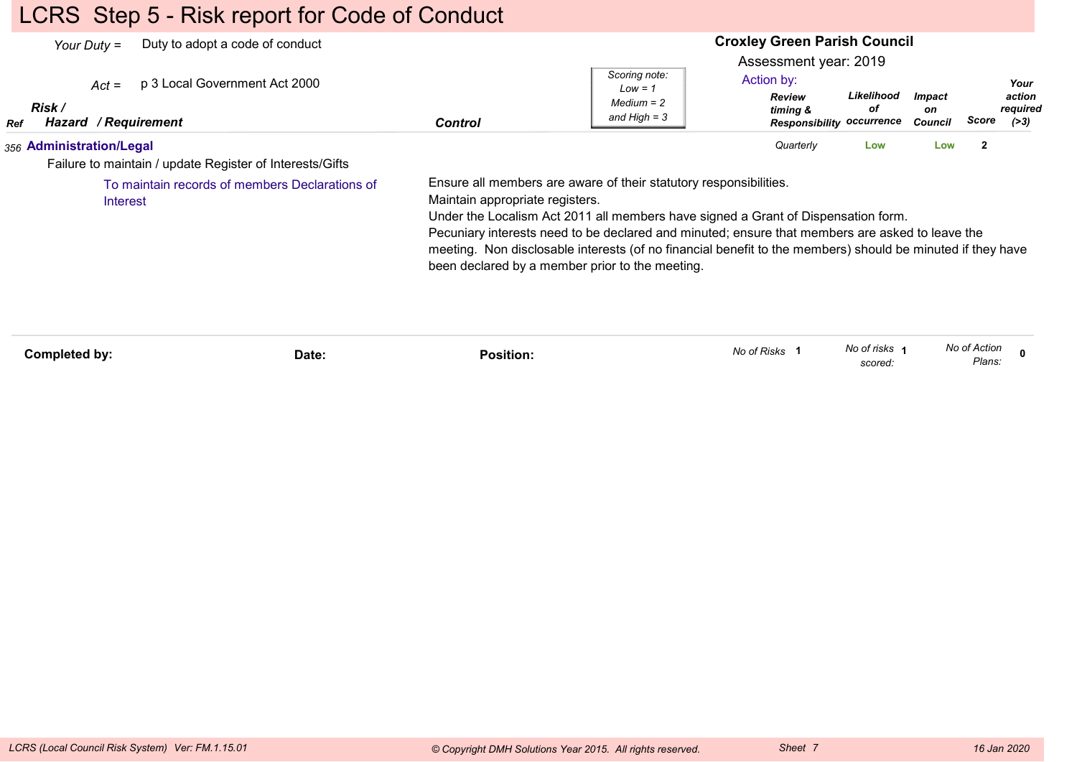# LCRS Step 5 - Risk report for Code of Conduct

|            | Duty to adopt a code of conduct<br>Your Duty $=$<br>p 3 Local Government Act 2000<br>$Act =$<br>Risk / |       |                                 | Scoring note:<br>$Low = 1$<br>$Median = 2$                                                                                                                                                                                                                                                                                                                                                                                 | <b>Croxley Green Parish Council</b><br>Assessment year: 2019<br>Action by:<br><b>Review</b><br>timing & | Likelihood<br>οf         | <b>Impact</b><br>on |                        | Your<br>action<br>required |
|------------|--------------------------------------------------------------------------------------------------------|-------|---------------------------------|----------------------------------------------------------------------------------------------------------------------------------------------------------------------------------------------------------------------------------------------------------------------------------------------------------------------------------------------------------------------------------------------------------------------------|---------------------------------------------------------------------------------------------------------|--------------------------|---------------------|------------------------|----------------------------|
| <b>Ref</b> | Hazard / Requirement                                                                                   |       | <b>Control</b>                  | and High $=$ 3                                                                                                                                                                                                                                                                                                                                                                                                             | <b>Responsibility occurrence</b>                                                                        |                          | <b>Council</b>      | Score                  | ( > 3)                     |
|            | 356 Administration/Legal<br>Failure to maintain / update Register of Interests/Gifts                   |       |                                 |                                                                                                                                                                                                                                                                                                                                                                                                                            | Quarterly                                                                                               | Low                      | Low                 | $\overline{2}$         |                            |
|            | To maintain records of members Declarations of<br>Interest                                             |       | Maintain appropriate registers. | Ensure all members are aware of their statutory responsibilities.<br>Under the Localism Act 2011 all members have signed a Grant of Dispensation form.<br>Pecuniary interests need to be declared and minuted; ensure that members are asked to leave the<br>meeting. Non disclosable interests (of no financial benefit to the members) should be minuted if they have<br>been declared by a member prior to the meeting. |                                                                                                         |                          |                     |                        |                            |
|            | Completed by:                                                                                          | Date: | <b>Position:</b>                |                                                                                                                                                                                                                                                                                                                                                                                                                            | No of Risks 1                                                                                           | No of risks 1<br>scored: |                     | No of Action<br>Plans: |                            |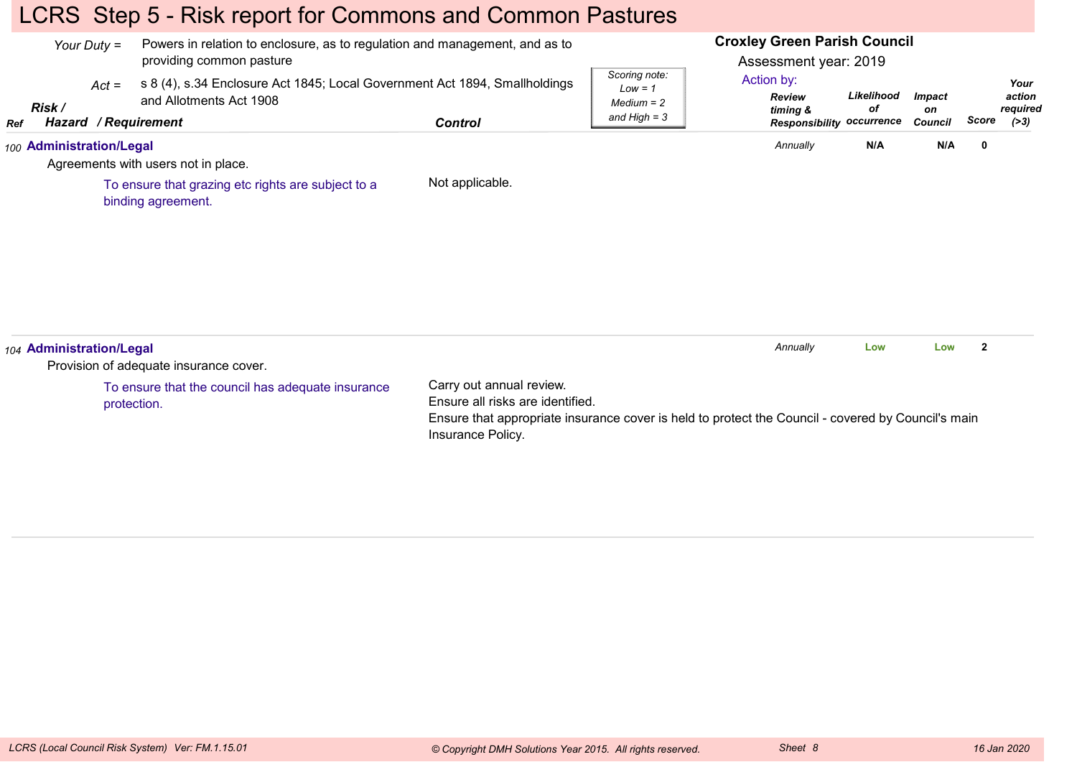# LCRS Step 5 - Risk report for Commons and Common Pastures

|            | Your Duty $=$            | Powers in relation to enclosure, as to regulation and management, and as to<br>providing common pasture                              |                                                                                                                                                                                         |                                                              | <b>Croxley Green Parish Council</b><br>Assessment year: 2019                |                  |                                       |                         |                                      |
|------------|--------------------------|--------------------------------------------------------------------------------------------------------------------------------------|-----------------------------------------------------------------------------------------------------------------------------------------------------------------------------------------|--------------------------------------------------------------|-----------------------------------------------------------------------------|------------------|---------------------------------------|-------------------------|--------------------------------------|
| <b>Ref</b> | $Act =$<br>Risk /        | s 8 (4), s.34 Enclosure Act 1845; Local Government Act 1894, Smallholdings<br>and Allotments Act 1908<br><b>Hazard / Requirement</b> | <b>Control</b>                                                                                                                                                                          | Scoring note:<br>$Low = 1$<br>$Median = 2$<br>and High $=$ 3 | Action by:<br><b>Review</b><br>timing &<br><b>Responsibility occurrence</b> | Likelihood<br>оf | <b>Impact</b><br>on<br><b>Council</b> | Score                   | Your<br>action<br>required<br>( > 3) |
|            | 100 Administration/Legal | Agreements with users not in place.                                                                                                  |                                                                                                                                                                                         |                                                              | Annually                                                                    | N/A              | N/A                                   | $\mathbf 0$             |                                      |
|            |                          | To ensure that grazing etc rights are subject to a<br>binding agreement.                                                             | Not applicable.                                                                                                                                                                         |                                                              |                                                                             |                  |                                       |                         |                                      |
|            | 104 Administration/Legal | Provision of adequate insurance cover.                                                                                               |                                                                                                                                                                                         |                                                              | Annually                                                                    | Low              | Low                                   | $\overline{\mathbf{2}}$ |                                      |
|            |                          | To ensure that the council has adequate insurance<br>protection.                                                                     | Carry out annual review.<br>Ensure all risks are identified.<br>Ensure that appropriate insurance cover is held to protect the Council - covered by Council's main<br>Insurance Policy. |                                                              |                                                                             |                  |                                       |                         |                                      |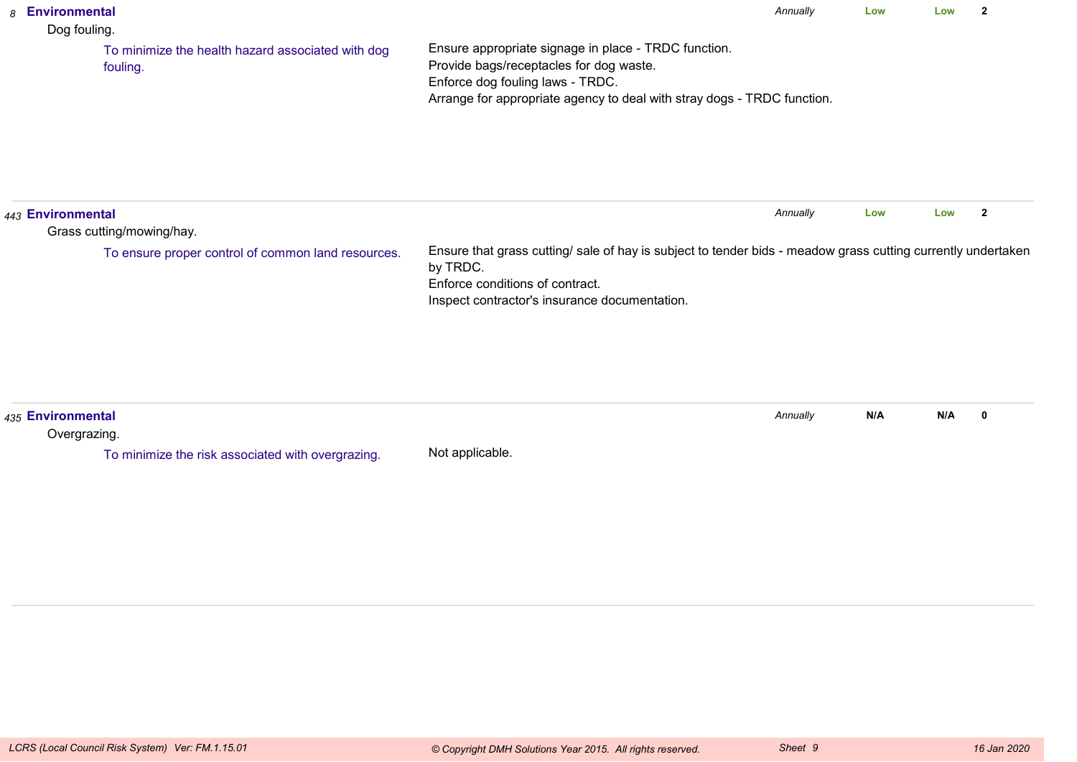| 8 | Environmental<br>Dog fouling.                                 |                                                                                                                                                                                                                | Annually | Low | Low | $\overline{\mathbf{2}}$ |
|---|---------------------------------------------------------------|----------------------------------------------------------------------------------------------------------------------------------------------------------------------------------------------------------------|----------|-----|-----|-------------------------|
|   | To minimize the health hazard associated with dog<br>fouling. | Ensure appropriate signage in place - TRDC function.<br>Provide bags/receptacles for dog waste.<br>Enforce dog fouling laws - TRDC.<br>Arrange for appropriate agency to deal with stray dogs - TRDC function. |          |     |     |                         |
|   | 443 Environmental<br>Grass cutting/mowing/hay.                |                                                                                                                                                                                                                | Annually | Low | Low | $\overline{2}$          |
|   | To ensure proper control of common land resources.            | Ensure that grass cutting/ sale of hay is subject to tender bids - meadow grass cutting currently undertaken<br>by TRDC.<br>Enforce conditions of contract.<br>Inspect contractor's insurance documentation.   |          |     |     |                         |
|   | 435 Environmental<br>Overgrazing.                             |                                                                                                                                                                                                                | Annually | N/A | N/A | $\mathbf 0$             |
|   | To minimize the risk associated with overgrazing.             | Not applicable.                                                                                                                                                                                                |          |     |     |                         |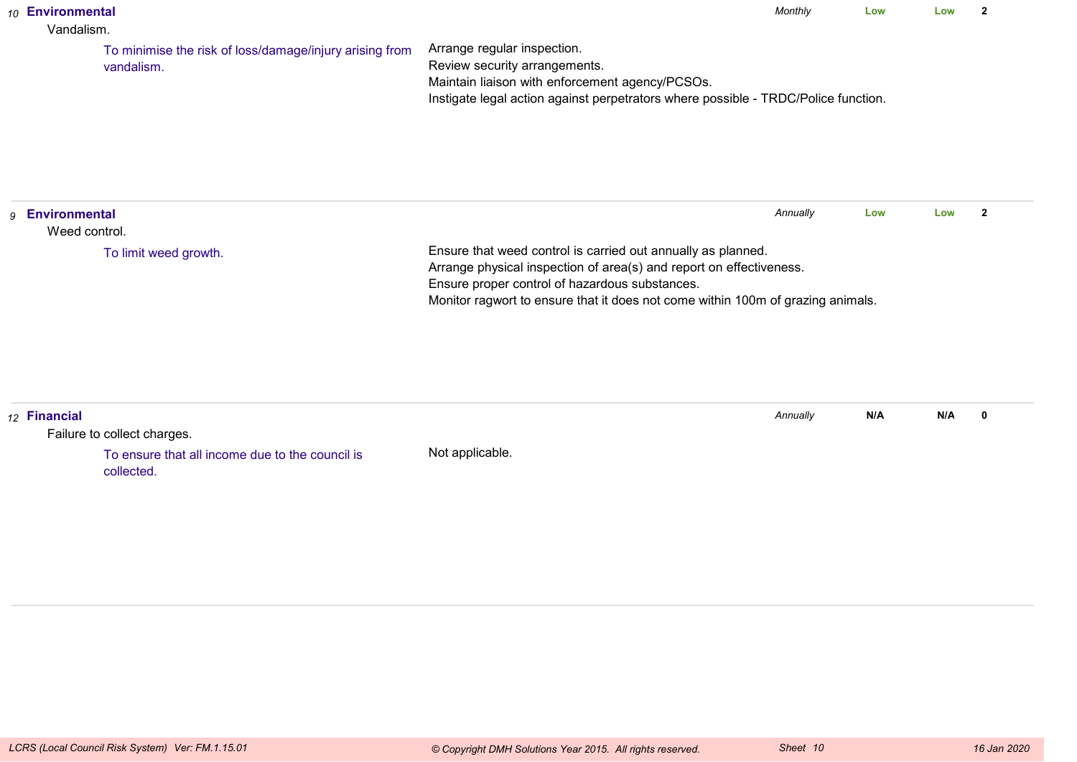| 10 Environmental<br>Vandalism.             |                                                                       |                                                                                                                                                                                                                                                                          | Monthly  | Low | Low | $\overline{2}$ |
|--------------------------------------------|-----------------------------------------------------------------------|--------------------------------------------------------------------------------------------------------------------------------------------------------------------------------------------------------------------------------------------------------------------------|----------|-----|-----|----------------|
|                                            | To minimise the risk of loss/damage/injury arising from<br>vandalism. | Arrange regular inspection.<br>Review security arrangements.<br>Maintain liaison with enforcement agency/PCSOs.<br>Instigate legal action against perpetrators where possible - TRDC/Police function.                                                                    |          |     |     |                |
| <b>Environmental</b><br>9<br>Weed control. |                                                                       |                                                                                                                                                                                                                                                                          | Annually | Low | Low | $\overline{2}$ |
|                                            | To limit weed growth.                                                 | Ensure that weed control is carried out annually as planned.<br>Arrange physical inspection of area(s) and report on effectiveness.<br>Ensure proper control of hazardous substances.<br>Monitor ragwort to ensure that it does not come within 100m of grazing animals. |          |     |     |                |
| 12 Financial                               | Failure to collect charges.                                           |                                                                                                                                                                                                                                                                          | Annually | N/A | N/A | $\mathbf 0$    |
|                                            | To ensure that all income due to the council is<br>collected.         | Not applicable.                                                                                                                                                                                                                                                          |          |     |     |                |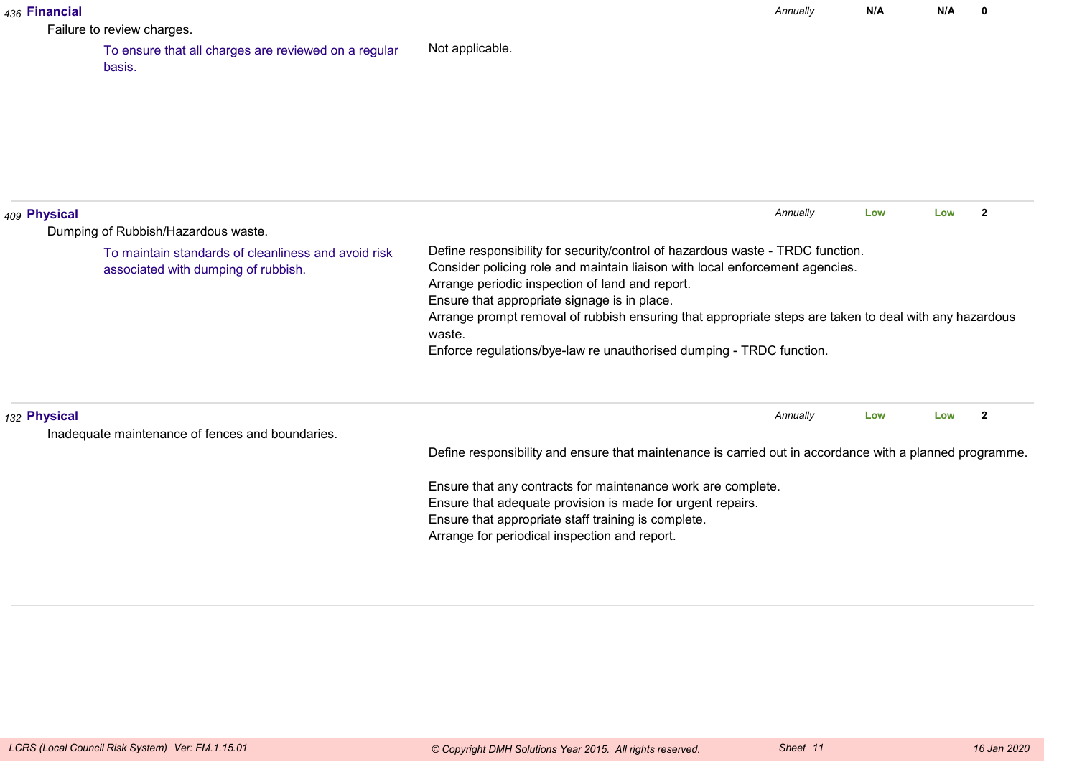| 436 Financial |                                                                                            |                                                                                                                                                                                                                                                                   | Annually | N/A | N/A | $\mathbf{0}$   |
|---------------|--------------------------------------------------------------------------------------------|-------------------------------------------------------------------------------------------------------------------------------------------------------------------------------------------------------------------------------------------------------------------|----------|-----|-----|----------------|
|               | Failure to review charges.                                                                 |                                                                                                                                                                                                                                                                   |          |     |     |                |
|               | To ensure that all charges are reviewed on a regular<br>basis.                             | Not applicable.                                                                                                                                                                                                                                                   |          |     |     |                |
|               |                                                                                            |                                                                                                                                                                                                                                                                   |          |     |     |                |
| 409 Physical  | Dumping of Rubbish/Hazardous waste.                                                        |                                                                                                                                                                                                                                                                   | Annually | Low | Low | $\overline{2}$ |
|               | To maintain standards of cleanliness and avoid risk<br>associated with dumping of rubbish. | Define responsibility for security/control of hazardous waste - TRDC function.<br>Consider policing role and maintain liaison with local enforcement agencies.<br>Arrange periodic inspection of land and report.<br>Ensure that appropriate signage is in place. |          |     |     |                |
|               |                                                                                            | Arrange prompt removal of rubbish ensuring that appropriate steps are taken to deal with any hazardous<br>waste.<br>Enforce regulations/bye-law re unauthorised dumping - TRDC function.                                                                          |          |     |     |                |
| 132 Physical  |                                                                                            |                                                                                                                                                                                                                                                                   | Annually | Low | Low | $\overline{2}$ |
|               | Inadequate maintenance of fences and boundaries.                                           | Define responsibility and ensure that maintenance is carried out in accordance with a planned programme.                                                                                                                                                          |          |     |     |                |
|               |                                                                                            | Ensure that any contracts for maintenance work are complete.                                                                                                                                                                                                      |          |     |     |                |
|               |                                                                                            | Ensure that adequate provision is made for urgent repairs.                                                                                                                                                                                                        |          |     |     |                |
|               |                                                                                            | Ensure that appropriate staff training is complete.                                                                                                                                                                                                               |          |     |     |                |
|               |                                                                                            | Arrange for periodical inspection and report.                                                                                                                                                                                                                     |          |     |     |                |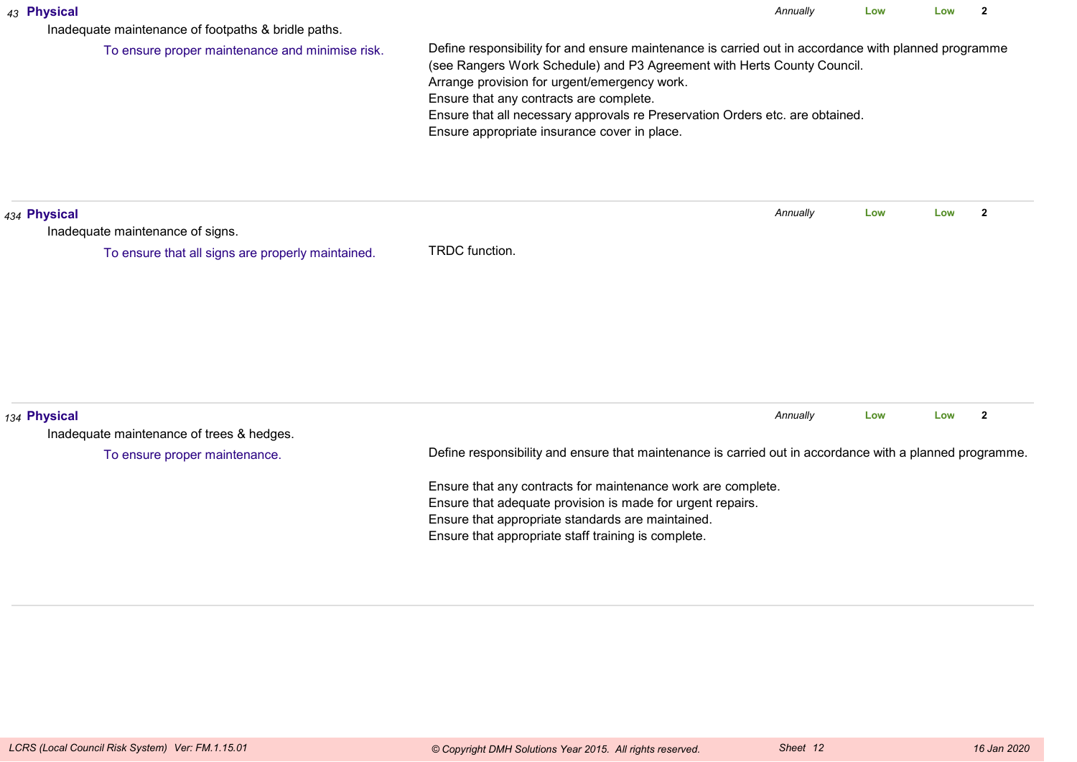| 43 Physical<br>Inadequate maintenance of footpaths & bridle paths. | Annually<br>Low<br>Low                                                                                                                                                                                                                                                                                                                                                                                      |          |     |     |                |  |  |  |  |  |
|--------------------------------------------------------------------|-------------------------------------------------------------------------------------------------------------------------------------------------------------------------------------------------------------------------------------------------------------------------------------------------------------------------------------------------------------------------------------------------------------|----------|-----|-----|----------------|--|--|--|--|--|
| To ensure proper maintenance and minimise risk.                    | Define responsibility for and ensure maintenance is carried out in accordance with planned programme<br>(see Rangers Work Schedule) and P3 Agreement with Herts County Council.<br>Arrange provision for urgent/emergency work.<br>Ensure that any contracts are complete.<br>Ensure that all necessary approvals re Preservation Orders etc. are obtained.<br>Ensure appropriate insurance cover in place. |          |     |     |                |  |  |  |  |  |
| 434 Physical<br>Inadequate maintenance of signs.                   |                                                                                                                                                                                                                                                                                                                                                                                                             | Annually | Low | Low | $\overline{2}$ |  |  |  |  |  |
| To ensure that all signs are properly maintained.                  | TRDC function.                                                                                                                                                                                                                                                                                                                                                                                              |          |     |     |                |  |  |  |  |  |
| 134 Physical<br>Inadequate maintenance of trees & hedges.          |                                                                                                                                                                                                                                                                                                                                                                                                             | Annually | Low | Low | $\overline{2}$ |  |  |  |  |  |
| To ensure proper maintenance.                                      | Define responsibility and ensure that maintenance is carried out in accordance with a planned programme.                                                                                                                                                                                                                                                                                                    |          |     |     |                |  |  |  |  |  |
|                                                                    | Ensure that any contracts for maintenance work are complete.<br>Ensure that adequate provision is made for urgent repairs.<br>Ensure that appropriate standards are maintained.<br>Ensure that appropriate staff training is complete.                                                                                                                                                                      |          |     |     |                |  |  |  |  |  |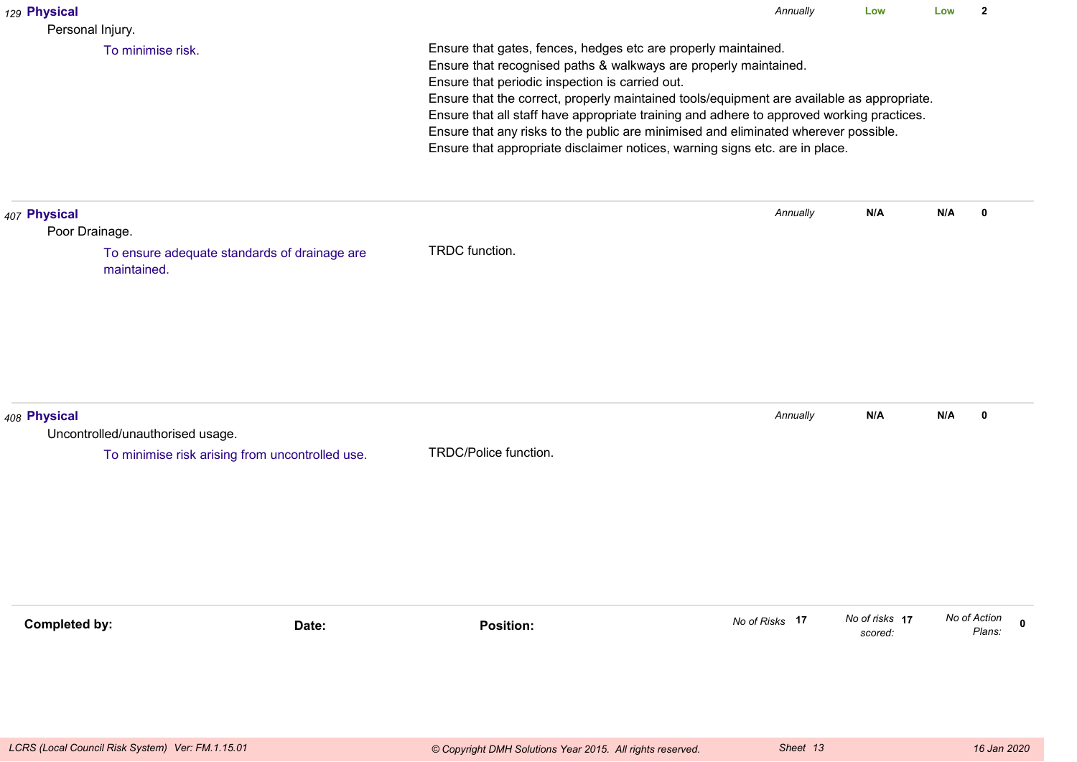| 129 Physical                                     |                                                 |                                                                                                                                                                                                                                                                                                                                                                                                                                                                                                                                                         | Annually       | Low                       | Low | $\overline{2}$                        |  |  |
|--------------------------------------------------|-------------------------------------------------|---------------------------------------------------------------------------------------------------------------------------------------------------------------------------------------------------------------------------------------------------------------------------------------------------------------------------------------------------------------------------------------------------------------------------------------------------------------------------------------------------------------------------------------------------------|----------------|---------------------------|-----|---------------------------------------|--|--|
| Personal Injury.<br>To minimise risk.            |                                                 | Ensure that gates, fences, hedges etc are properly maintained.<br>Ensure that recognised paths & walkways are properly maintained.<br>Ensure that periodic inspection is carried out.<br>Ensure that the correct, properly maintained tools/equipment are available as appropriate.<br>Ensure that all staff have appropriate training and adhere to approved working practices.<br>Ensure that any risks to the public are minimised and eliminated wherever possible.<br>Ensure that appropriate disclaimer notices, warning signs etc. are in place. |                |                           |     |                                       |  |  |
| 407 Physical<br>Poor Drainage.<br>maintained.    | To ensure adequate standards of drainage are    | TRDC function.                                                                                                                                                                                                                                                                                                                                                                                                                                                                                                                                          | Annually       | N/A                       | N/A | 0                                     |  |  |
| 408 Physical<br>Uncontrolled/unauthorised usage. | To minimise risk arising from uncontrolled use. | TRDC/Police function.                                                                                                                                                                                                                                                                                                                                                                                                                                                                                                                                   | Annually       | N/A                       | N/A | $\mathbf 0$                           |  |  |
| <b>Completed by:</b>                             | Date:                                           | <b>Position:</b>                                                                                                                                                                                                                                                                                                                                                                                                                                                                                                                                        | No of Risks 17 | No of risks 17<br>scored: |     | No of Action<br>$\mathbf 0$<br>Plans: |  |  |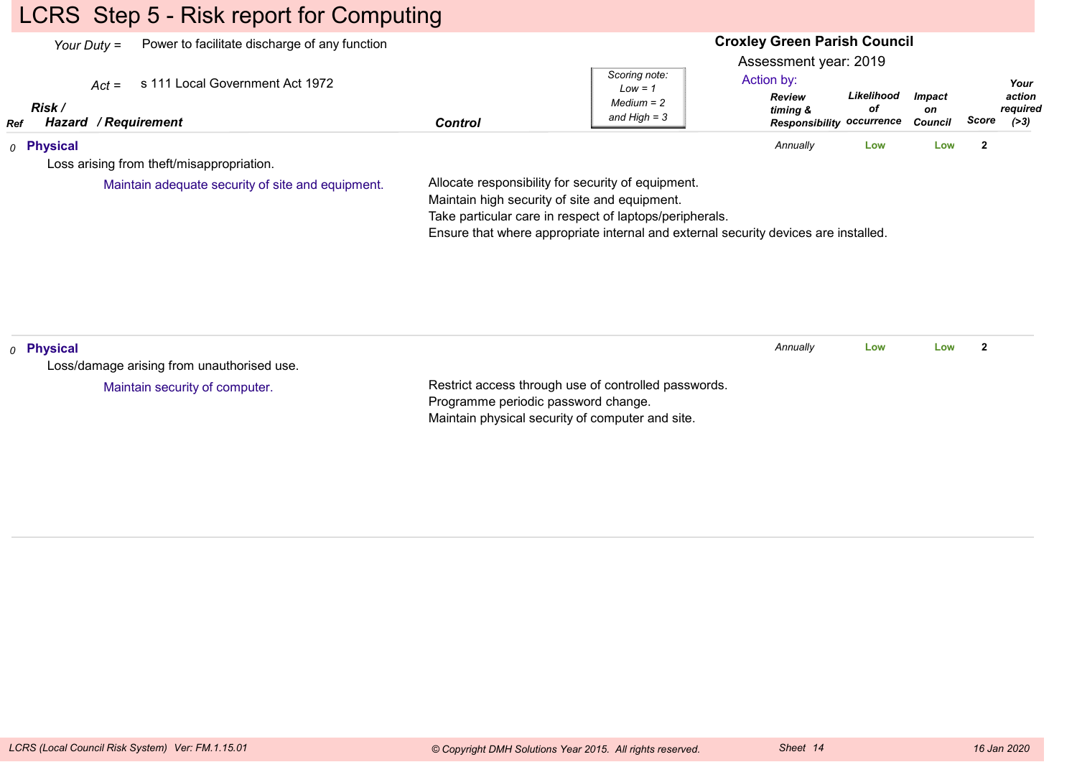# LCRS Step 5 - Risk report for Computing

|                       | Power to facilitate discharge of any function<br>Your Duty $=$     |                                                                                                                                                                                                                                                       |                                                              | <b>Croxley Green Parish Council</b><br>Assessment year: 2019                |                  |                                |                                               |
|-----------------------|--------------------------------------------------------------------|-------------------------------------------------------------------------------------------------------------------------------------------------------------------------------------------------------------------------------------------------------|--------------------------------------------------------------|-----------------------------------------------------------------------------|------------------|--------------------------------|-----------------------------------------------|
| Risk /<br>Ref         | s 111 Local Government Act 1972<br>$Act =$<br>Hazard / Requirement | <b>Control</b>                                                                                                                                                                                                                                        | Scoring note:<br>$Low = 1$<br>$Median = 2$<br>and High $=$ 3 | Action by:<br><b>Review</b><br>timing &<br><b>Responsibility occurrence</b> | Likelihood<br>оf | <b>Impact</b><br>on<br>Council | Your<br>action<br>required<br>Score<br>( > 3) |
| 0 Physical            |                                                                    |                                                                                                                                                                                                                                                       |                                                              | Annually                                                                    | Low              | Low                            | $\mathbf{2}$                                  |
|                       | Loss arising from theft/misappropriation.                          |                                                                                                                                                                                                                                                       |                                                              |                                                                             |                  |                                |                                               |
|                       | Maintain adequate security of site and equipment.                  | Allocate responsibility for security of equipment.<br>Maintain high security of site and equipment.<br>Take particular care in respect of laptops/peripherals.<br>Ensure that where appropriate internal and external security devices are installed. |                                                              |                                                                             |                  |                                |                                               |
| <sub>0</sub> Physical | Loss/damage arising from unauthorised use.                         |                                                                                                                                                                                                                                                       |                                                              | Annually                                                                    | Low              | Low                            | $\mathbf{2}$                                  |
|                       | Maintain security of computer.                                     | Restrict access through use of controlled passwords.<br>Programme periodic password change.<br>Maintain physical security of computer and site.                                                                                                       |                                                              |                                                                             |                  |                                |                                               |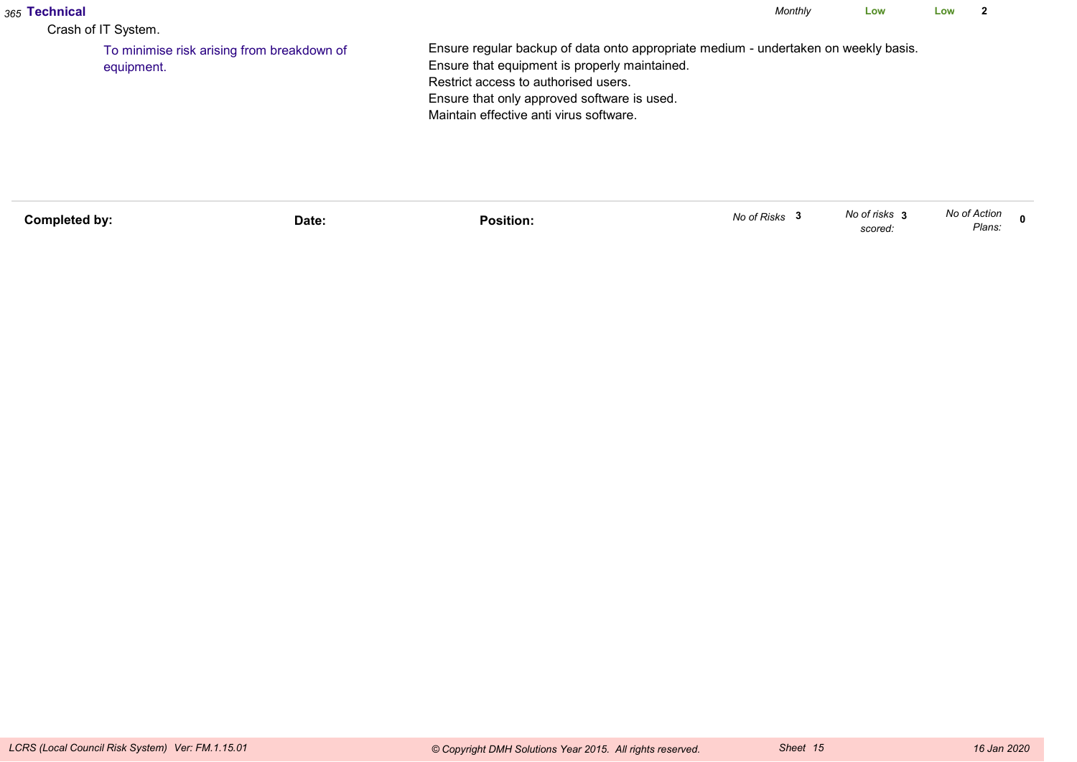| <sub>365</sub> Technical<br>Crash of IT System. |                                            |                                                                                                                                                                                                                                                                        | Monthly | Low | Low |  |
|-------------------------------------------------|--------------------------------------------|------------------------------------------------------------------------------------------------------------------------------------------------------------------------------------------------------------------------------------------------------------------------|---------|-----|-----|--|
| equipment.                                      | To minimise risk arising from breakdown of | Ensure regular backup of data onto appropriate medium - undertaken on weekly basis.<br>Ensure that equipment is properly maintained.<br>Restrict access to authorised users.<br>Ensure that only approved software is used.<br>Maintain effective anti virus software. |         |     |     |  |

| <b>Completed by:</b> | Date: | .<br>Position. | No of Risks | No of risks<br>scored. | No of Action<br>Plans: |  |
|----------------------|-------|----------------|-------------|------------------------|------------------------|--|
|                      |       |                |             |                        |                        |  |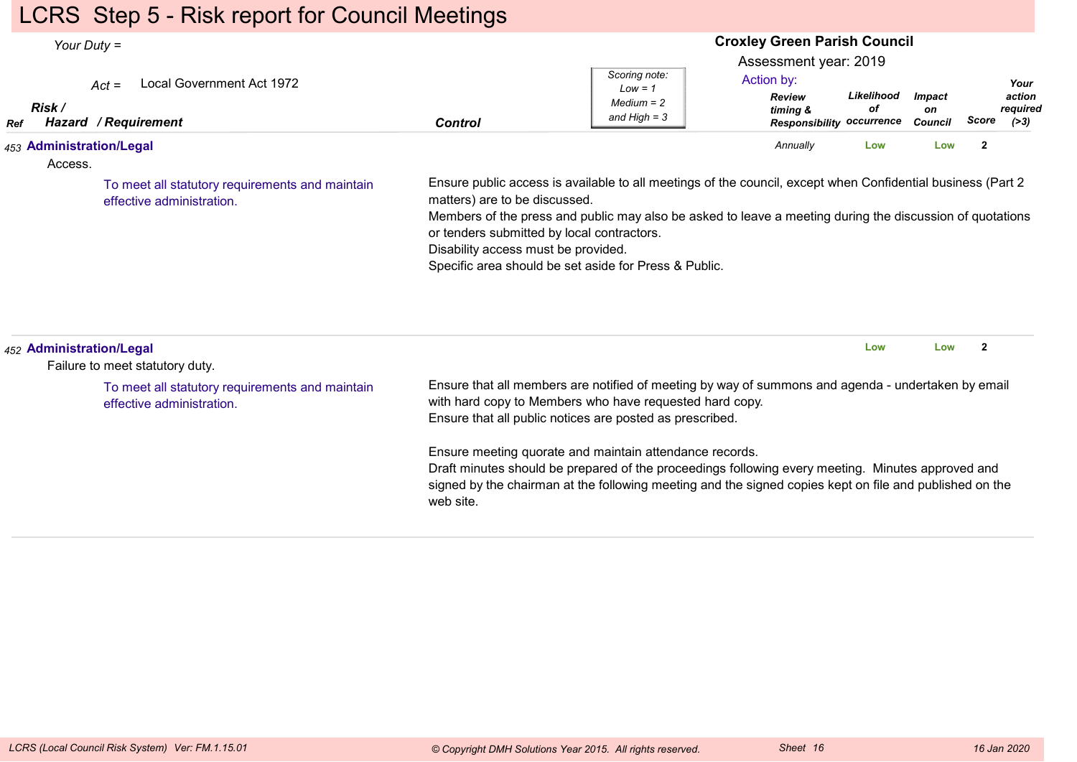# LCRS Step 5 - Risk report for Council Meetings

| Your Duty $=$                       |                                                                              | <b>Croxley Green Parish Council</b>                                                                                                                                                                                                                                                                                                                                                                     |                                                              |                                                                  |                  |                     |                         |                            |  |
|-------------------------------------|------------------------------------------------------------------------------|---------------------------------------------------------------------------------------------------------------------------------------------------------------------------------------------------------------------------------------------------------------------------------------------------------------------------------------------------------------------------------------------------------|--------------------------------------------------------------|------------------------------------------------------------------|------------------|---------------------|-------------------------|----------------------------|--|
| Risk /                              | Local Government Act 1972<br>$Act =$                                         |                                                                                                                                                                                                                                                                                                                                                                                                         | Scoring note:<br>$Low = 1$<br>$Median = 2$<br>and High $=$ 3 | Assessment year: 2019<br>Action by:<br><b>Review</b><br>timing & | Likelihood<br>оf | <b>Impact</b><br>on | <b>Score</b>            | Your<br>action<br>required |  |
| Ref                                 | Hazard / Requirement                                                         | <b>Control</b>                                                                                                                                                                                                                                                                                                                                                                                          |                                                              | <b>Responsibility</b>                                            | occurrence       | Council             |                         | ( >3)                      |  |
| 453 Administration/Legal<br>Access. |                                                                              |                                                                                                                                                                                                                                                                                                                                                                                                         |                                                              | Annually                                                         | Low              | Low                 | $\mathbf{2}$            |                            |  |
|                                     | To meet all statutory requirements and maintain<br>effective administration. | Ensure public access is available to all meetings of the council, except when Confidential business (Part 2)<br>matters) are to be discussed.<br>Members of the press and public may also be asked to leave a meeting during the discussion of quotations<br>or tenders submitted by local contractors.<br>Disability access must be provided.<br>Specific area should be set aside for Press & Public. |                                                              |                                                                  |                  |                     |                         |                            |  |
| 452 Administration/Legal            | Failure to meet statutory duty.                                              |                                                                                                                                                                                                                                                                                                                                                                                                         |                                                              |                                                                  | Low              | Low                 | $\overline{\mathbf{2}}$ |                            |  |
|                                     | To meet all statutory requirements and maintain<br>effective administration. | Ensure that all members are notified of meeting by way of summons and agenda - undertaken by email<br>with hard copy to Members who have requested hard copy.<br>Ensure that all public notices are posted as prescribed.                                                                                                                                                                               |                                                              |                                                                  |                  |                     |                         |                            |  |
|                                     |                                                                              | Ensure meeting quorate and maintain attendance records.<br>Draft minutes should be prepared of the proceedings following every meeting. Minutes approved and<br>signed by the chairman at the following meeting and the signed copies kept on file and published on the<br>web site.                                                                                                                    |                                                              |                                                                  |                  |                     |                         |                            |  |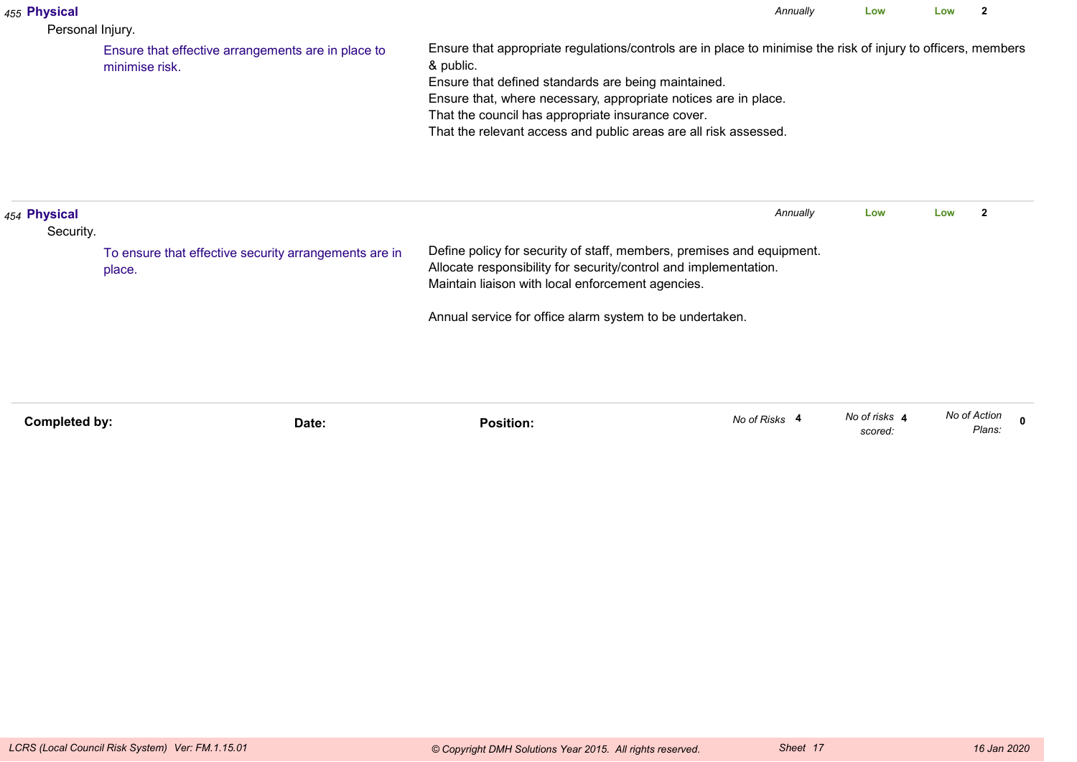| 455 Physical<br>Personal Injury. |                                                                      | Annually                                                                                                                                                                                                                                                                                                                                                                      | Low                      | Low          | 2                       |
|----------------------------------|----------------------------------------------------------------------|-------------------------------------------------------------------------------------------------------------------------------------------------------------------------------------------------------------------------------------------------------------------------------------------------------------------------------------------------------------------------------|--------------------------|--------------|-------------------------|
|                                  | Ensure that effective arrangements are in place to<br>minimise risk. | Ensure that appropriate regulations/controls are in place to minimise the risk of injury to officers, members<br>& public.<br>Ensure that defined standards are being maintained.<br>Ensure that, where necessary, appropriate notices are in place.<br>That the council has appropriate insurance cover.<br>That the relevant access and public areas are all risk assessed. |                          |              |                         |
| 454 Physical<br>Security.        |                                                                      | Annually                                                                                                                                                                                                                                                                                                                                                                      | Low                      | Low          | $\overline{\mathbf{2}}$ |
|                                  | To ensure that effective security arrangements are in<br>place.      | Define policy for security of staff, members, premises and equipment.<br>Allocate responsibility for security/control and implementation.<br>Maintain liaison with local enforcement agencies.                                                                                                                                                                                |                          |              |                         |
|                                  |                                                                      | Annual service for office alarm system to be undertaken.                                                                                                                                                                                                                                                                                                                      |                          |              |                         |
| Completed by:                    | Date:                                                                | No of Risks 4<br><b>Position:</b>                                                                                                                                                                                                                                                                                                                                             | No of risks 4<br>scored: | No of Action | $\Omega$<br>Plans:      |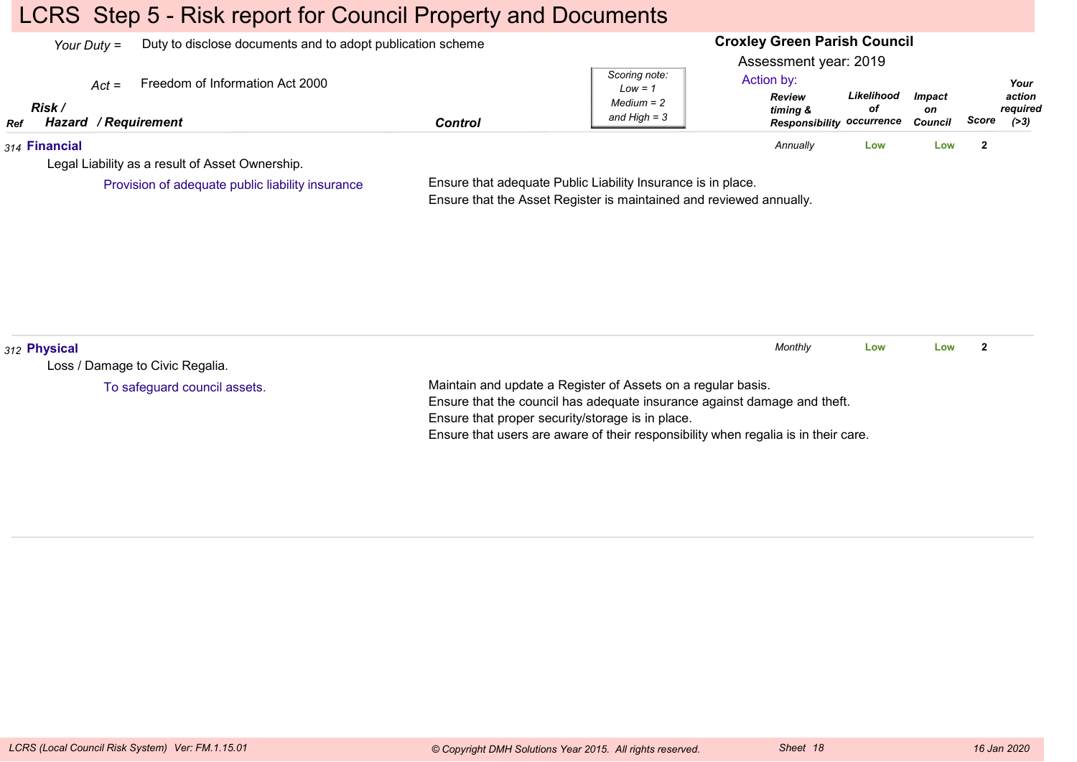# LCRS Step 5 - Risk report for Council Property and Documents

| Your Duty $=$ |                                |         | Duty to disclose documents and to adopt publication scheme |                |                                                              | <b>Croxley Green Parish Council</b>                                                                  |                  |                                       |       |                                      |  |
|---------------|--------------------------------|---------|------------------------------------------------------------|----------------|--------------------------------------------------------------|------------------------------------------------------------------------------------------------------|------------------|---------------------------------------|-------|--------------------------------------|--|
| Ref           | Risk /<br>Hazard / Requirement | $Act =$ | Freedom of Information Act 2000                            | <b>Control</b> | Scoring note:<br>$Low = 1$<br>$Median = 2$<br>and High $=$ 3 | Assessment year: 2019<br>Action by:<br><b>Review</b><br>timing &<br><b>Responsibility occurrence</b> | Likelihood<br>οf | <i><b>Impact</b></i><br>on<br>Council | Score | Your<br>action<br>reauired<br>( > 3) |  |
|               | 314 Financial                  |         |                                                            |                |                                                              | Annually                                                                                             | Low              | Low                                   |       |                                      |  |
|               |                                |         | Legal Liability as a result of Asset Ownership.            |                |                                                              |                                                                                                      |                  |                                       |       |                                      |  |
|               |                                |         | Provision of adequate public liability insurance           |                | Ensure that adequate Public Liability Insurance is in place. |                                                                                                      |                  |                                       |       |                                      |  |

Ensure that adequate Public Liability Insurance is in place. Ensure that the Asset Register is maintained and reviewed annually.

| 312 Physical                    |                                                                                    | Monthly | Low | Low |  |  |
|---------------------------------|------------------------------------------------------------------------------------|---------|-----|-----|--|--|
| Loss / Damage to Civic Regalia. |                                                                                    |         |     |     |  |  |
| To safeguard council assets.    | Maintain and update a Register of Assets on a regular basis.                       |         |     |     |  |  |
|                                 | Ensure that the council has adequate insurance against damage and theft.           |         |     |     |  |  |
|                                 | Ensure that proper security/storage is in place.                                   |         |     |     |  |  |
|                                 | Ensure that users are aware of their responsibility when regalia is in their care. |         |     |     |  |  |
|                                 |                                                                                    |         |     |     |  |  |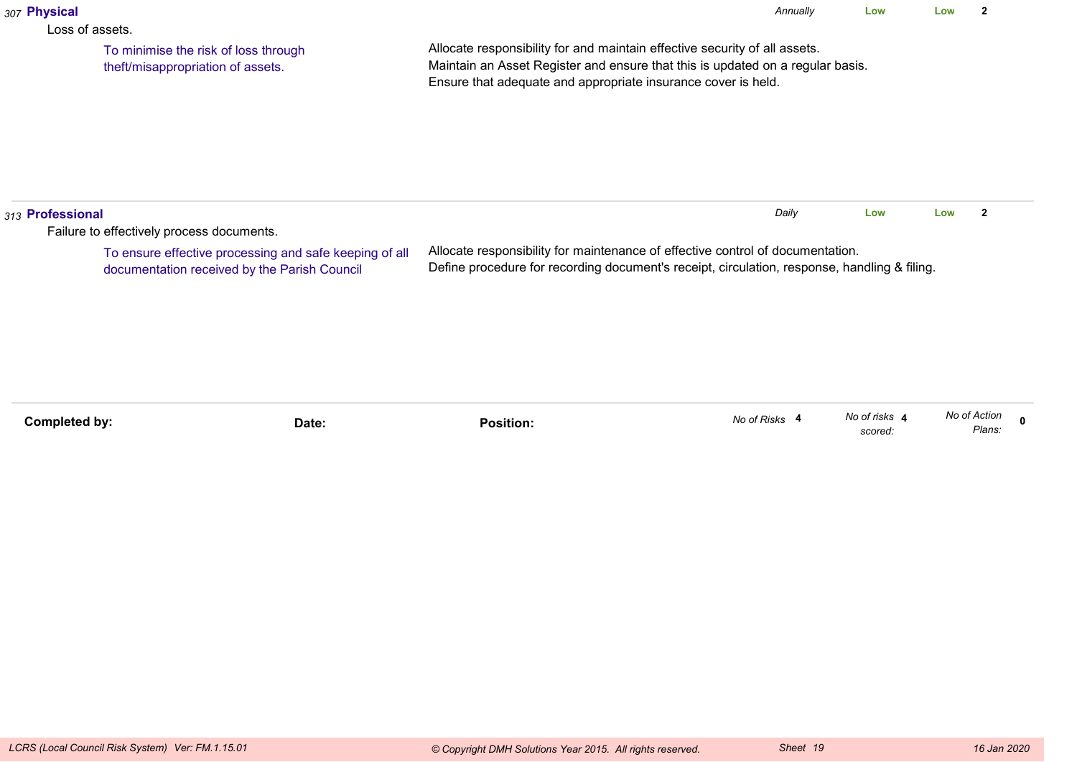| 307 Physical         |                                                                                                        |                                                                                                                                                                                                                               | Annually                                                                                                                                                                       | Low                      | Low          | $\mathbf{2}$ |              |  |  |
|----------------------|--------------------------------------------------------------------------------------------------------|-------------------------------------------------------------------------------------------------------------------------------------------------------------------------------------------------------------------------------|--------------------------------------------------------------------------------------------------------------------------------------------------------------------------------|--------------------------|--------------|--------------|--------------|--|--|
| Loss of assets.      | To minimise the risk of loss through<br>theft/misappropriation of assets.                              | Allocate responsibility for and maintain effective security of all assets.<br>Maintain an Asset Register and ensure that this is updated on a regular basis.<br>Ensure that adequate and appropriate insurance cover is held. |                                                                                                                                                                                |                          |              |              |              |  |  |
| 313 Professional     | Failure to effectively process documents.                                                              |                                                                                                                                                                                                                               | Daily                                                                                                                                                                          | Low                      | Low          | $\mathbf{2}$ |              |  |  |
|                      | To ensure effective processing and safe keeping of all<br>documentation received by the Parish Council |                                                                                                                                                                                                                               | Allocate responsibility for maintenance of effective control of documentation.<br>Define procedure for recording document's receipt, circulation, response, handling & filing. |                          |              |              |              |  |  |
|                      |                                                                                                        |                                                                                                                                                                                                                               |                                                                                                                                                                                |                          |              |              |              |  |  |
| <b>Completed by:</b> | Date:                                                                                                  | <b>Position:</b>                                                                                                                                                                                                              | No of Risks 4                                                                                                                                                                  | No of risks 4<br>scored: | No of Action | Plans:       | $\mathbf{0}$ |  |  |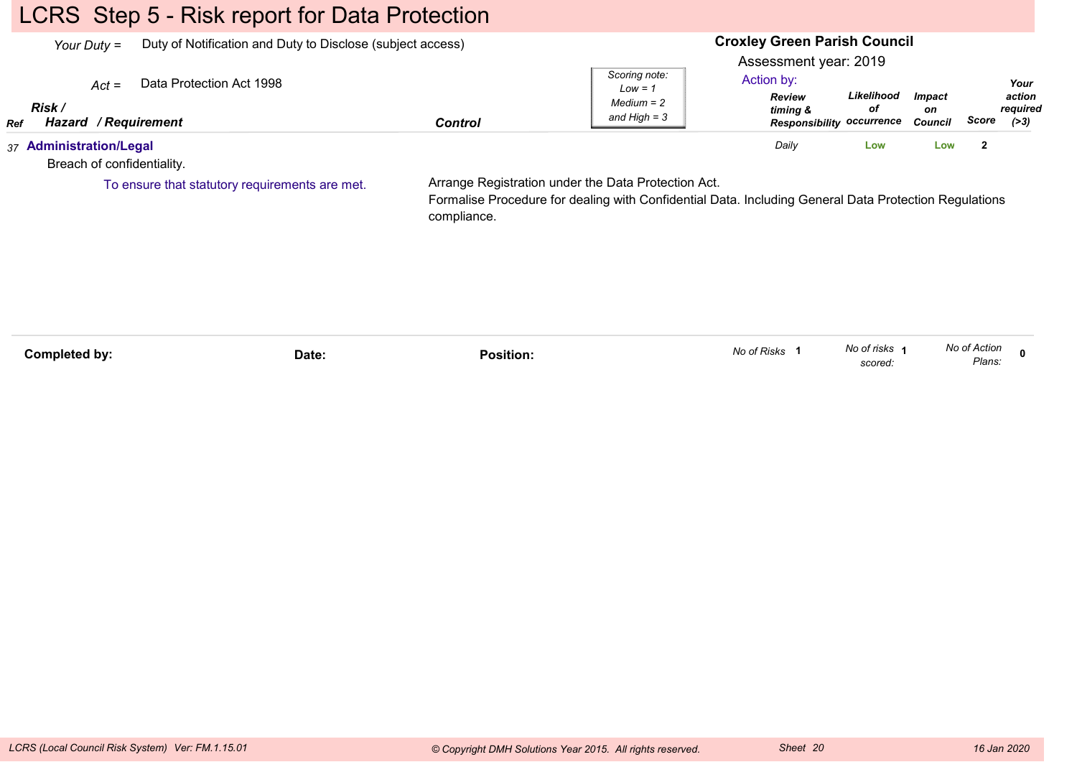# LCRS Step 5 - Risk report for Data Protection

| Your Duty $=$                                           | Duty of Notification and Duty to Disclose (subject access) |                | <b>Croxley Green Parish Council</b>                                                                                                                          |                                                                  |                                                      |                         |              |                                      |  |
|---------------------------------------------------------|------------------------------------------------------------|----------------|--------------------------------------------------------------------------------------------------------------------------------------------------------------|------------------------------------------------------------------|------------------------------------------------------|-------------------------|--------------|--------------------------------------|--|
| $Act =$<br>Risk /<br>Hazard / Requirement<br><b>Ref</b> | Data Protection Act 1998                                   | <b>Control</b> | Scoring note:<br>$Low = 1$<br>Medium = 2<br>and High $=$ 3                                                                                                   | Assessment year: 2019<br>Action by:<br><b>Review</b><br>timing & | Likelihood<br>οf<br><b>Responsibility occurrence</b> | Impact<br>on<br>Council | Score        | Your<br>action<br>required<br>( > 3) |  |
| 37 Administration/Legal<br>Breach of confidentiality.   |                                                            |                |                                                                                                                                                              | Daily                                                            | Low                                                  | Low                     | $\mathbf{2}$ |                                      |  |
|                                                         | To ensure that statutory requirements are met.             | compliance.    | Arrange Registration under the Data Protection Act.<br>Formalise Procedure for dealing with Confidential Data. Including General Data Protection Regulations |                                                                  |                                                      |                         |              |                                      |  |

| Completed by: | Date: | Position. | No of Risks | No of risks<br>scored: | No of Action<br>Plans: |  |
|---------------|-------|-----------|-------------|------------------------|------------------------|--|
|               |       |           |             |                        |                        |  |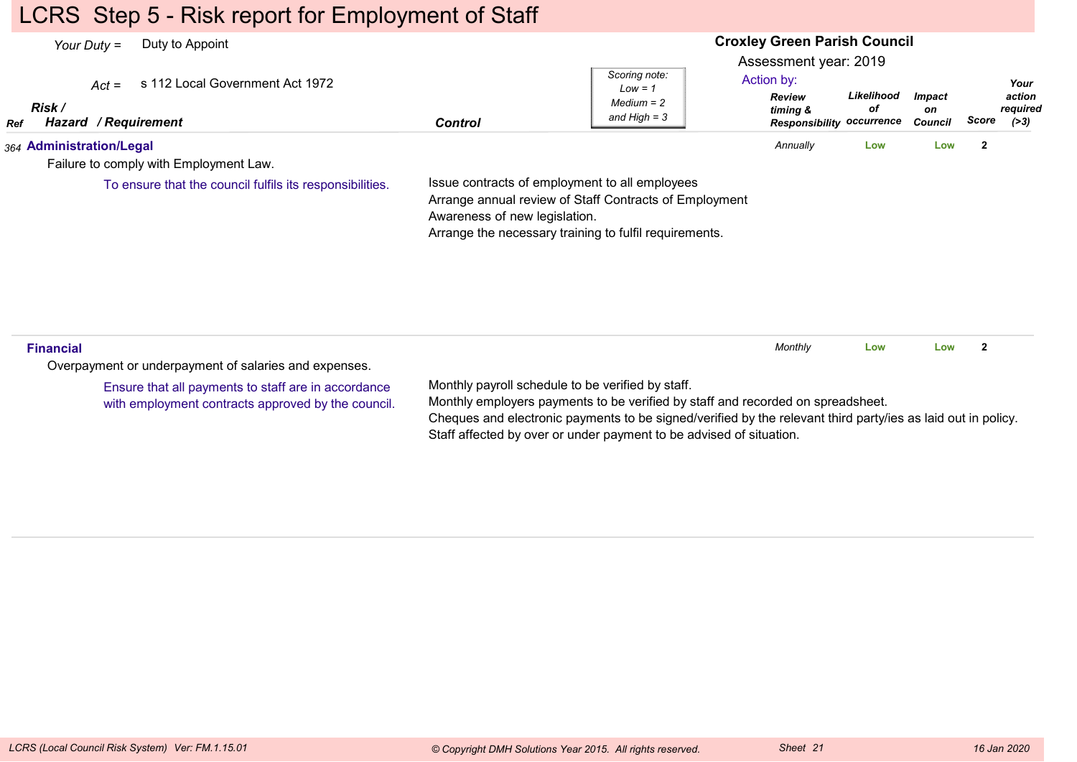## LCRS Step 5 - Risk report for Employment of Staff

#### **Croxley Green Parish Council**Assessment year: 2019*Your Duty =* Duty to Appoint *Act =* s 112 Local Government Act 1972 *RefRisk / Hazard Control / RequirementReview timing & ResponsibilityoccurrenceLikelihoodofImpacton Council ScoreScoring note:Low = 1 Medium = 2 and High = 3Your action required(>3)*Action by:*364* **Administration/Legal** Failure to comply with Employment Law.Issue contracts of employment to all employees Arrange annual review of Staff Contracts of Employment Awareness of new legislation. Arrange the necessary training to fulfil requirements. *Annually* **Low Low <sup>2</sup>** To ensure that the council fulfils its responsibilities.**Financial**Overpayment or underpayment of salaries and expenses.Monthly payroll schedule to be verified by staff.Monthly employers payments to be verified by staff and recorded on spreadsheet.Cheques and electronic payments to be signed/verified by the relevant third party/ies as laid out in policy.Staff affected by over or under payment to be advised of situation.*Monthly* **Low Low <sup>2</sup>** Ensure that all payments to staff are in accordancewith employment contracts approved by the council.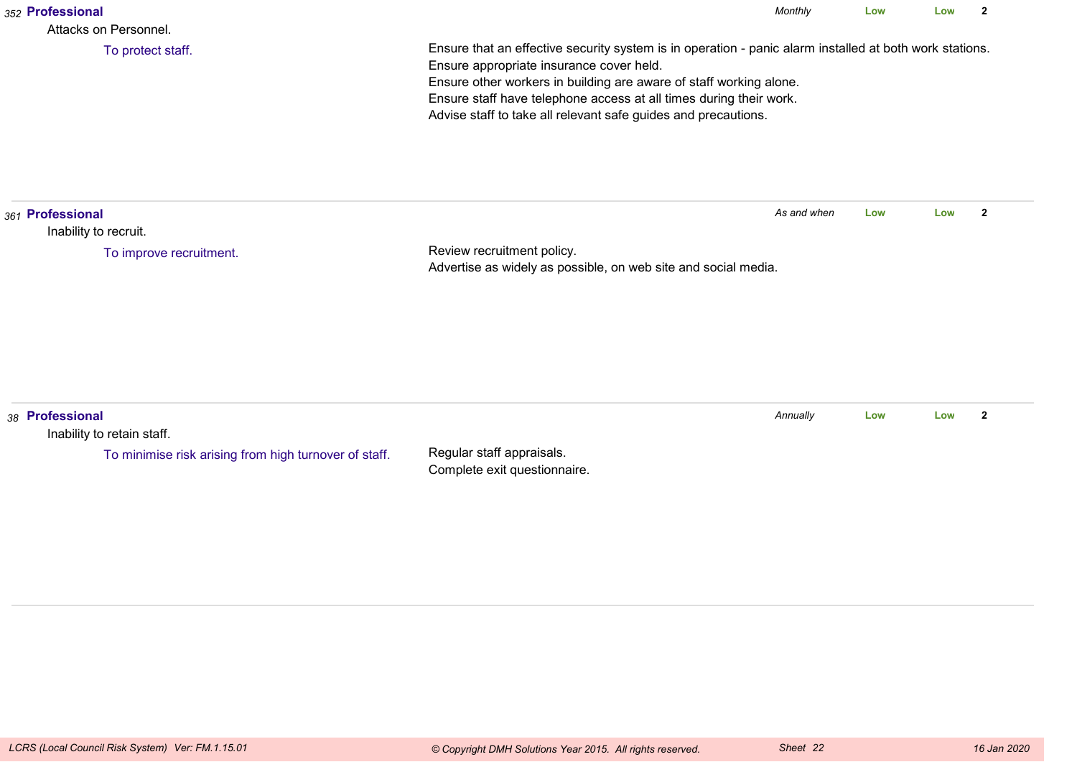| 352 Professional<br>Attacks on Personnel.                                                              |                                                                                                                                                                                                                                                                                                                                                                   | Monthly     | Low | Low | $\mathbf{2}$   |
|--------------------------------------------------------------------------------------------------------|-------------------------------------------------------------------------------------------------------------------------------------------------------------------------------------------------------------------------------------------------------------------------------------------------------------------------------------------------------------------|-------------|-----|-----|----------------|
| To protect staff.                                                                                      | Ensure that an effective security system is in operation - panic alarm installed at both work stations.<br>Ensure appropriate insurance cover held.<br>Ensure other workers in building are aware of staff working alone.<br>Ensure staff have telephone access at all times during their work.<br>Advise staff to take all relevant safe guides and precautions. |             |     |     |                |
| 361 Professional<br>Inability to recruit.                                                              |                                                                                                                                                                                                                                                                                                                                                                   | As and when | Low | Low | $\overline{2}$ |
| To improve recruitment.                                                                                | Review recruitment policy.<br>Advertise as widely as possible, on web site and social media.                                                                                                                                                                                                                                                                      |             |     |     |                |
| 38 Professional<br>Inability to retain staff.<br>To minimise risk arising from high turnover of staff. | Regular staff appraisals.<br>Complete exit questionnaire.                                                                                                                                                                                                                                                                                                         | Annually    | Low | Low | $\mathbf{2}$   |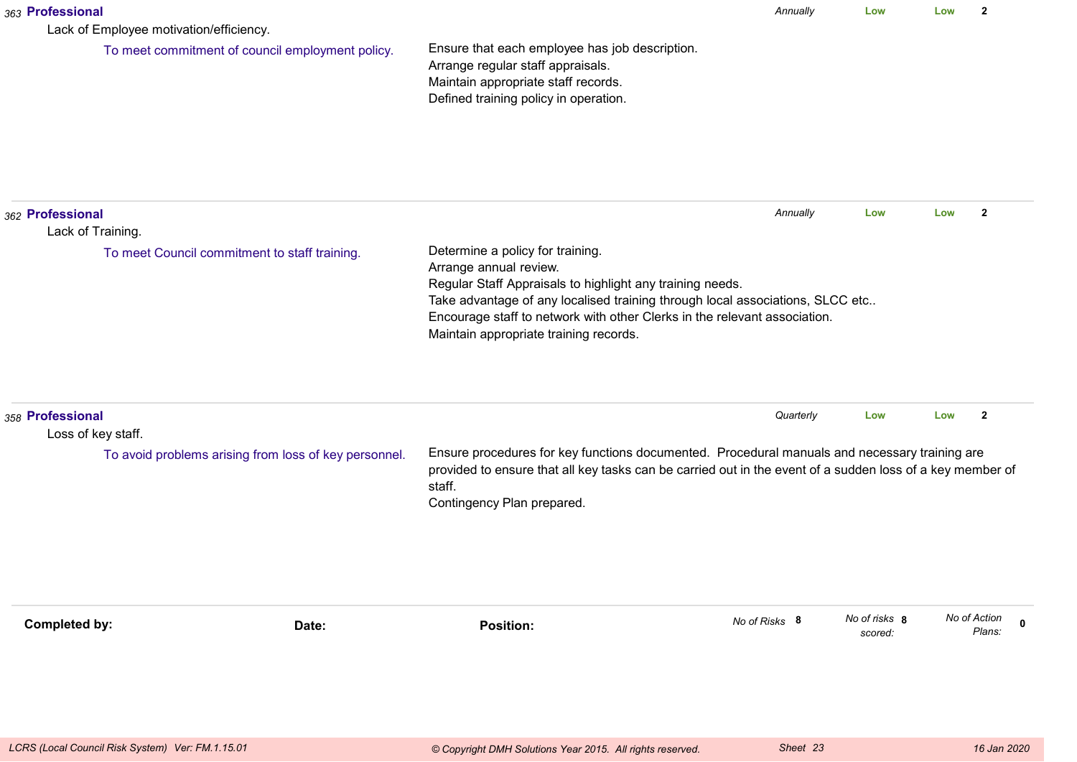| 363 Professional | Lack of Employee motivation/efficiency.               |                                                                                                                                                                                                                                                                                                                                 | Annually      | Low                      | Low | $\mathbf{2}$                          |
|------------------|-------------------------------------------------------|---------------------------------------------------------------------------------------------------------------------------------------------------------------------------------------------------------------------------------------------------------------------------------------------------------------------------------|---------------|--------------------------|-----|---------------------------------------|
|                  | To meet commitment of council employment policy.      | Ensure that each employee has job description.<br>Arrange regular staff appraisals.<br>Maintain appropriate staff records.<br>Defined training policy in operation.                                                                                                                                                             |               |                          |     |                                       |
| 362 Professional | Lack of Training.                                     |                                                                                                                                                                                                                                                                                                                                 | Annually      | Low                      | Low | $\mathbf{2}$                          |
|                  | To meet Council commitment to staff training.         | Determine a policy for training.<br>Arrange annual review.<br>Regular Staff Appraisals to highlight any training needs.<br>Take advantage of any localised training through local associations, SLCC etc<br>Encourage staff to network with other Clerks in the relevant association.<br>Maintain appropriate training records. |               |                          |     |                                       |
| 358 Professional | Loss of key staff.                                    |                                                                                                                                                                                                                                                                                                                                 | Quarterly     | Low                      | Low | $\overline{2}$                        |
|                  | To avoid problems arising from loss of key personnel. | Ensure procedures for key functions documented. Procedural manuals and necessary training are<br>provided to ensure that all key tasks can be carried out in the event of a sudden loss of a key member of<br>staff.<br>Contingency Plan prepared.                                                                              |               |                          |     |                                       |
| Completed by:    | Date:                                                 | <b>Position:</b>                                                                                                                                                                                                                                                                                                                | No of Risks 8 | No of risks 8<br>scored: |     | No of Action<br>$\mathbf 0$<br>Plans: |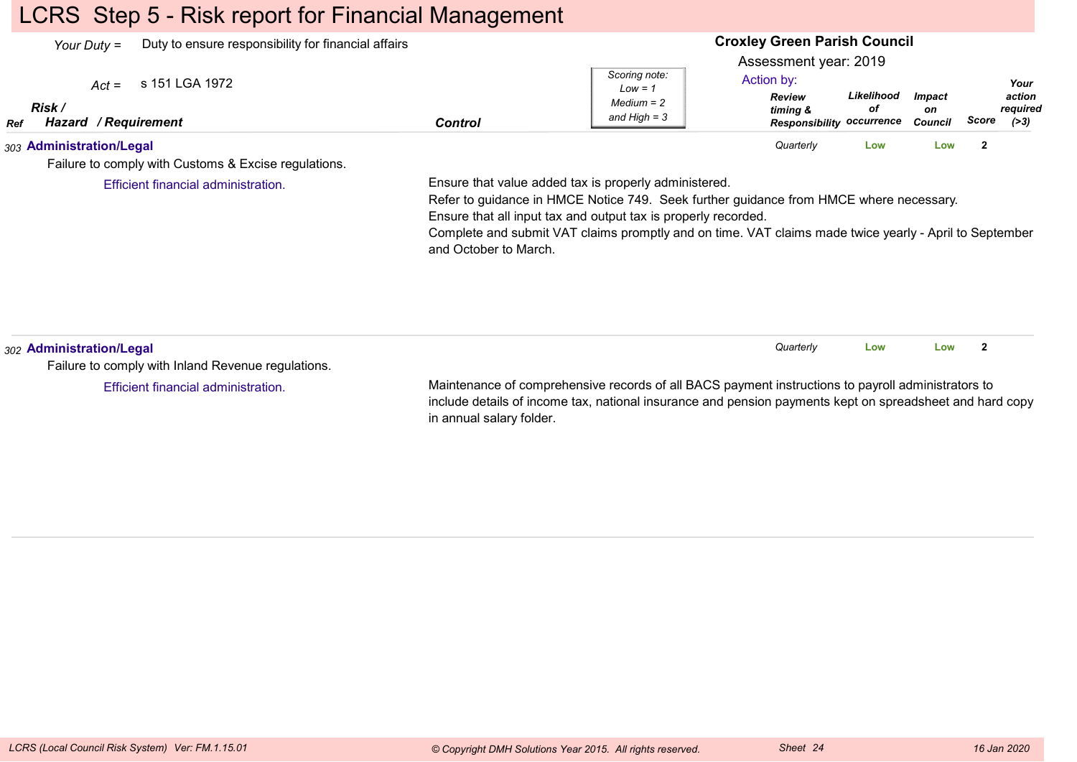## LCRS Step 5 - Risk report for Financial Management

| Your Duty =              | Duty to ensure responsibility for financial affairs  |         |                                                            | <b>Croxley Green Parish Council</b>                                                                  |                  |                                       |       |                                    |
|--------------------------|------------------------------------------------------|---------|------------------------------------------------------------|------------------------------------------------------------------------------------------------------|------------------|---------------------------------------|-------|------------------------------------|
| Risk /<br><b>Ref</b>     | $Act =$ s 151 LGA 1972<br>Hazard / Requirement       | Control | Scoring note:<br>Low = 1<br>$Median = 2$<br>and High $=$ 3 | Assessment year: 2019<br>Action by:<br><b>Review</b><br>timing &<br><b>Responsibility occurrence</b> | Likelihood<br>οf | <i><b>Impact</b></i><br>on<br>Council | Score | Your<br>action<br>required<br>(>3) |
| 303 Administration/Legal | Failure to comply with Customs & Excise regulations. |         |                                                            | Quarterly                                                                                            | Low              | Low                                   | -2    |                                    |

Efficient financial administration.

Ensure that value added tax is properly administered.

Refer to guidance in HMCE Notice 749. Seek further guidance from HMCE where necessary.Ensure that all input tax and output tax is properly recorded.

 Complete and submit VAT claims promptly and on time. VAT claims made twice yearly - April to Septemberand October to March.

| 302 Administration/Legal                           |                                                                                                    | Quarterly                                                                                                | Low | Low |  |  |  |
|----------------------------------------------------|----------------------------------------------------------------------------------------------------|----------------------------------------------------------------------------------------------------------|-----|-----|--|--|--|
| Failure to comply with Inland Revenue regulations. |                                                                                                    |                                                                                                          |     |     |  |  |  |
| Efficient financial administration.                | Maintenance of comprehensive records of all BACS payment instructions to payroll administrators to |                                                                                                          |     |     |  |  |  |
|                                                    |                                                                                                    | include details of income tax, national insurance and pension payments kept on spreadsheet and hard copy |     |     |  |  |  |

in annual salary folder.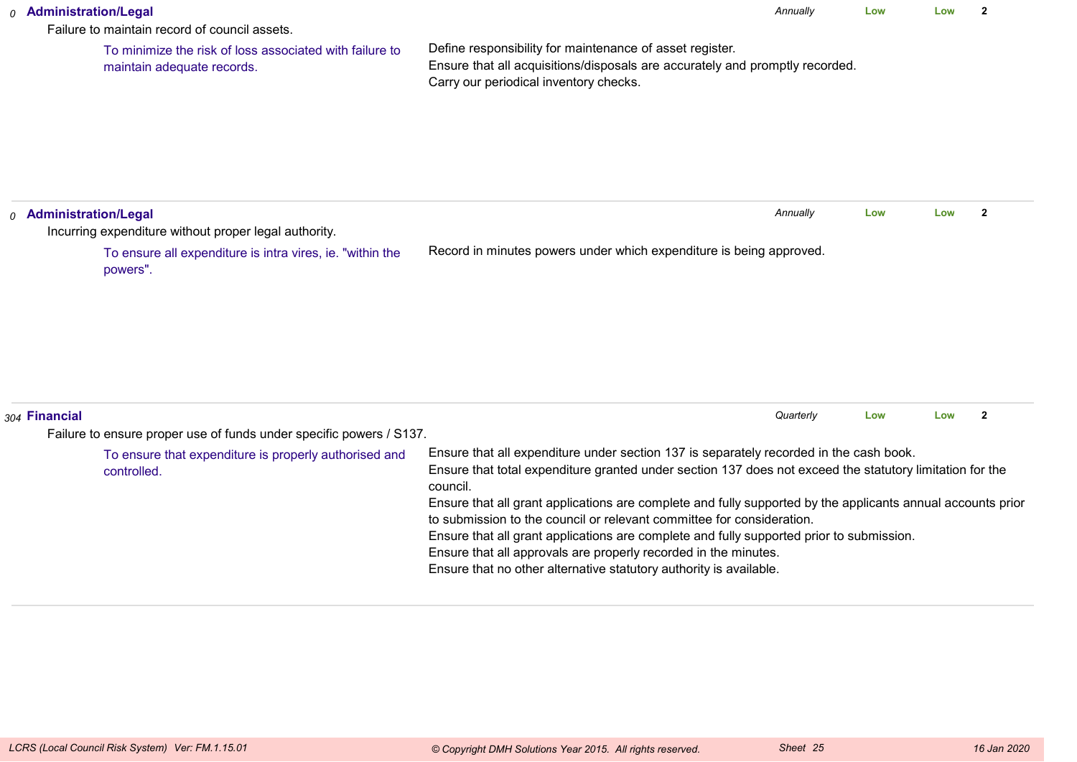| 0 Administration/Legal<br>Failure to maintain record of council assets.                                                        | Annually                                                                                                                                                                                                                                                                                                                                                                                                                                                                                                                                                                                                                                    | Low | Low | $\overline{2}$ |  |
|--------------------------------------------------------------------------------------------------------------------------------|---------------------------------------------------------------------------------------------------------------------------------------------------------------------------------------------------------------------------------------------------------------------------------------------------------------------------------------------------------------------------------------------------------------------------------------------------------------------------------------------------------------------------------------------------------------------------------------------------------------------------------------------|-----|-----|----------------|--|
| To minimize the risk of loss associated with failure to<br>maintain adequate records.                                          | Define responsibility for maintenance of asset register.<br>Ensure that all acquisitions/disposals are accurately and promptly recorded.<br>Carry our periodical inventory checks.                                                                                                                                                                                                                                                                                                                                                                                                                                                          |     |     |                |  |
| <sub>0</sub> Administration/Legal                                                                                              | Annually                                                                                                                                                                                                                                                                                                                                                                                                                                                                                                                                                                                                                                    | Low | Low | $\mathbf{2}$   |  |
| Incurring expenditure without proper legal authority.<br>To ensure all expenditure is intra vires, ie. "within the<br>powers". | Record in minutes powers under which expenditure is being approved.                                                                                                                                                                                                                                                                                                                                                                                                                                                                                                                                                                         |     |     |                |  |
| 304 Financial                                                                                                                  | Quarterly                                                                                                                                                                                                                                                                                                                                                                                                                                                                                                                                                                                                                                   | Low | Low | $\overline{2}$ |  |
| Failure to ensure proper use of funds under specific powers / S137.                                                            |                                                                                                                                                                                                                                                                                                                                                                                                                                                                                                                                                                                                                                             |     |     |                |  |
| To ensure that expenditure is properly authorised and<br>controlled.                                                           | Ensure that all expenditure under section 137 is separately recorded in the cash book.<br>Ensure that total expenditure granted under section 137 does not exceed the statutory limitation for the<br>council.<br>Ensure that all grant applications are complete and fully supported by the applicants annual accounts prior<br>to submission to the council or relevant committee for consideration.<br>Ensure that all grant applications are complete and fully supported prior to submission.<br>Ensure that all approvals are properly recorded in the minutes.<br>Ensure that no other alternative statutory authority is available. |     |     |                |  |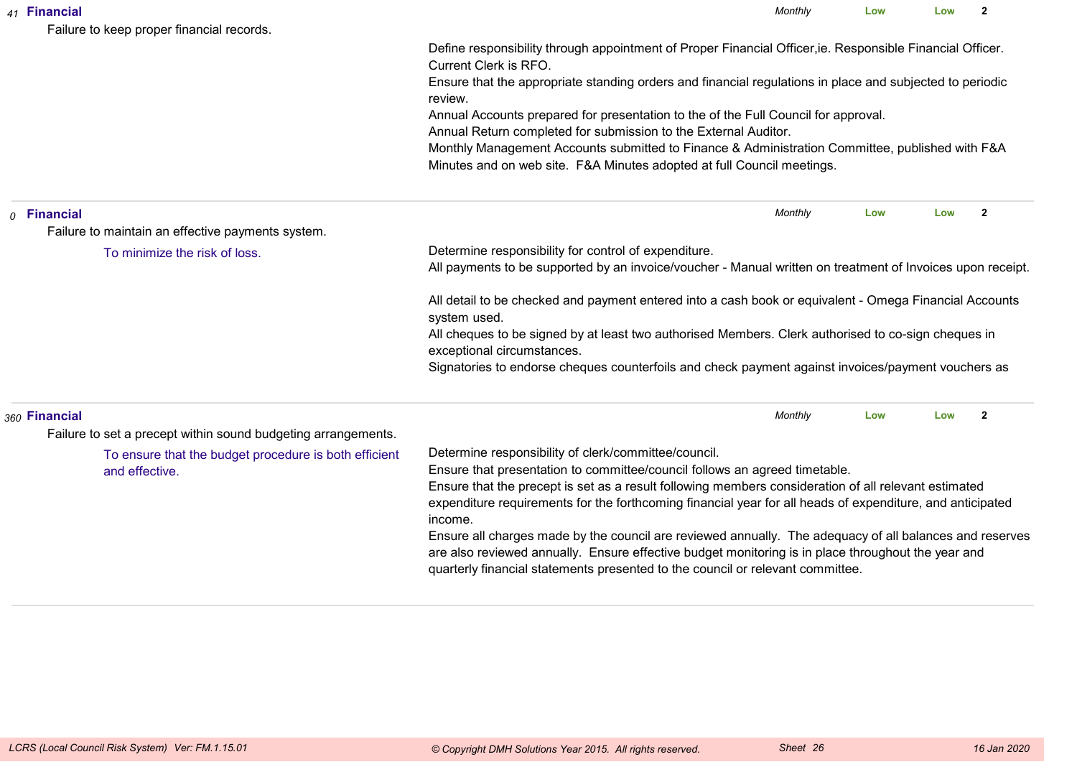|  | 41 Financial<br>Failure to keep proper financial records.               | Monthly                                                                                                                                                                                                                                                                                                                                                            | Low | Low | $\mathbf{2}$   |  |  |  |  |
|--|-------------------------------------------------------------------------|--------------------------------------------------------------------------------------------------------------------------------------------------------------------------------------------------------------------------------------------------------------------------------------------------------------------------------------------------------------------|-----|-----|----------------|--|--|--|--|
|  |                                                                         | Define responsibility through appointment of Proper Financial Officer, ie. Responsible Financial Officer.<br>Current Clerk is RFO.                                                                                                                                                                                                                                 |     |     |                |  |  |  |  |
|  |                                                                         | Ensure that the appropriate standing orders and financial regulations in place and subjected to periodic<br>review.                                                                                                                                                                                                                                                |     |     |                |  |  |  |  |
|  |                                                                         | Annual Accounts prepared for presentation to the of the Full Council for approval.<br>Annual Return completed for submission to the External Auditor.                                                                                                                                                                                                              |     |     |                |  |  |  |  |
|  |                                                                         | Monthly Management Accounts submitted to Finance & Administration Committee, published with F&A<br>Minutes and on web site. F&A Minutes adopted at full Council meetings.                                                                                                                                                                                          |     |     |                |  |  |  |  |
|  | $o$ Financial                                                           | Monthly                                                                                                                                                                                                                                                                                                                                                            | Low | Low | $\overline{2}$ |  |  |  |  |
|  | Failure to maintain an effective payments system.                       |                                                                                                                                                                                                                                                                                                                                                                    |     |     |                |  |  |  |  |
|  | To minimize the risk of loss.                                           | Determine responsibility for control of expenditure.<br>All payments to be supported by an invoice/voucher - Manual written on treatment of Invoices upon receipt.                                                                                                                                                                                                 |     |     |                |  |  |  |  |
|  |                                                                         | All detail to be checked and payment entered into a cash book or equivalent - Omega Financial Accounts<br>system used.                                                                                                                                                                                                                                             |     |     |                |  |  |  |  |
|  |                                                                         | All cheques to be signed by at least two authorised Members. Clerk authorised to co-sign cheques in<br>exceptional circumstances.                                                                                                                                                                                                                                  |     |     |                |  |  |  |  |
|  |                                                                         | Signatories to endorse cheques counterfoils and check payment against invoices/payment vouchers as                                                                                                                                                                                                                                                                 |     |     |                |  |  |  |  |
|  | 360 Financial                                                           | Monthly                                                                                                                                                                                                                                                                                                                                                            | Low | Low | $\overline{2}$ |  |  |  |  |
|  | Failure to set a precept within sound budgeting arrangements.           |                                                                                                                                                                                                                                                                                                                                                                    |     |     |                |  |  |  |  |
|  | To ensure that the budget procedure is both efficient<br>and effective. | Determine responsibility of clerk/committee/council.<br>Ensure that presentation to committee/council follows an agreed timetable.<br>Ensure that the precept is set as a result following members consideration of all relevant estimated<br>expenditure requirements for the forthcoming financial year for all heads of expenditure, and anticipated<br>income. |     |     |                |  |  |  |  |
|  |                                                                         | Ensure all charges made by the council are reviewed annually. The adequacy of all balances and reserves<br>are also reviewed annually. Ensure effective budget monitoring is in place throughout the year and<br>quarterly financial statements presented to the council or relevant committee.                                                                    |     |     |                |  |  |  |  |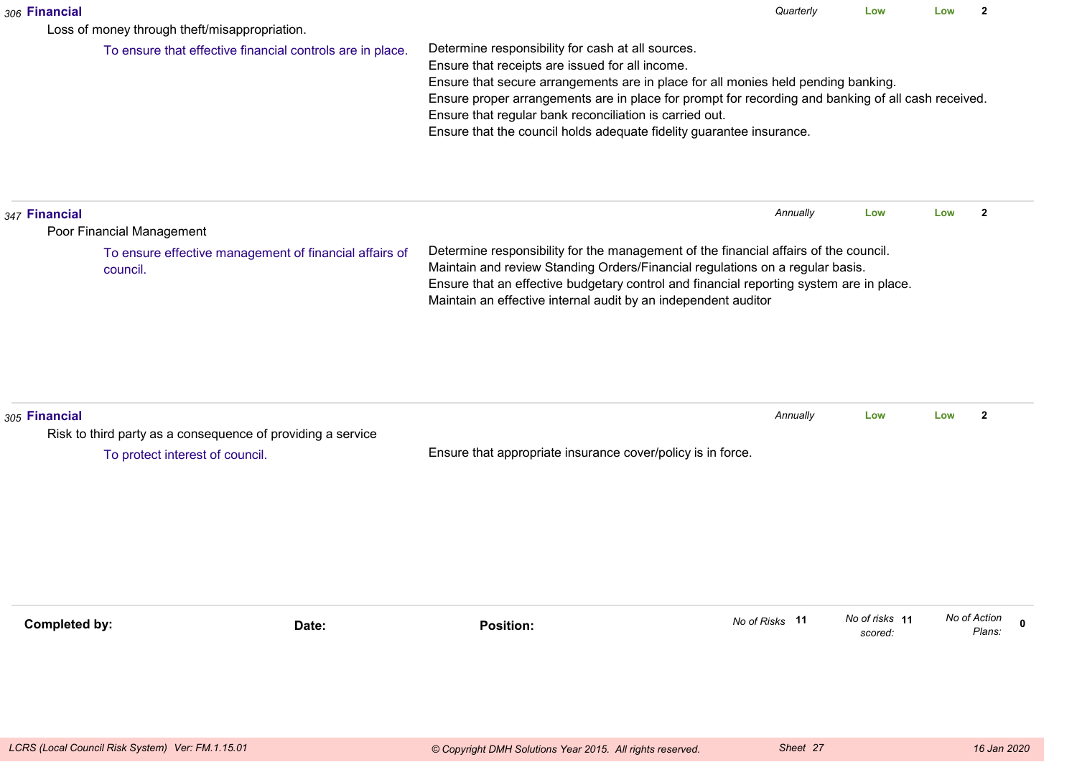| 306 Financial        |                                                                    |                                                                                                                                                                                                                                                                                                                                                                                                                                    | Quarterly      | Low                       | Low | $\mathbf{2}$           |
|----------------------|--------------------------------------------------------------------|------------------------------------------------------------------------------------------------------------------------------------------------------------------------------------------------------------------------------------------------------------------------------------------------------------------------------------------------------------------------------------------------------------------------------------|----------------|---------------------------|-----|------------------------|
|                      | Loss of money through theft/misappropriation.                      |                                                                                                                                                                                                                                                                                                                                                                                                                                    |                |                           |     |                        |
|                      | To ensure that effective financial controls are in place.          | Determine responsibility for cash at all sources.<br>Ensure that receipts are issued for all income.<br>Ensure that secure arrangements are in place for all monies held pending banking.<br>Ensure proper arrangements are in place for prompt for recording and banking of all cash received.<br>Ensure that regular bank reconciliation is carried out.<br>Ensure that the council holds adequate fidelity guarantee insurance. |                |                           |     |                        |
| 347 Financial        | Poor Financial Management                                          |                                                                                                                                                                                                                                                                                                                                                                                                                                    | Annually       | Low                       | Low | $\mathbf{2}$           |
|                      | To ensure effective management of financial affairs of<br>council. | Determine responsibility for the management of the financial affairs of the council.<br>Maintain and review Standing Orders/Financial regulations on a regular basis.<br>Ensure that an effective budgetary control and financial reporting system are in place.<br>Maintain an effective internal audit by an independent auditor                                                                                                 |                |                           |     |                        |
| 305 Financial        | Risk to third party as a consequence of providing a service        |                                                                                                                                                                                                                                                                                                                                                                                                                                    | Annually       | Low                       | Low | $\mathbf{2}$           |
|                      | To protect interest of council.                                    | Ensure that appropriate insurance cover/policy is in force.                                                                                                                                                                                                                                                                                                                                                                        |                |                           |     |                        |
| <b>Completed by:</b> | Date:                                                              | <b>Position:</b>                                                                                                                                                                                                                                                                                                                                                                                                                   | No of Risks 11 | No of risks 11<br>scored: |     | No of Action<br>Plans: |
|                      |                                                                    |                                                                                                                                                                                                                                                                                                                                                                                                                                    |                |                           |     |                        |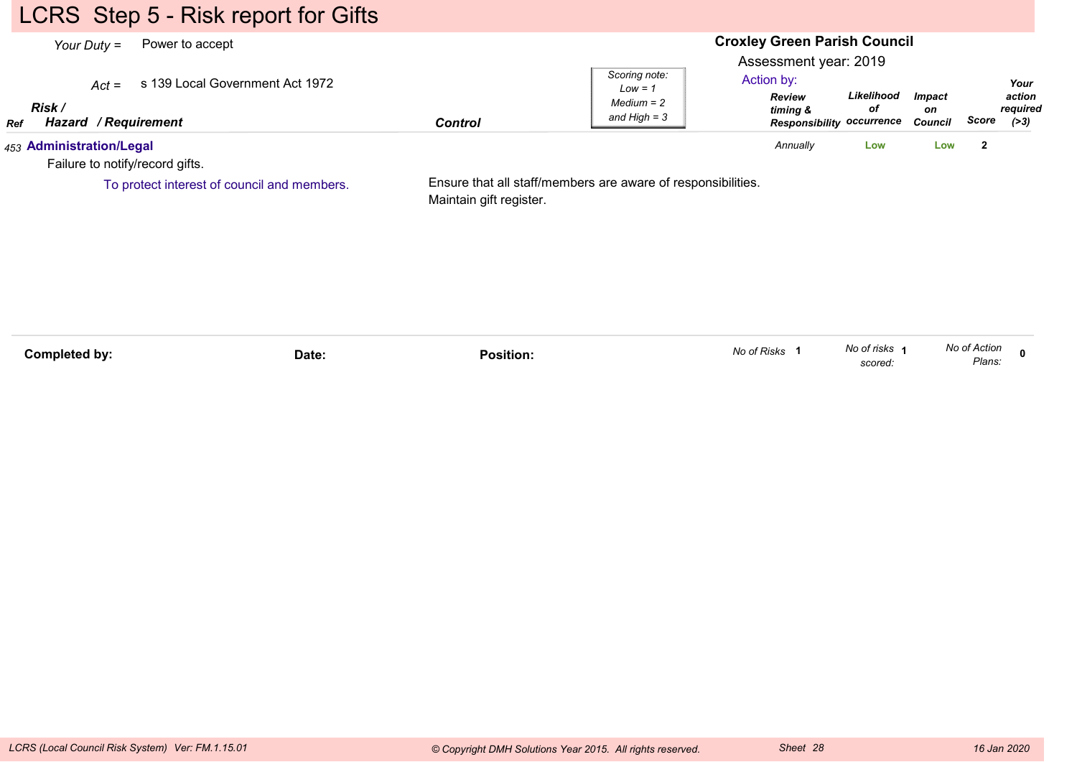# LCRS Step 5 - Risk report for Gifts

| Your Duty $=$                                               | Power to accept                             |                         |                                                              |                                                                                                      | <b>Croxley Green Parish Council</b> |                                |              |                                    |  |  |
|-------------------------------------------------------------|---------------------------------------------|-------------------------|--------------------------------------------------------------|------------------------------------------------------------------------------------------------------|-------------------------------------|--------------------------------|--------------|------------------------------------|--|--|
| $Act =$<br>Risk /<br><b>Hazard / Requirement</b><br>Ref     | s 139 Local Government Act 1972             | <b>Control</b>          | Scoring note:<br>$Low = 1$<br>$Median = 2$<br>and High $=$ 3 | Assessment year: 2019<br>Action by:<br><b>Review</b><br>timing &<br><b>Responsibility occurrence</b> | Likelihood<br>οf                    | <b>Impact</b><br>on<br>Council | Score        | Your<br>action<br>required<br>(>3) |  |  |
| 453 Administration/Legal<br>Failure to notify/record gifts. |                                             |                         |                                                              | Annually                                                                                             | Low                                 | Low                            | $\mathbf{2}$ |                                    |  |  |
|                                                             | To protect interest of council and members. | Maintain gift register. | Ensure that all staff/members are aware of responsibilities. |                                                                                                      |                                     |                                |              |                                    |  |  |

| Completed by: | Date: | Position. | No of Risks | No of risks<br>scored. | No of Action<br>Plans: |  |
|---------------|-------|-----------|-------------|------------------------|------------------------|--|
|               |       |           |             |                        |                        |  |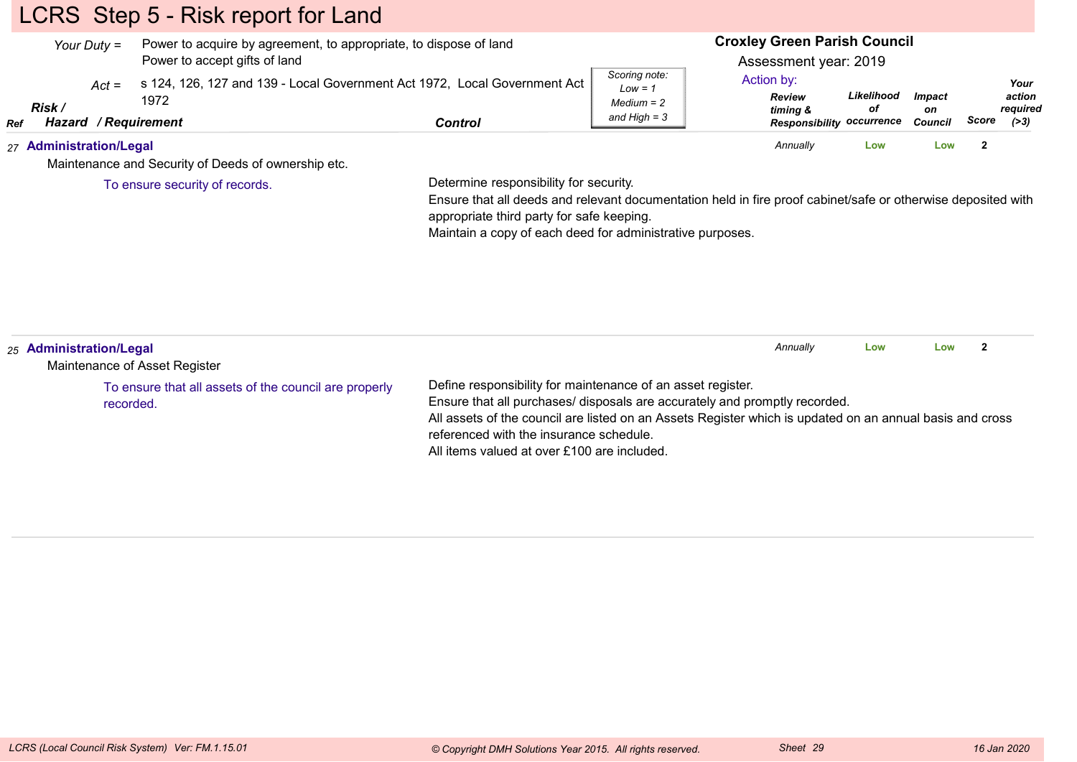# LCRS Step 5 - Risk report for Land

|     | Your Duty $=$           |                          | Power to accept gifts of land | Power to acquire by agreement, to appropriate, to dispose of land         |         |                                                              | <b>Croxley Green Parish Council</b><br>Assessment year: 2019         |                  |                                       |       |                                      |
|-----|-------------------------|--------------------------|-------------------------------|---------------------------------------------------------------------------|---------|--------------------------------------------------------------|----------------------------------------------------------------------|------------------|---------------------------------------|-------|--------------------------------------|
| Ref | Risk /<br>Hazard        | $Act =$<br>/ Requirement | 1972                          | s 124, 126, 127 and 139 - Local Government Act 1972, Local Government Act | Control | Scoring note:<br>$Low = 1$<br>$Median = 2$<br>and High $=$ 3 | Action by:<br><b>Review</b><br>timina &<br>Responsibility occurrence | Likelihood<br>οf | <i><b>Impact</b></i><br>on<br>Council | Score | Your<br>action<br>reauired<br>( > 3) |
|     | 27 Administration/Legal |                          |                               | Maintenance and Security of Deeds of ownership etc.                       |         |                                                              | Annually                                                             | Low              | Low                                   |       |                                      |

To ensure security of records.

Determine responsibility for security.

 Ensure that all deeds and relevant documentation held in fire proof cabinet/safe or otherwise deposited withappropriate third party for safe keeping.

Maintain a copy of each deed for administrative purposes.

| 25 Administration/Legal<br>Maintenance of Asset Register           | Annually<br>Low<br>Low                                                                                                                                                                                                                                                                                                                          |
|--------------------------------------------------------------------|-------------------------------------------------------------------------------------------------------------------------------------------------------------------------------------------------------------------------------------------------------------------------------------------------------------------------------------------------|
| To ensure that all assets of the council are properly<br>recorded. | Define responsibility for maintenance of an asset register.<br>Ensure that all purchases/ disposals are accurately and promptly recorded.<br>All assets of the council are listed on an Assets Register which is updated on an annual basis and cross<br>referenced with the insurance schedule.<br>All items valued at over £100 are included. |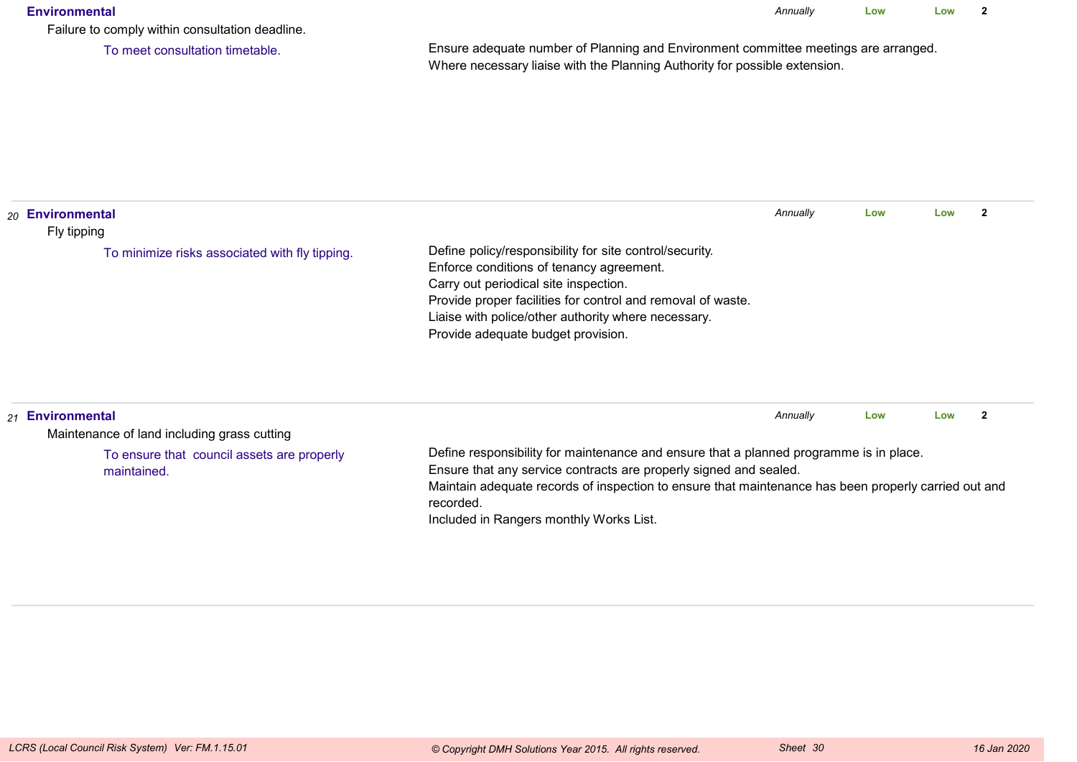#### **Environmental**

*Annually* **LowLow <sup>2</sup>**

Failure to comply within consultation deadline.

To meet consultation timetable.

Ensure adequate number of Planning and Environment committee meetings are arranged.Where necessary liaise with the Planning Authority for possible extension.

| 20 Environmental<br>Fly tipping                                 |                                                                                                                                                                                                                                                                                                          | Annually | Low | Low |   |
|-----------------------------------------------------------------|----------------------------------------------------------------------------------------------------------------------------------------------------------------------------------------------------------------------------------------------------------------------------------------------------------|----------|-----|-----|---|
| To minimize risks associated with fly tipping.                  | Define policy/responsibility for site control/security.<br>Enforce conditions of tenancy agreement.<br>Carry out periodical site inspection.<br>Provide proper facilities for control and removal of waste.<br>Liaise with police/other authority where necessary.<br>Provide adequate budget provision. |          |     |     |   |
| 21 Environmental<br>Maintenance of land including grass cutting |                                                                                                                                                                                                                                                                                                          | Annually | Low | Low | 2 |

To ensure that council assets are properlymaintained.

Define responsibility for maintenance and ensure that a planned programme is in place.

Ensure that any service contracts are properly signed and sealed.

 Maintain adequate records of inspection to ensure that maintenance has been properly carried out andrecorded.

Included in Rangers monthly Works List.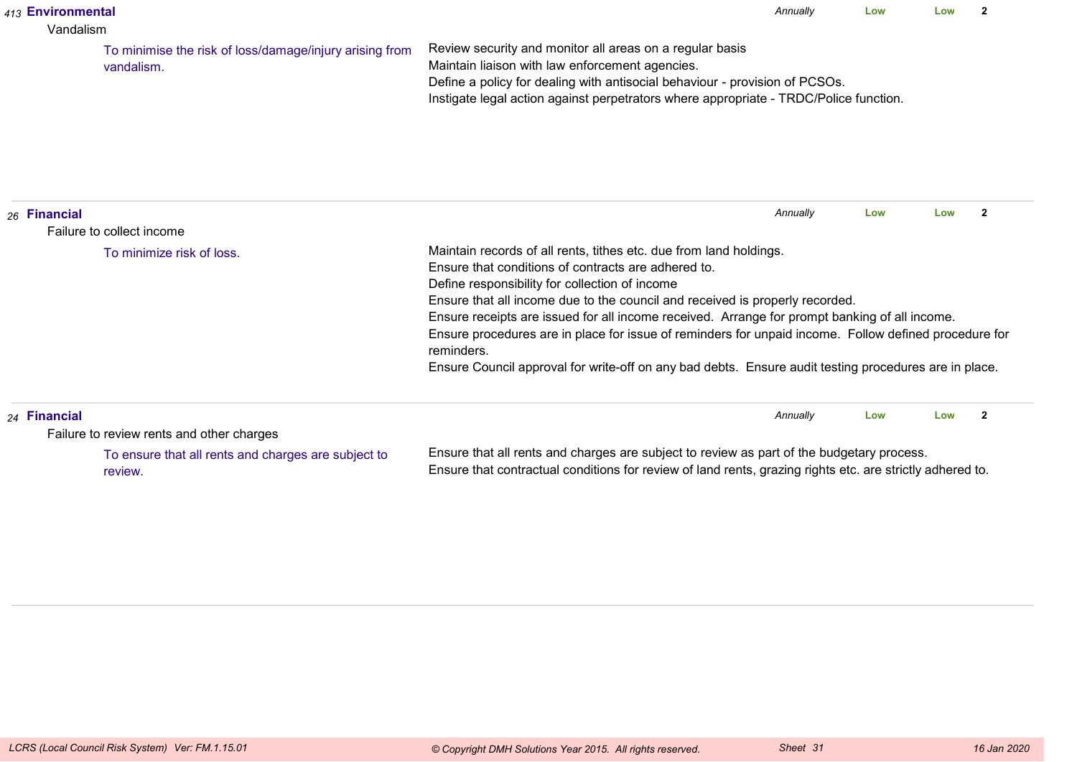|                                                                                                                                                                                                                                                                          | 413 Environmental<br>Vandalism |                                                                       |                                                                                                                                                                                                                                                                                                                                                                                                                                                                                                                                                                                              | Annually | Low | l ow | $\overline{2}$ |
|--------------------------------------------------------------------------------------------------------------------------------------------------------------------------------------------------------------------------------------------------------------------------|--------------------------------|-----------------------------------------------------------------------|----------------------------------------------------------------------------------------------------------------------------------------------------------------------------------------------------------------------------------------------------------------------------------------------------------------------------------------------------------------------------------------------------------------------------------------------------------------------------------------------------------------------------------------------------------------------------------------------|----------|-----|------|----------------|
|                                                                                                                                                                                                                                                                          |                                | To minimise the risk of loss/damage/injury arising from<br>vandalism. | Review security and monitor all areas on a regular basis<br>Maintain liaison with law enforcement agencies.<br>Define a policy for dealing with antisocial behaviour - provision of PCSOs.<br>Instigate legal action against perpetrators where appropriate - TRDC/Police function.                                                                                                                                                                                                                                                                                                          |          |     |      |                |
|                                                                                                                                                                                                                                                                          | 26 Financial                   | Failure to collect income                                             |                                                                                                                                                                                                                                                                                                                                                                                                                                                                                                                                                                                              | Annually | Low | Low  | $\overline{2}$ |
|                                                                                                                                                                                                                                                                          |                                | To minimize risk of loss.                                             | Maintain records of all rents, tithes etc. due from land holdings.<br>Ensure that conditions of contracts are adhered to.<br>Define responsibility for collection of income<br>Ensure that all income due to the council and received is properly recorded.<br>Ensure receipts are issued for all income received. Arrange for prompt banking of all income.<br>Ensure procedures are in place for issue of reminders for unpaid income. Follow defined procedure for<br>reminders.<br>Ensure Council approval for write-off on any bad debts. Ensure audit testing procedures are in place. |          |     |      |                |
|                                                                                                                                                                                                                                                                          | 24 Financial                   | Failure to review rents and other charges                             |                                                                                                                                                                                                                                                                                                                                                                                                                                                                                                                                                                                              | Annually | Low | Low  | $\overline{2}$ |
| Ensure that all rents and charges are subject to review as part of the budgetary process.<br>To ensure that all rents and charges are subject to<br>Ensure that contractual conditions for review of land rents, grazing rights etc. are strictly adhered to.<br>review. |                                |                                                                       |                                                                                                                                                                                                                                                                                                                                                                                                                                                                                                                                                                                              |          |     |      |                |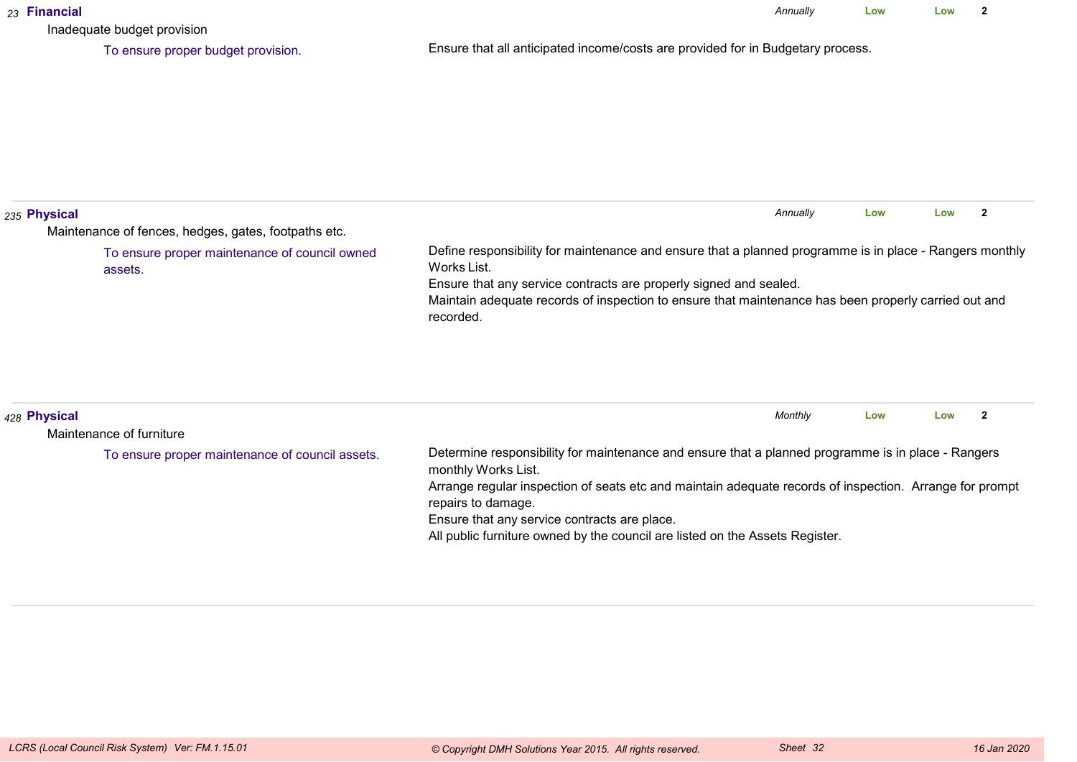| 23 Financial | Inadequate budget provision                              |                                                                                                                                                                                                                                                                                                                                                                                            | Annually | Low | Low | $\overline{2}$ |
|--------------|----------------------------------------------------------|--------------------------------------------------------------------------------------------------------------------------------------------------------------------------------------------------------------------------------------------------------------------------------------------------------------------------------------------------------------------------------------------|----------|-----|-----|----------------|
|              | To ensure proper budget provision.                       | Ensure that all anticipated income/costs are provided for in Budgetary process.                                                                                                                                                                                                                                                                                                            |          |     |     |                |
| 235 Physical | Maintenance of fences, hedges, gates, footpaths etc.     |                                                                                                                                                                                                                                                                                                                                                                                            | Annually | Low | Low | $\overline{2}$ |
|              | To ensure proper maintenance of council owned<br>assets. | Define responsibility for maintenance and ensure that a planned programme is in place - Rangers monthly<br>Works List.<br>Ensure that any service contracts are properly signed and sealed.<br>Maintain adequate records of inspection to ensure that maintenance has been properly carried out and<br>recorded.                                                                           |          |     |     |                |
| 428 Physical | Maintenance of furniture                                 |                                                                                                                                                                                                                                                                                                                                                                                            | Monthly  | Low | Low | $\overline{2}$ |
|              | To ensure proper maintenance of council assets.          | Determine responsibility for maintenance and ensure that a planned programme is in place - Rangers<br>monthly Works List.<br>Arrange regular inspection of seats etc and maintain adequate records of inspection. Arrange for prompt<br>repairs to damage.<br>Ensure that any service contracts are place.<br>All public furniture owned by the council are listed on the Assets Register. |          |     |     |                |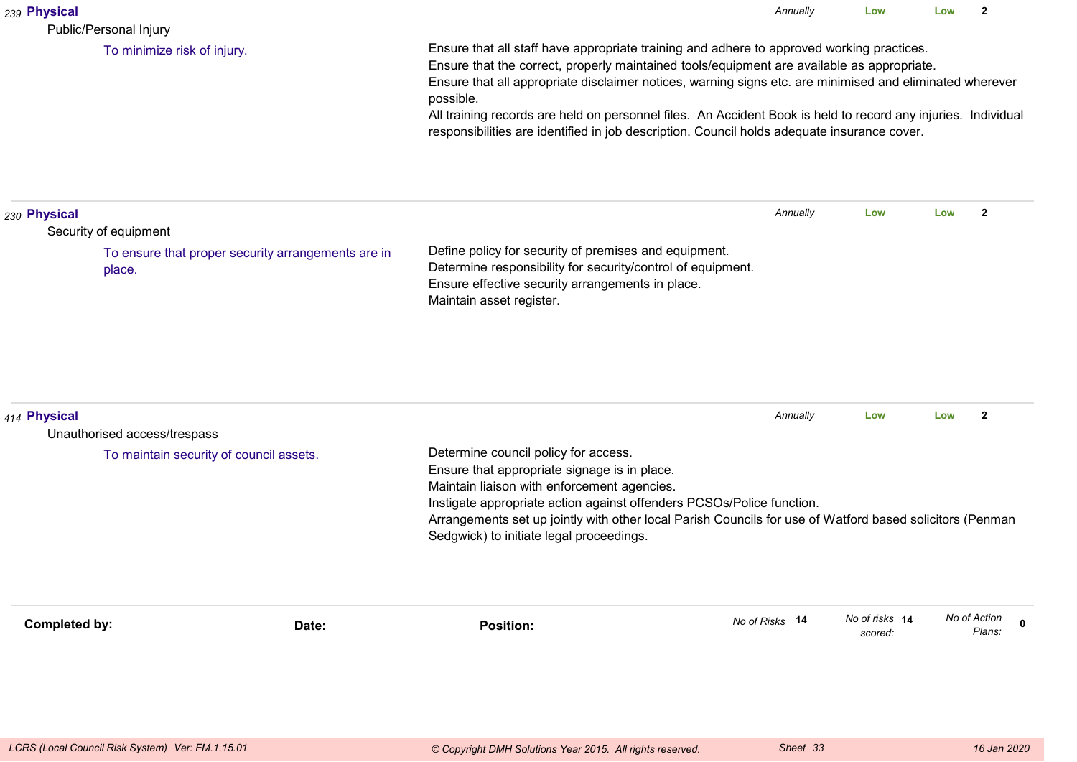| 239 Physical<br>Public/Personal Injury                                                                |                                                                                                                                                                                                                                                                                                                                                                                                                                                                                                                                  | Annually       | Low                       | Low | $\overline{2}$         |             |  |
|-------------------------------------------------------------------------------------------------------|----------------------------------------------------------------------------------------------------------------------------------------------------------------------------------------------------------------------------------------------------------------------------------------------------------------------------------------------------------------------------------------------------------------------------------------------------------------------------------------------------------------------------------|----------------|---------------------------|-----|------------------------|-------------|--|
| To minimize risk of injury.                                                                           | Ensure that all staff have appropriate training and adhere to approved working practices.<br>Ensure that the correct, properly maintained tools/equipment are available as appropriate.<br>Ensure that all appropriate disclaimer notices, warning signs etc. are minimised and eliminated wherever<br>possible.<br>All training records are held on personnel files. An Accident Book is held to record any injuries. Individual<br>responsibilities are identified in job description. Council holds adequate insurance cover. |                |                           |     |                        |             |  |
| 230 Physical<br>Security of equipment<br>To ensure that proper security arrangements are in<br>place. | Define policy for security of premises and equipment.<br>Determine responsibility for security/control of equipment.<br>Ensure effective security arrangements in place.<br>Maintain asset register.                                                                                                                                                                                                                                                                                                                             | Annually       | Low                       | Low | $\mathbf{2}$           |             |  |
| 414 Physical<br>Unauthorised access/trespass<br>To maintain security of council assets.               | Determine council policy for access.<br>Ensure that appropriate signage is in place.<br>Maintain liaison with enforcement agencies.<br>Instigate appropriate action against offenders PCSOs/Police function.<br>Arrangements set up jointly with other local Parish Councils for use of Watford based solicitors (Penman<br>Sedgwick) to initiate legal proceedings.                                                                                                                                                             | Annually       | Low                       | Low | $\overline{2}$         |             |  |
| <b>Completed by:</b><br>Date:                                                                         | <b>Position:</b>                                                                                                                                                                                                                                                                                                                                                                                                                                                                                                                 | No of Risks 14 | No of risks 14<br>scored: |     | No of Action<br>Plans: | $\mathbf 0$ |  |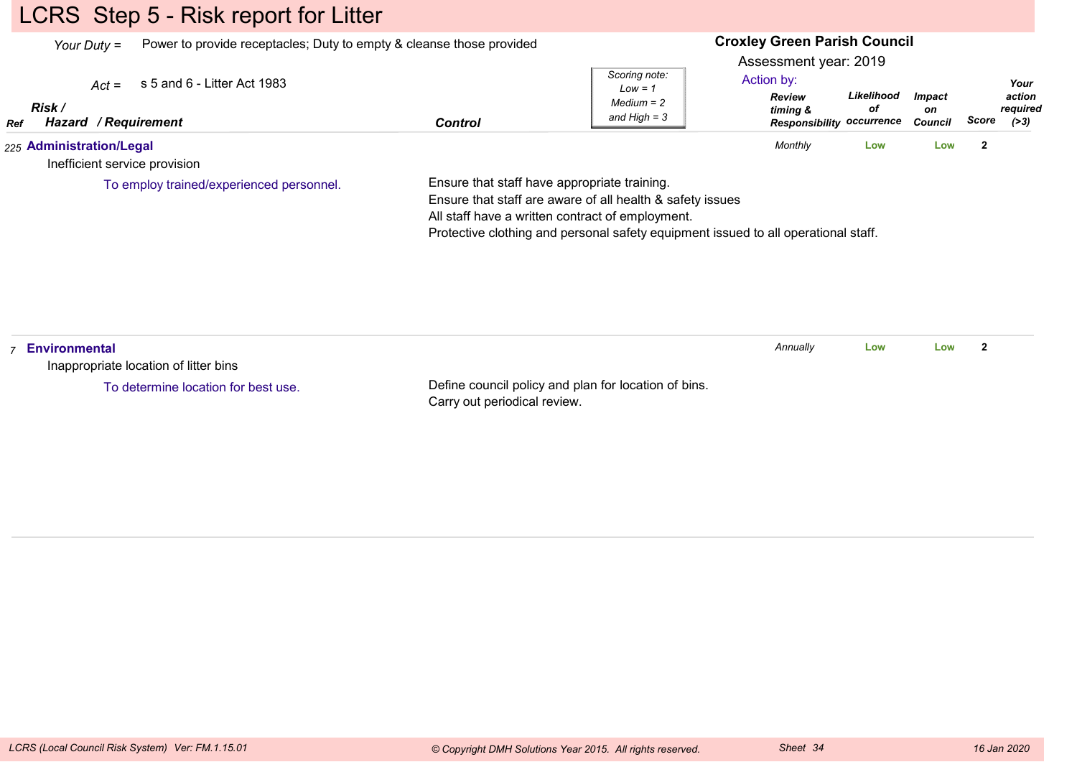## LCRS Step 5 - Risk report for Litter

*Your Duty =*Power to provide receptacles; Duty to empty & cleanse those provided

#### **Croxley Green Parish Council**

Assessment year: 2019

| 225 Administration/Legal                      |         |                                | Monthly                                                       | Low        | Low                                   |       |                              |
|-----------------------------------------------|---------|--------------------------------|---------------------------------------------------------------|------------|---------------------------------------|-------|------------------------------|
| <b>Risk</b><br>/ Reauirement<br>Hazard<br>Ref | Control | $Median = 2$<br>and High = $3$ | <b>Review</b><br>timing &<br><b>Responsibility occurrence</b> | οf         | <i><b>Impact</b></i><br>on<br>Council | Score | action<br>required<br>( > 3) |
| $Act =$ s 5 and 6 - Litter Act 1983           |         | Scoring note:<br>$Low = 1$     | Action by:                                                    | Likelihood |                                       |       | Your                         |

Inefficient service provision

To employ trained/experienced personnel.

Ensure that staff have appropriate training.

Ensure that staff are aware of all health & safety issues

All staff have a written contract of employment.

Protective clothing and personal safety equipment issued to all operational staff.

| Environmental<br>Inappropriate location of litter bins |                                                                                      | Annually | Low | Low |  |
|--------------------------------------------------------|--------------------------------------------------------------------------------------|----------|-----|-----|--|
| To determine location for best use.                    | Define council policy and plan for location of bins.<br>Carry out periodical review. |          |     |     |  |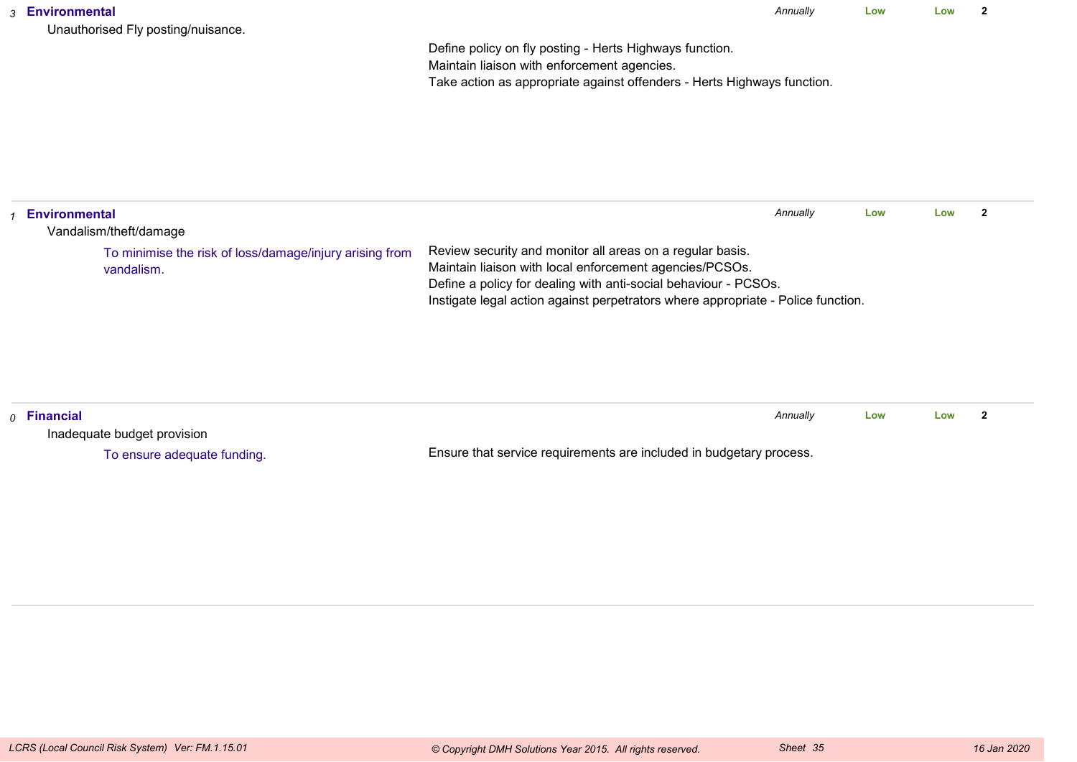| Unauthorised Fly posting/nuisance. |  |
|------------------------------------|--|

*Annually* **LowLow <sup>2</sup>**

Define policy on fly posting - Herts Highways function.Maintain liaison with enforcement agencies.Take action as appropriate against offenders - Herts Highways function.

| <b>Environmental</b><br>Vandalism/theft/damage                        |                                                                                                                                                                                                                                                                             | Annually | Low | Low | -2 |
|-----------------------------------------------------------------------|-----------------------------------------------------------------------------------------------------------------------------------------------------------------------------------------------------------------------------------------------------------------------------|----------|-----|-----|----|
| To minimise the risk of loss/damage/injury arising from<br>vandalism. | Review security and monitor all areas on a regular basis.<br>Maintain liaison with local enforcement agencies/PCSOs.<br>Define a policy for dealing with anti-social behaviour - PCSOs.<br>Instigate legal action against perpetrators where appropriate - Police function. |          |     |     |    |

| $\rho$ Financial            |                                                                     | Annually | Low | Low |  |
|-----------------------------|---------------------------------------------------------------------|----------|-----|-----|--|
| Inadequate budget provision |                                                                     |          |     |     |  |
| To ensure adequate funding. | Ensure that service requirements are included in budgetary process. |          |     |     |  |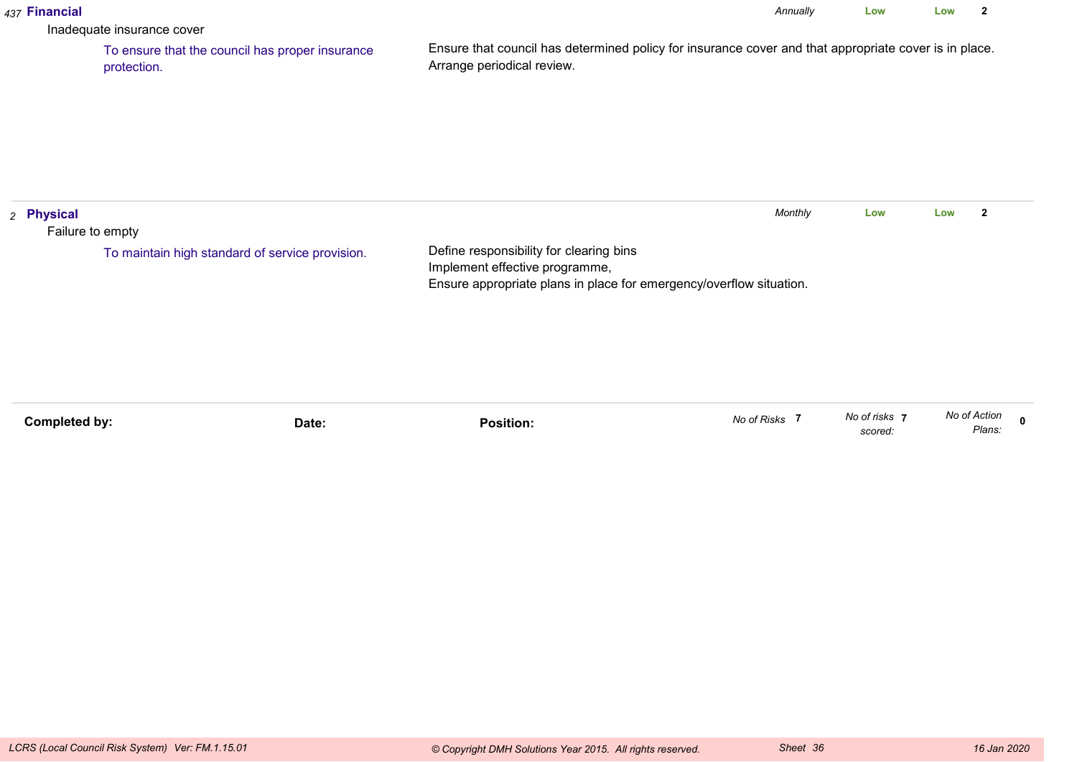| 437 Financial                  | Inadequate insurance cover                                     |       |                                                                                                                                                  | Annually      | Low                      | Low          | $\mathbf{2}$   |              |
|--------------------------------|----------------------------------------------------------------|-------|--------------------------------------------------------------------------------------------------------------------------------------------------|---------------|--------------------------|--------------|----------------|--------------|
|                                | To ensure that the council has proper insurance<br>protection. |       | Ensure that council has determined policy for insurance cover and that appropriate cover is in place.<br>Arrange periodical review.              |               |                          |              |                |              |
| 2 Physical<br>Failure to empty |                                                                |       |                                                                                                                                                  | Monthly       | Low                      | Low          | $\overline{2}$ |              |
|                                | To maintain high standard of service provision.                |       | Define responsibility for clearing bins<br>Implement effective programme,<br>Ensure appropriate plans in place for emergency/overflow situation. |               |                          |              |                |              |
| <b>Completed by:</b>           |                                                                | Date: | <b>Position:</b>                                                                                                                                 | No of Risks 7 | No of risks 7<br>scored: | No of Action | Plans:         | $\mathbf{0}$ |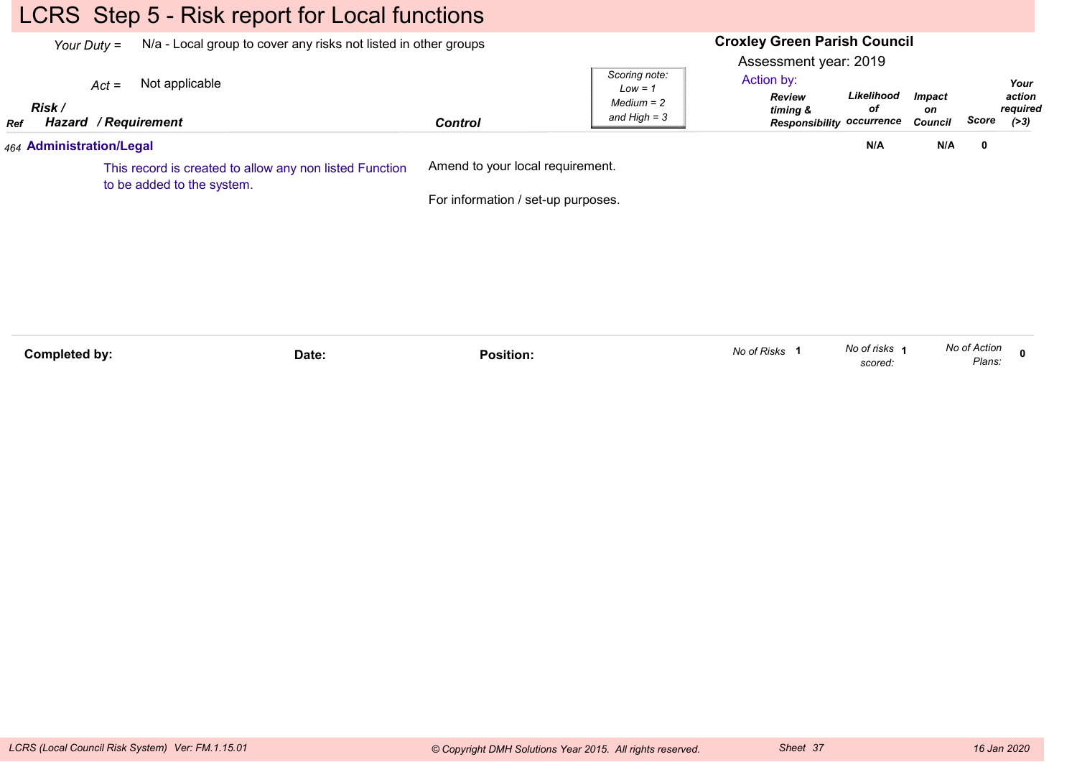### LCRS Step 5 - Risk report for Local functions

|     | Your Duty =                                                                           |                                        | N/a - Local group to cover any risks not listed in other groups |                                    |                                                              |                                                                                          | <b>Croxley Green Parish Council</b><br>Assessment year: 2019 |       |                                      |  |
|-----|---------------------------------------------------------------------------------------|----------------------------------------|-----------------------------------------------------------------|------------------------------------|--------------------------------------------------------------|------------------------------------------------------------------------------------------|--------------------------------------------------------------|-------|--------------------------------------|--|
| Ref | Risk /                                                                                | $Act =$<br><b>Hazard / Requirement</b> | Not applicable                                                  | <b>Control</b>                     | Scoring note:<br>$Low = 1$<br>$Median = 2$<br>and $High = 3$ | Action by:<br>Likelihood<br>Review<br>оf<br>timing &<br><b>Responsibility occurrence</b> | <b>Impact</b><br>on<br>Council                               | Score | Your<br>action<br>required<br>( > 3) |  |
|     |                                                                                       | 464 Administration/Legal               |                                                                 |                                    |                                                              | N/A                                                                                      | N/A                                                          | 0     |                                      |  |
|     | This record is created to allow any non listed Function<br>to be added to the system. |                                        | Amend to your local requirement.                                |                                    |                                                              |                                                                                          |                                                              |       |                                      |  |
|     |                                                                                       |                                        |                                                                 | For information / set-up purposes. |                                                              |                                                                                          |                                                              |       |                                      |  |
|     |                                                                                       |                                        |                                                                 |                                    |                                                              |                                                                                          |                                                              |       |                                      |  |
|     |                                                                                       |                                        |                                                                 |                                    |                                                              |                                                                                          |                                                              |       |                                      |  |
|     |                                                                                       |                                        |                                                                 |                                    |                                                              |                                                                                          |                                                              |       |                                      |  |
|     |                                                                                       |                                        |                                                                 |                                    |                                                              |                                                                                          |                                                              |       |                                      |  |

| Completed by: | ⊃ate: | .<br>Position. | <sup>∿</sup> '∩ of Risks ∴ | No of risks | No of<br>Action |  |
|---------------|-------|----------------|----------------------------|-------------|-----------------|--|
|               |       |                |                            | scored      | Plans:          |  |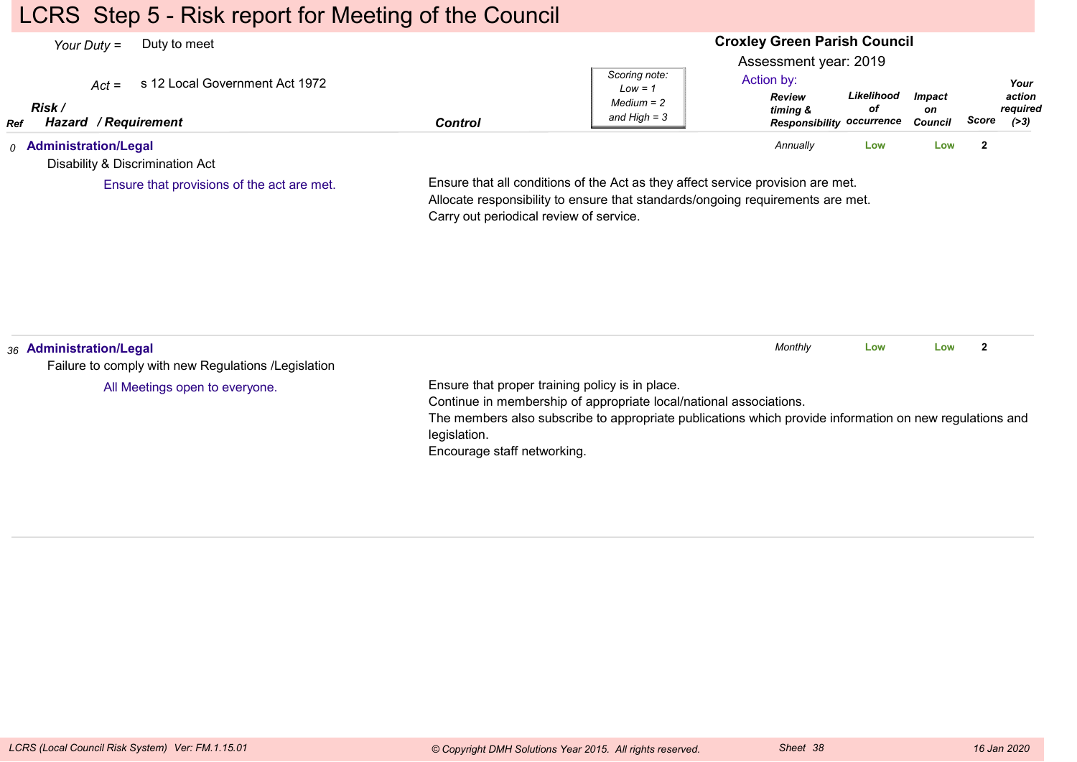### LCRS Step 5 - Risk report for Meeting of the Council

#### **Croxley Green Parish Council**Assessment year: 2019*Your Duty =* Duty to meet *Act =* s 12 Local Government Act 1972 *RefRisk / Hazard Control / RequirementReview timing & Responsibility occurrenceLikelihoodofImpacton Council ScoreScoring note:Low = 1 Medium = 2 and High = 3Your action required(>3)*Action by:*0* **Administration/Legal** Disability & Discrimination ActEnsure that all conditions of the Act as they affect service provision are met.Allocate responsibility to ensure that standards/ongoing requirements are met.Carry out periodical review of service.*Annually* **Low Low <sup>2</sup>** Ensure that provisions of the act are met.*36* **Administration/Legal** Failure to comply with new Regulations /LegislationEnsure that proper training policy is in place.Continue in membership of appropriate local/national associations.The members also subscribe to appropriate publications which provide information on new regulations andlegislation. Encourage staff networking.*Monthly* **Low Low <sup>2</sup>** All Meetings open to everyone.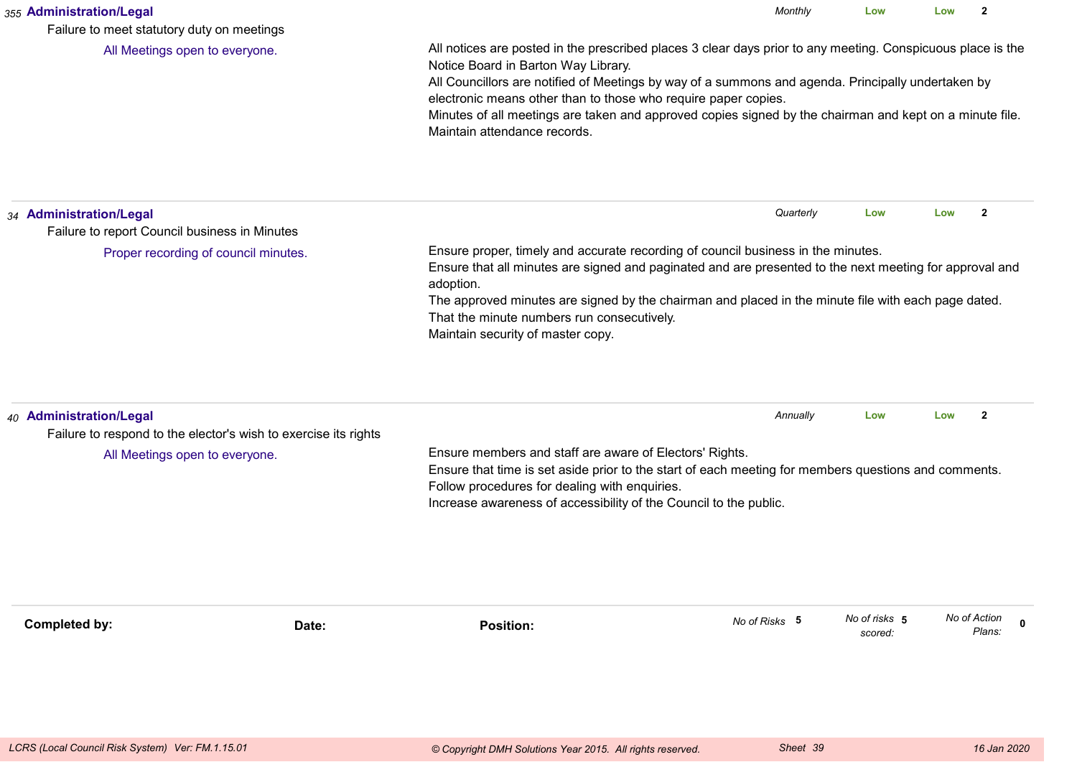| 355 Administration/Legal<br>Failure to meet statutory duty on meetings                                                       |                                                                                                                                                                                                                                                                                                                                                                                                    | Monthly                                                                                                                                                                                                                                                                                                                                                                                        | Low                      | Low          | $\mathbf{2}$          |  |  |  |
|------------------------------------------------------------------------------------------------------------------------------|----------------------------------------------------------------------------------------------------------------------------------------------------------------------------------------------------------------------------------------------------------------------------------------------------------------------------------------------------------------------------------------------------|------------------------------------------------------------------------------------------------------------------------------------------------------------------------------------------------------------------------------------------------------------------------------------------------------------------------------------------------------------------------------------------------|--------------------------|--------------|-----------------------|--|--|--|
| All Meetings open to everyone.                                                                                               | Notice Board in Barton Way Library.<br>Maintain attendance records.                                                                                                                                                                                                                                                                                                                                | All notices are posted in the prescribed places 3 clear days prior to any meeting. Conspicuous place is the<br>All Councillors are notified of Meetings by way of a summons and agenda. Principally undertaken by<br>electronic means other than to those who require paper copies.<br>Minutes of all meetings are taken and approved copies signed by the chairman and kept on a minute file. |                          |              |                       |  |  |  |
| 34 Administration/Legal<br>Failure to report Council business in Minutes                                                     |                                                                                                                                                                                                                                                                                                                                                                                                    | Quarterly                                                                                                                                                                                                                                                                                                                                                                                      | Low                      | Low          | $\overline{2}$        |  |  |  |
| Proper recording of council minutes.                                                                                         | Ensure proper, timely and accurate recording of council business in the minutes.<br>Ensure that all minutes are signed and paginated and are presented to the next meeting for approval and<br>adoption.<br>The approved minutes are signed by the chairman and placed in the minute file with each page dated.<br>That the minute numbers run consecutively.<br>Maintain security of master copy. |                                                                                                                                                                                                                                                                                                                                                                                                |                          |              |                       |  |  |  |
| 40 Administration/Legal<br>Failure to respond to the elector's wish to exercise its rights<br>All Meetings open to everyone. | Ensure members and staff are aware of Electors' Rights.<br>Ensure that time is set aside prior to the start of each meeting for members questions and comments.<br>Follow procedures for dealing with enquiries.<br>Increase awareness of accessibility of the Council to the public.                                                                                                              | Annually                                                                                                                                                                                                                                                                                                                                                                                       | Low                      | Low          | $\mathbf{2}$          |  |  |  |
| Completed by:                                                                                                                | <b>Position:</b><br>Date:                                                                                                                                                                                                                                                                                                                                                                          | No of Risks 5                                                                                                                                                                                                                                                                                                                                                                                  | No of risks 5<br>scored: | No of Action | $\mathbf 0$<br>Plans: |  |  |  |
|                                                                                                                              |                                                                                                                                                                                                                                                                                                                                                                                                    |                                                                                                                                                                                                                                                                                                                                                                                                |                          |              |                       |  |  |  |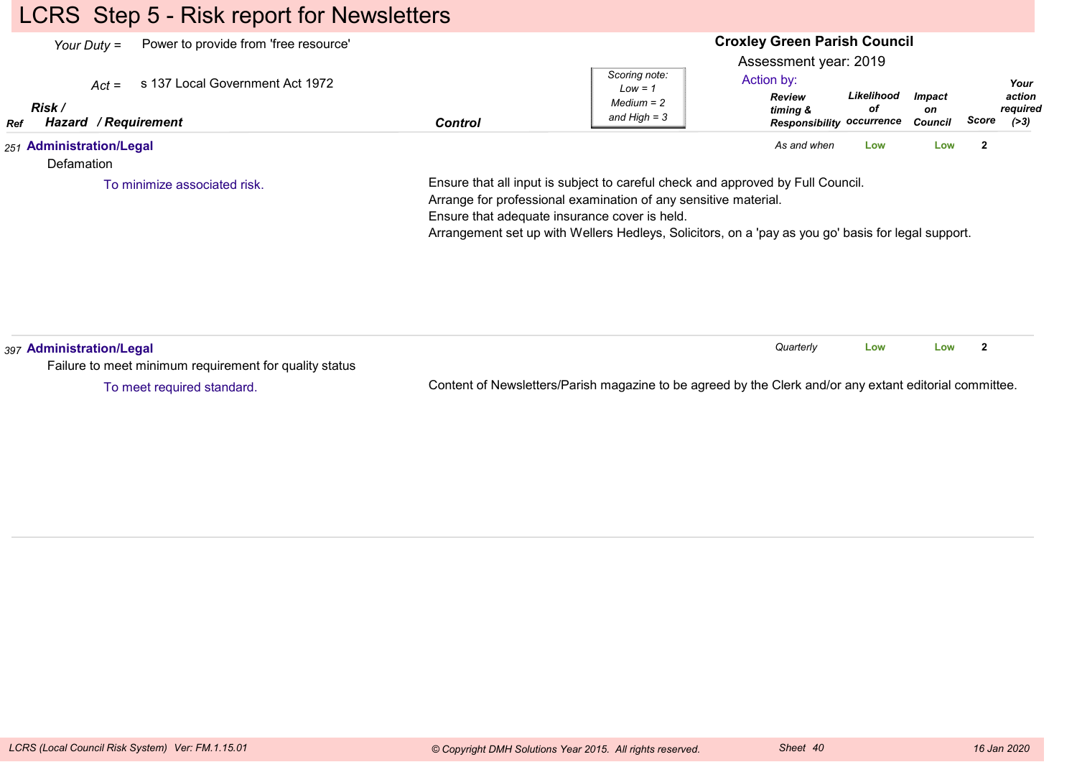# LCRS Step 5 - Risk report for Newsletters

| Power to provide from 'free resource'<br>Your Duty $=$<br>s 137 Local Government Act 1972<br>$Act =$<br>Risk /<br>Hazard / Requirement<br>Ref | <b>Control</b> | Scoring note:<br>$Low = 1$<br>$Median = 2$<br>and High $=$ 3                                                                                                                                                                                                                                              | <b>Croxley Green Parish Council</b><br>Assessment year: 2019<br>Action by:<br><b>Review</b><br>timing &<br><b>Responsibility occurrence</b> | Likelihood<br>οf | <i><b>Impact</b></i><br>on<br>Council | Your<br>action<br>required<br>Score<br>(>3) |
|-----------------------------------------------------------------------------------------------------------------------------------------------|----------------|-----------------------------------------------------------------------------------------------------------------------------------------------------------------------------------------------------------------------------------------------------------------------------------------------------------|---------------------------------------------------------------------------------------------------------------------------------------------|------------------|---------------------------------------|---------------------------------------------|
| 251 Administration/Legal<br>Defamation                                                                                                        |                |                                                                                                                                                                                                                                                                                                           | As and when                                                                                                                                 | Low              | Low                                   | $\mathbf{2}$                                |
| To minimize associated risk.                                                                                                                  |                | Ensure that all input is subject to careful check and approved by Full Council.<br>Arrange for professional examination of any sensitive material.<br>Ensure that adequate insurance cover is held.<br>Arrangement set up with Wellers Hedleys, Solicitors, on a 'pay as you go' basis for legal support. |                                                                                                                                             |                  |                                       |                                             |
| 397 Administration/Legal<br>Failure to meet minimum requirement for quality status                                                            |                |                                                                                                                                                                                                                                                                                                           | Quarterly                                                                                                                                   | Low              | Low                                   | $\mathbf{2}$                                |

To meet required standard.

Content of Newsletters/Parish magazine to be agreed by the Clerk and/or any extant editorial committee.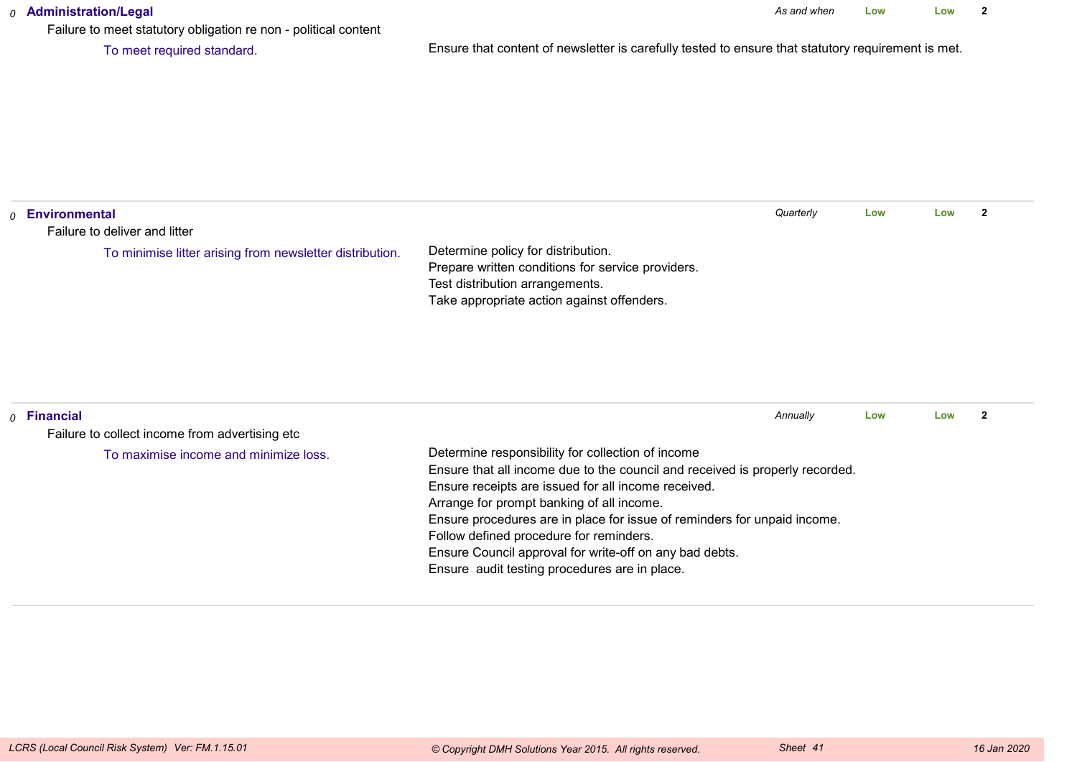#### *0* **Administration/Legal**

Failure to meet statutory obligation re non - political content

To meet required standard.

Ensure that content of newsletter is carefully tested to ensure that statutory requirement is met.

| $_0$ Environmental                                                 |                                                                                                                                                                                                                                                                                                                                                                                                                                                                          | Quarterly | Low | Low | $\overline{2}$ |
|--------------------------------------------------------------------|--------------------------------------------------------------------------------------------------------------------------------------------------------------------------------------------------------------------------------------------------------------------------------------------------------------------------------------------------------------------------------------------------------------------------------------------------------------------------|-----------|-----|-----|----------------|
| Failure to deliver and litter                                      |                                                                                                                                                                                                                                                                                                                                                                                                                                                                          |           |     |     |                |
| To minimise litter arising from newsletter distribution.           | Determine policy for distribution.<br>Prepare written conditions for service providers.<br>Test distribution arrangements.<br>Take appropriate action against offenders.                                                                                                                                                                                                                                                                                                 |           |     |     |                |
| $\rho$ Financial<br>Failure to collect income from advertising etc |                                                                                                                                                                                                                                                                                                                                                                                                                                                                          | Annually  | Low | Low | $\mathbf{2}$   |
| To maximise income and minimize loss.                              | Determine responsibility for collection of income<br>Ensure that all income due to the council and received is properly recorded.<br>Ensure receipts are issued for all income received.<br>Arrange for prompt banking of all income.<br>Ensure procedures are in place for issue of reminders for unpaid income.<br>Follow defined procedure for reminders.<br>Ensure Council approval for write-off on any bad debts.<br>Ensure audit testing procedures are in place. |           |     |     |                |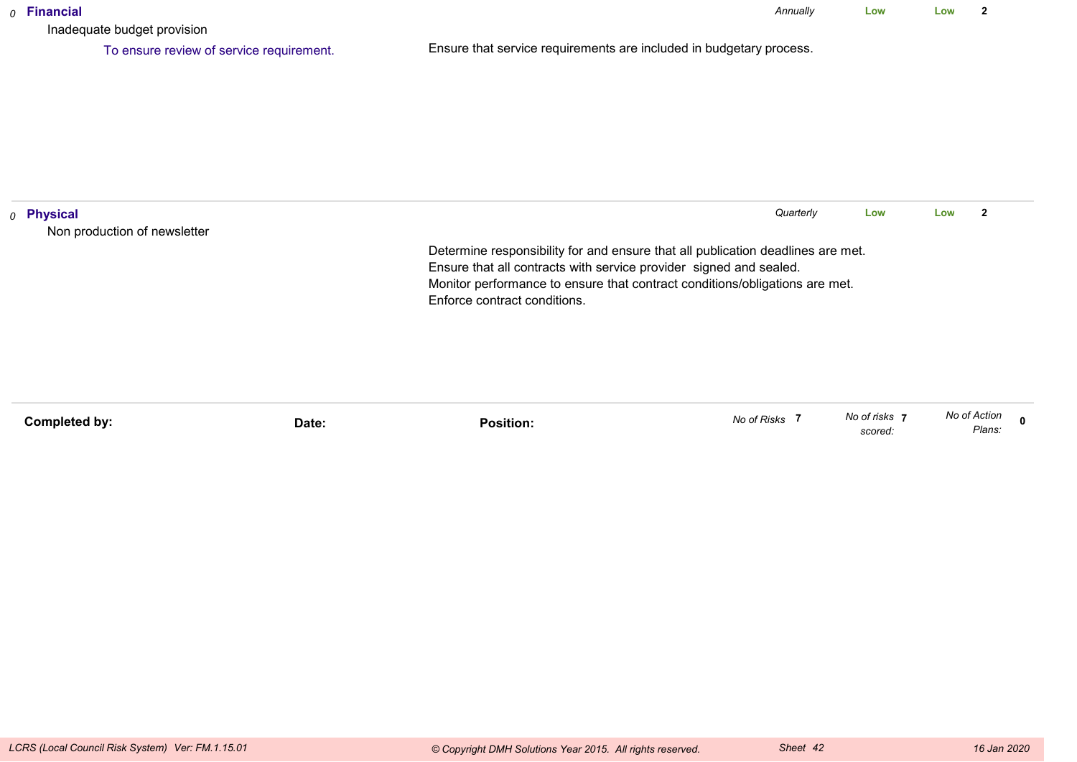| $o$ Financial<br>Inadequate budget provision          |                                                                                                                                                       | Annually  | Low | Low | 2                       |
|-------------------------------------------------------|-------------------------------------------------------------------------------------------------------------------------------------------------------|-----------|-----|-----|-------------------------|
| To ensure review of service requirement.              | Ensure that service requirements are included in budgetary process.                                                                                   |           |     |     |                         |
|                                                       |                                                                                                                                                       |           |     |     |                         |
|                                                       |                                                                                                                                                       |           |     |     |                         |
|                                                       |                                                                                                                                                       |           |     |     |                         |
|                                                       |                                                                                                                                                       |           |     |     |                         |
| <sub>0</sub> Physical<br>Non production of newsletter |                                                                                                                                                       | Quarterly | Low | Low | $\overline{\mathbf{2}}$ |
|                                                       | Determine responsibility for and ensure that all publication deadlines are met.<br>Ensure that all contracts with service provider signed and sealed. |           |     |     |                         |
|                                                       | Monitor performance to ensure that contract conditions/obligations are met.<br>Enforce contract conditions.                                           |           |     |     |                         |
|                                                       |                                                                                                                                                       |           |     |     |                         |
|                                                       |                                                                                                                                                       |           |     |     |                         |
|                                                       |                                                                                                                                                       |           |     |     |                         |

| Completed by: | Date: | Position: | No of Risks | No of risks | No of Action    |
|---------------|-------|-----------|-------------|-------------|-----------------|
|               |       |           |             | scored:     | 2000<br>-idiis. |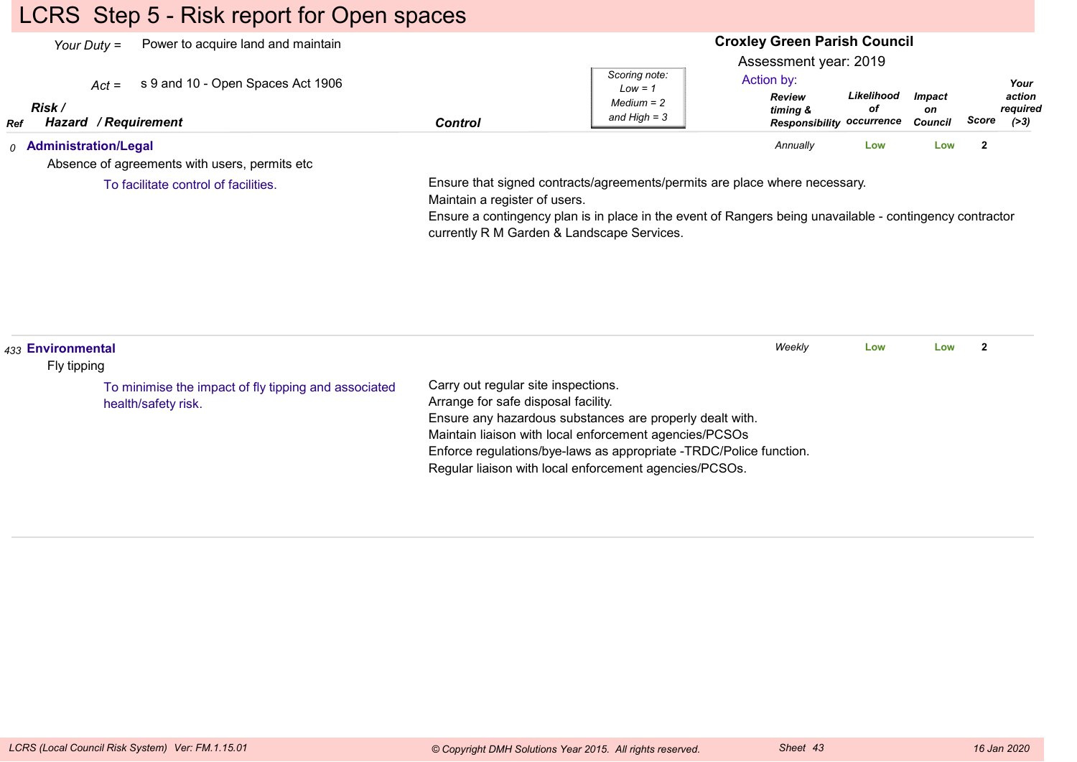# LCRS Step 5 - Risk report for Open spaces

| Power to acquire land and maintain<br>Your Duty $=$<br>s 9 and 10 - Open Spaces Act 1906<br>$Act =$<br>Risk /<br>Hazard / Requirement<br>Ref | <b>Control</b>                | Scoring note:<br>$Low = 1$<br>$Median = 2$<br>and High $=$ 3                                                                                                                                                                         | <b>Croxley Green Parish Council</b><br>Assessment year: 2019<br>Action by:<br><b>Review</b><br>timing &<br><b>Responsibility occurrence</b> | Likelihood<br>оf | <b>Impact</b><br>on<br><b>Council</b> | Score          | Your<br>action<br>required<br>( > 3) |
|----------------------------------------------------------------------------------------------------------------------------------------------|-------------------------------|--------------------------------------------------------------------------------------------------------------------------------------------------------------------------------------------------------------------------------------|---------------------------------------------------------------------------------------------------------------------------------------------|------------------|---------------------------------------|----------------|--------------------------------------|
| <sub>0</sub> Administration/Legal<br>Absence of agreements with users, permits etc.                                                          |                               |                                                                                                                                                                                                                                      | Annually                                                                                                                                    | Low              | Low                                   | $\overline{2}$ |                                      |
| To facilitate control of facilities.                                                                                                         | Maintain a register of users. | Ensure that signed contracts/agreements/permits are place where necessary.<br>Ensure a contingency plan is in place in the event of Rangers being unavailable - contingency contractor<br>currently R M Garden & Landscape Services. |                                                                                                                                             |                  |                                       |                |                                      |
|                                                                                                                                              |                               |                                                                                                                                                                                                                                      |                                                                                                                                             |                  |                                       |                |                                      |

| 433 Environmental<br>Fly tipping                                            |                                                                                                                                                                                                                                                                                                                                  | Weekly | Low | Low |  |
|-----------------------------------------------------------------------------|----------------------------------------------------------------------------------------------------------------------------------------------------------------------------------------------------------------------------------------------------------------------------------------------------------------------------------|--------|-----|-----|--|
| To minimise the impact of fly tipping and associated<br>health/safety risk. | Carry out regular site inspections.<br>Arrange for safe disposal facility.<br>Ensure any hazardous substances are properly dealt with.<br>Maintain liaison with local enforcement agencies/PCSOs<br>Enforce regulations/bye-laws as appropriate -TRDC/Police function.<br>Regular liaison with local enforcement agencies/PCSOs. |        |     |     |  |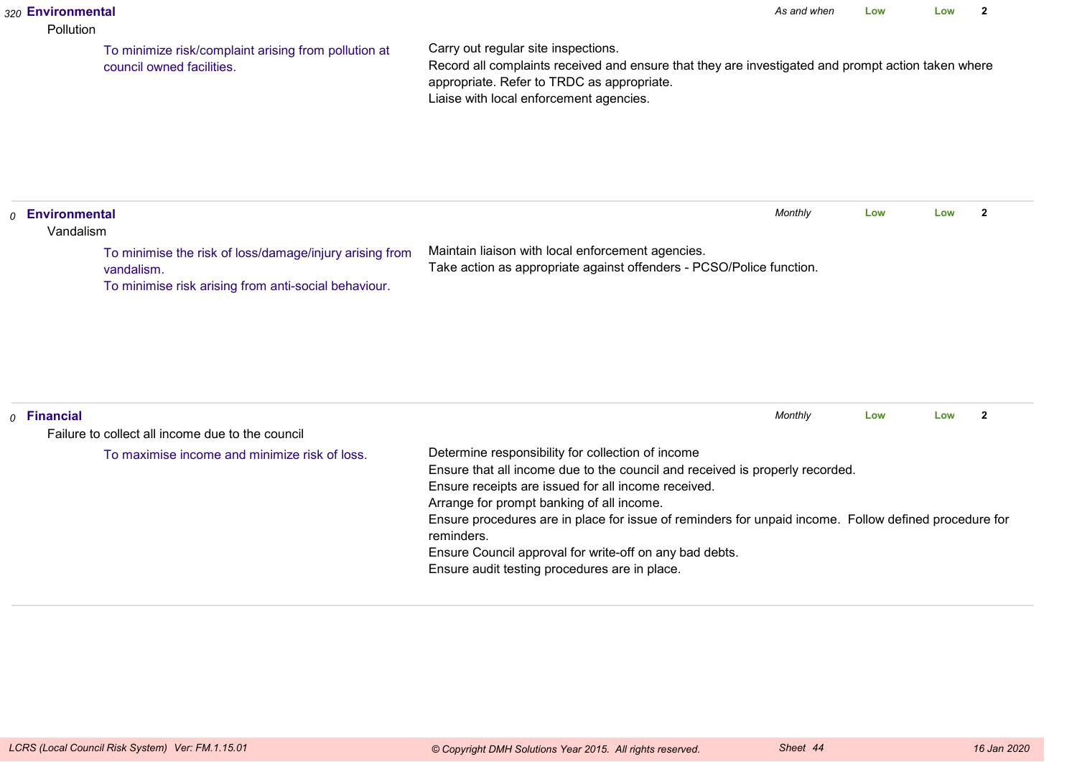#### *320* **Environmental**

#### Pollution

To minimize risk/complaint arising from pollution atcouncil owned facilities.

Carry out regular site inspections.

 Record all complaints received and ensure that they are investigated and prompt action taken whereappropriate. Refer to TRDC as appropriate.Liaise with local enforcement agencies.

| <b>Environmental</b> | Vandalism                                                                                                                     | Monthly                                                                                                                   | Low | Low |  |
|----------------------|-------------------------------------------------------------------------------------------------------------------------------|---------------------------------------------------------------------------------------------------------------------------|-----|-----|--|
|                      | To minimise the risk of loss/damage/injury arising from<br>vandalism.<br>To minimise risk arising from anti-social behaviour. | Maintain liaison with local enforcement agencies.<br>Take action as appropriate against offenders - PCSO/Police function. |     |     |  |

| $o$ Financial                                    |                                                                                                       | Monthly | Low | Low |  |  |  |  |
|--------------------------------------------------|-------------------------------------------------------------------------------------------------------|---------|-----|-----|--|--|--|--|
| Failure to collect all income due to the council |                                                                                                       |         |     |     |  |  |  |  |
| To maximise income and minimize risk of loss.    | Determine responsibility for collection of income                                                     |         |     |     |  |  |  |  |
|                                                  | Ensure that all income due to the council and received is properly recorded.                          |         |     |     |  |  |  |  |
|                                                  | Ensure receipts are issued for all income received.                                                   |         |     |     |  |  |  |  |
|                                                  | Arrange for prompt banking of all income.                                                             |         |     |     |  |  |  |  |
|                                                  | Ensure procedures are in place for issue of reminders for unpaid income. Follow defined procedure for |         |     |     |  |  |  |  |
|                                                  | reminders.                                                                                            |         |     |     |  |  |  |  |
|                                                  | Ensure Council approval for write-off on any bad debts.                                               |         |     |     |  |  |  |  |
|                                                  | Ensure audit testing procedures are in place.                                                         |         |     |     |  |  |  |  |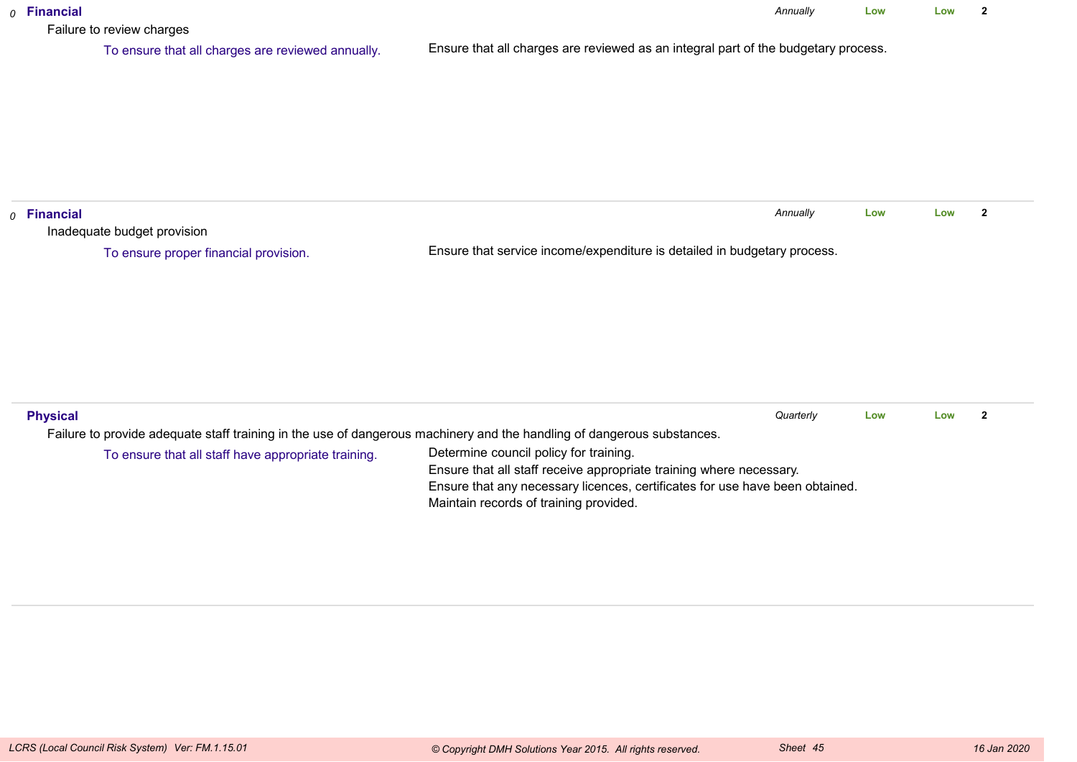| $o$ Financial<br>Failure to review charges                                                                             | Annually                                                                                                               | Low | Low | $\overline{2}$ |  |  |  |  |
|------------------------------------------------------------------------------------------------------------------------|------------------------------------------------------------------------------------------------------------------------|-----|-----|----------------|--|--|--|--|
| To ensure that all charges are reviewed annually.                                                                      | Ensure that all charges are reviewed as an integral part of the budgetary process.                                     |     |     |                |  |  |  |  |
|                                                                                                                        |                                                                                                                        |     |     |                |  |  |  |  |
|                                                                                                                        |                                                                                                                        |     |     |                |  |  |  |  |
|                                                                                                                        |                                                                                                                        |     |     |                |  |  |  |  |
|                                                                                                                        |                                                                                                                        |     |     |                |  |  |  |  |
| $o$ Financial                                                                                                          | Annually                                                                                                               | Low | Low | $\mathbf{2}$   |  |  |  |  |
| Inadequate budget provision                                                                                            |                                                                                                                        |     |     |                |  |  |  |  |
| To ensure proper financial provision.                                                                                  | Ensure that service income/expenditure is detailed in budgetary process.                                               |     |     |                |  |  |  |  |
|                                                                                                                        |                                                                                                                        |     |     |                |  |  |  |  |
|                                                                                                                        |                                                                                                                        |     |     |                |  |  |  |  |
|                                                                                                                        |                                                                                                                        |     |     |                |  |  |  |  |
|                                                                                                                        |                                                                                                                        |     |     |                |  |  |  |  |
|                                                                                                                        |                                                                                                                        |     |     |                |  |  |  |  |
|                                                                                                                        |                                                                                                                        |     |     |                |  |  |  |  |
| <b>Physical</b>                                                                                                        | Quarterly                                                                                                              | Low | Low | $\overline{2}$ |  |  |  |  |
| Failure to provide adequate staff training in the use of dangerous machinery and the handling of dangerous substances. |                                                                                                                        |     |     |                |  |  |  |  |
| To ensure that all staff have appropriate training.                                                                    | Determine council policy for training.                                                                                 |     |     |                |  |  |  |  |
|                                                                                                                        | Ensure that all staff receive appropriate training where necessary.                                                    |     |     |                |  |  |  |  |
|                                                                                                                        | Ensure that any necessary licences, certificates for use have been obtained.<br>Maintain records of training provided. |     |     |                |  |  |  |  |
|                                                                                                                        |                                                                                                                        |     |     |                |  |  |  |  |
|                                                                                                                        |                                                                                                                        |     |     |                |  |  |  |  |
|                                                                                                                        |                                                                                                                        |     |     |                |  |  |  |  |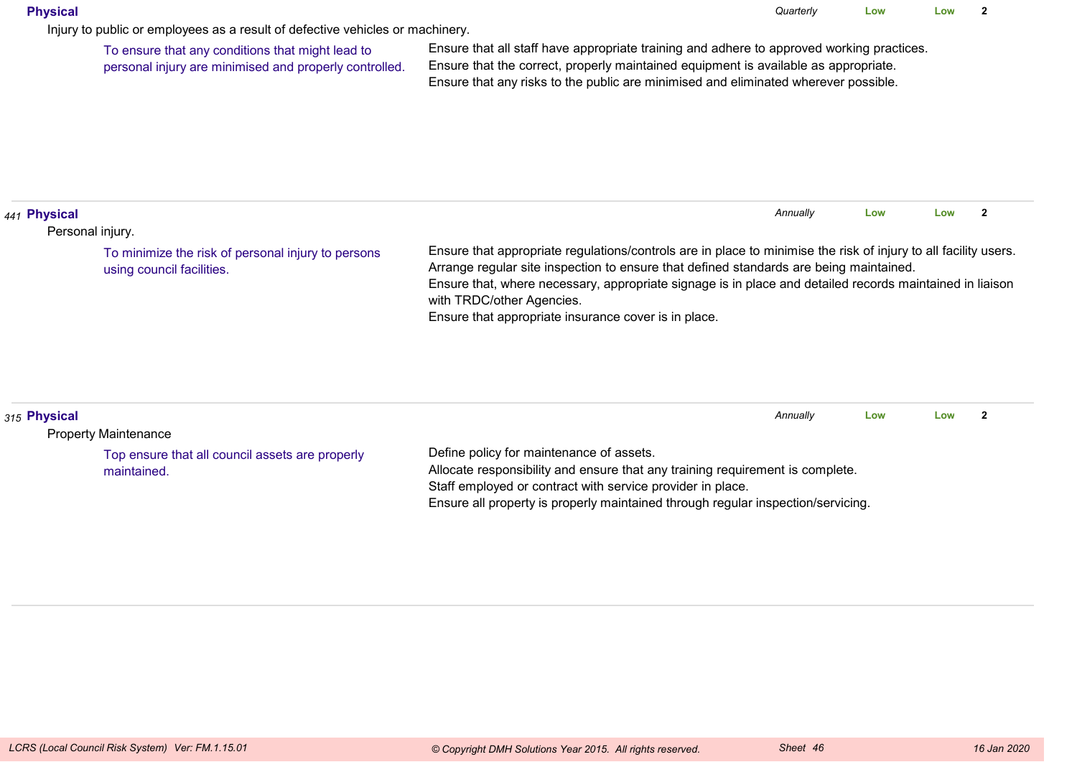#### **Physical**

Injury to public or employees as a result of defective vehicles or machinery.

To ensure that any conditions that might lead topersonal injury are minimised and properly controlled.

Ensure that all staff have appropriate training and adhere to approved working practices.Ensure that the correct, properly maintained equipment is available as appropriate.Ensure that any risks to the public are minimised and eliminated wherever possible.

| 441 Physical                                                                    |                                                                                                                                                                                                                                                                                                                                                                                                            | Annually | Low | Low |  |
|---------------------------------------------------------------------------------|------------------------------------------------------------------------------------------------------------------------------------------------------------------------------------------------------------------------------------------------------------------------------------------------------------------------------------------------------------------------------------------------------------|----------|-----|-----|--|
| Personal injury.                                                                |                                                                                                                                                                                                                                                                                                                                                                                                            |          |     |     |  |
| To minimize the risk of personal injury to persons<br>using council facilities. | Ensure that appropriate regulations/controls are in place to minimise the risk of injury to all facility users.<br>Arrange regular site inspection to ensure that defined standards are being maintained.<br>Ensure that, where necessary, appropriate signage is in place and detailed records maintained in liaison<br>with TRDC/other Agencies.<br>Ensure that appropriate insurance cover is in place. |          |     |     |  |

| 315 Physical                                    |                                                                                  | Annually | Low | Low |  |
|-------------------------------------------------|----------------------------------------------------------------------------------|----------|-----|-----|--|
| <b>Property Maintenance</b>                     |                                                                                  |          |     |     |  |
| Top ensure that all council assets are properly | Define policy for maintenance of assets.                                         |          |     |     |  |
| maintained.                                     | Allocate responsibility and ensure that any training requirement is complete.    |          |     |     |  |
|                                                 | Staff employed or contract with service provider in place.                       |          |     |     |  |
|                                                 | Ensure all property is properly maintained through regular inspection/servicing. |          |     |     |  |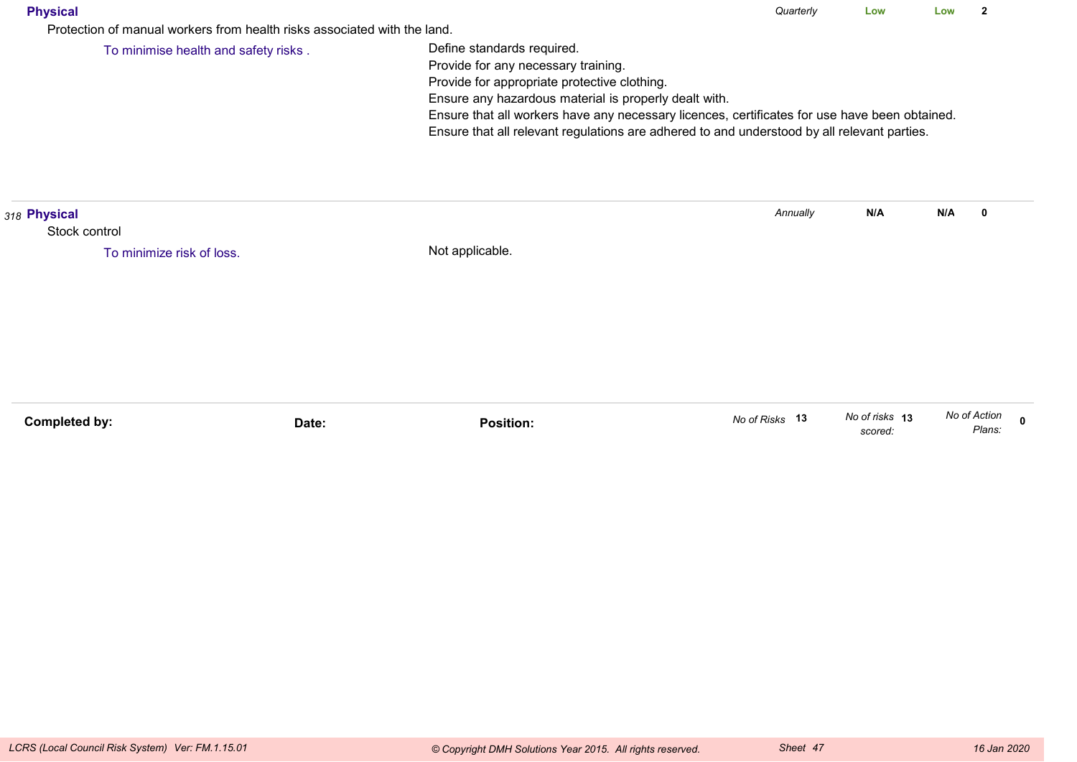| Physica |
|---------|
|---------|

Protection of manual workers from health risks associated with the land.

To minimise health and safety risks .

Define standards required.

Provide for any necessary training.

Provide for appropriate protective clothing.

Ensure any hazardous material is properly dealt with.

Ensure that all workers have any necessary licences, certificates for use have been obtained.

Ensure that all relevant regulations are adhered to and understood by all relevant parties.

| 318 Physical              |       |                  | Annually       | N/A                       | N/A<br>$\bf{0}$        |             |
|---------------------------|-------|------------------|----------------|---------------------------|------------------------|-------------|
| Stock control             |       |                  |                |                           |                        |             |
| To minimize risk of loss. |       | Not applicable.  |                |                           |                        |             |
|                           |       |                  |                |                           |                        |             |
|                           |       |                  |                |                           |                        |             |
|                           |       |                  |                |                           |                        |             |
|                           |       |                  |                |                           |                        |             |
|                           |       |                  |                |                           |                        |             |
|                           |       |                  |                |                           |                        |             |
|                           |       |                  |                |                           |                        |             |
| Completed by:             | Date: | <b>Position:</b> | No of Risks 13 | No of risks 13<br>scored: | No of Action<br>Plans: | $\mathbf 0$ |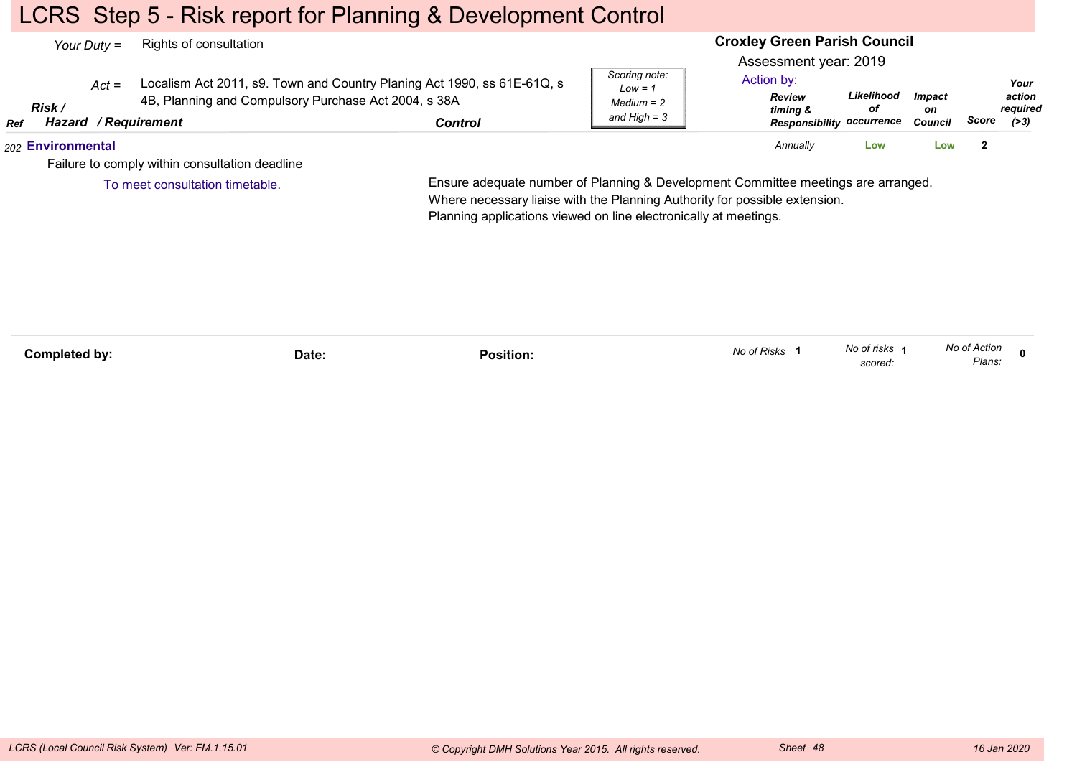### LCRS Step 5 - Risk report for Planning & Development Control

| Your Duty $=$ |                   |         | Rights of consultation                                                              |                                                                                    | <b>Croxley Green Parish Council</b>                          |                                                                                                      |                  |                                       |       |                                    |  |
|---------------|-------------------|---------|-------------------------------------------------------------------------------------|------------------------------------------------------------------------------------|--------------------------------------------------------------|------------------------------------------------------------------------------------------------------|------------------|---------------------------------------|-------|------------------------------------|--|
| <b>Ref</b>    | Risk /            | $Act =$ | 4B, Planning and Compulsory Purchase Act 2004, s 38A<br><b>Hazard / Requirement</b> | Localism Act 2011, s9. Town and Country Planing Act 1990, ss 61E-61Q, s<br>Control | Scoring note:<br>$Low = 1$<br>$Median = 2$<br>and High $=$ 3 | Assessment year: 2019<br>Action by:<br><b>Review</b><br>timing &<br><b>Responsibility occurrence</b> | Likelihood<br>οf | <i><b>Impact</b></i><br>on<br>Council | Score | Your<br>action<br>reauired<br>(>3) |  |
|               | 202 Environmental |         |                                                                                     |                                                                                    |                                                              | Annually                                                                                             | Low              | Low                                   | -2    |                                    |  |
|               |                   |         | Failure to comply within consultation deadline                                      |                                                                                    |                                                              |                                                                                                      |                  |                                       |       |                                    |  |
|               |                   |         | To meet consultation timetable.                                                     | Ensure adequate number of Planning & Development Committee meetings are arranged.  |                                                              |                                                                                                      |                  |                                       |       |                                    |  |

Ensure adequate number of Planning & Development Committee meetings are arranged.Where necessary liaise with the Planning Authority for possible extension.Planning applications viewed on line electronically at meetings.

| Completed by: | Date: | .<br>Position: | No of Risks | No of risks<br>scored: | No of Action<br>Plans:<br>$\sim$ $\sim$ |  |
|---------------|-------|----------------|-------------|------------------------|-----------------------------------------|--|
|               |       |                |             |                        |                                         |  |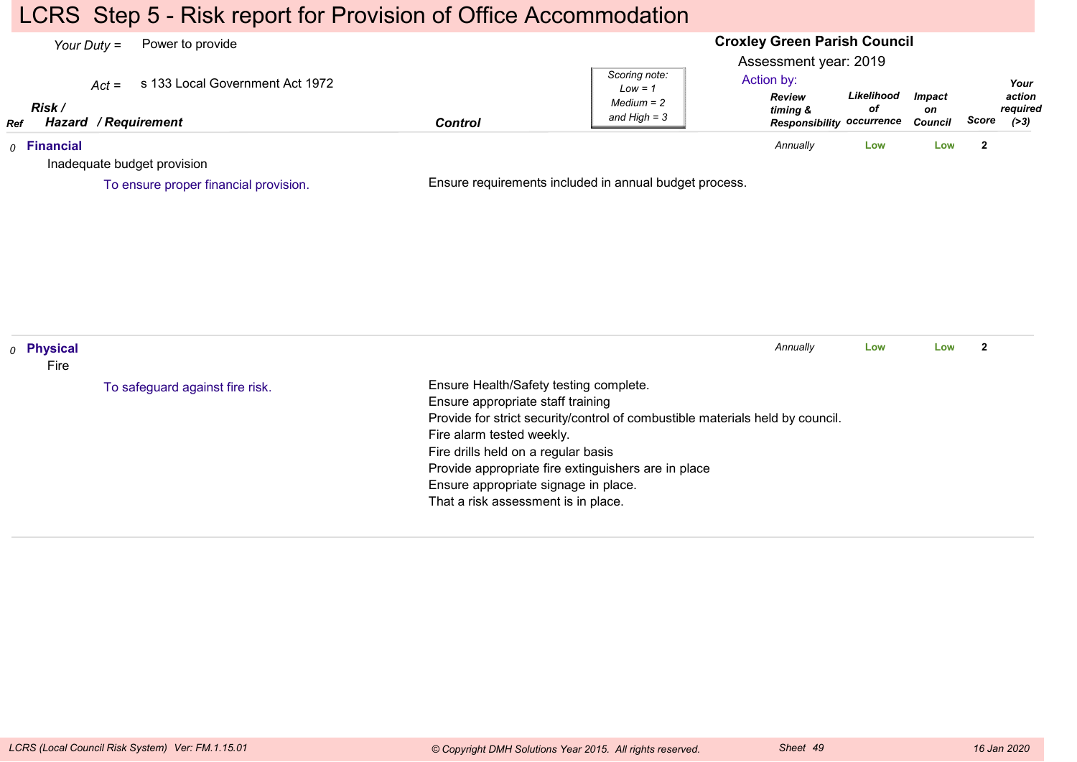### LCRS Step 5 - Risk report for Provision of Office Accommodation

#### **Croxley Green Parish Council**Assessment year: 2019*Your Duty =* Power to provide *Act =* s 133 Local Government Act 1972 *RefRisk / Hazard Control / RequirementReview timing & Responsibility occurrenceLikelihoodofImpacton Council ScoreScoring note:Low = 1 Medium = 2 and High = 3Your action required(>3)*Action by:*0* **Financial** Inadequate budget provisionEnsure requirements included in annual budget process.*Annually* **Low Low <sup>2</sup>** To ensure proper financial provision.*0* **Physical** FireEnsure Health/Safety testing complete.Ensure appropriate staff training Provide for strict security/control of combustible materials held by council.Fire alarm tested weekly.Fire drills held on a regular basis Provide appropriate fire extinguishers are in placeEnsure appropriate signage in place.That a risk assessment is in place.*Annually* **Low Low <sup>2</sup>** To safeguard against fire risk.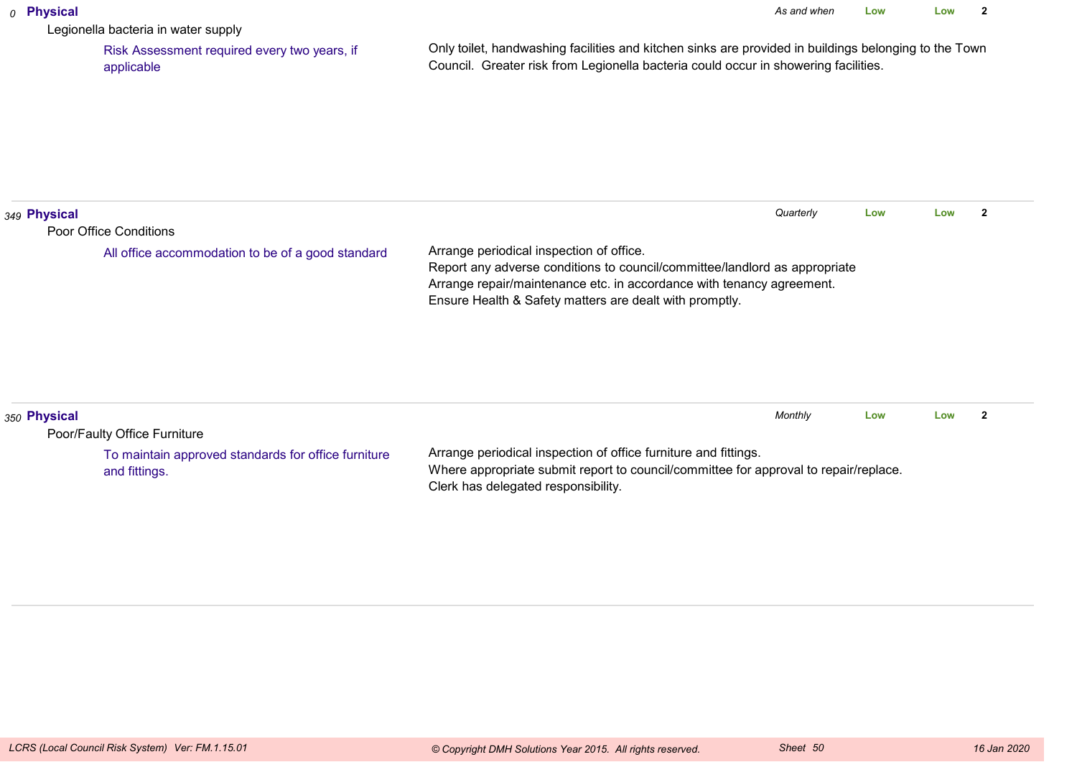#### *0* **Physical**

Legionella bacteria in water supply

 Risk Assessment required every two years, ifapplicable

Only toilet, handwashing facilities and kitchen sinks are provided in buildings belonging to the TownCouncil. Greater risk from Legionella bacteria could occur in showering facilities.

| 349 Physical |                                                                             | Quarterly                                                                                                                                                                                                                                                  | Low | Low |  |
|--------------|-----------------------------------------------------------------------------|------------------------------------------------------------------------------------------------------------------------------------------------------------------------------------------------------------------------------------------------------------|-----|-----|--|
|              | Poor Office Conditions<br>All office accommodation to be of a good standard | Arrange periodical inspection of office.<br>Report any adverse conditions to council/committee/landlord as appropriate<br>Arrange repair/maintenance etc. in accordance with tenancy agreement.<br>Ensure Health & Safety matters are dealt with promptly. |     |     |  |
| 350 Physical | Poor/Faulty Office Furniture                                                | Monthly                                                                                                                                                                                                                                                    | Low | Low |  |
|              | To maintain approved standards for office furniture<br>and fittings.        | Arrange periodical inspection of office furniture and fittings.<br>Where appropriate submit report to council/committee for approval to repair/replace.                                                                                                    |     |     |  |

Clerk has delegated responsibility.

and fittings.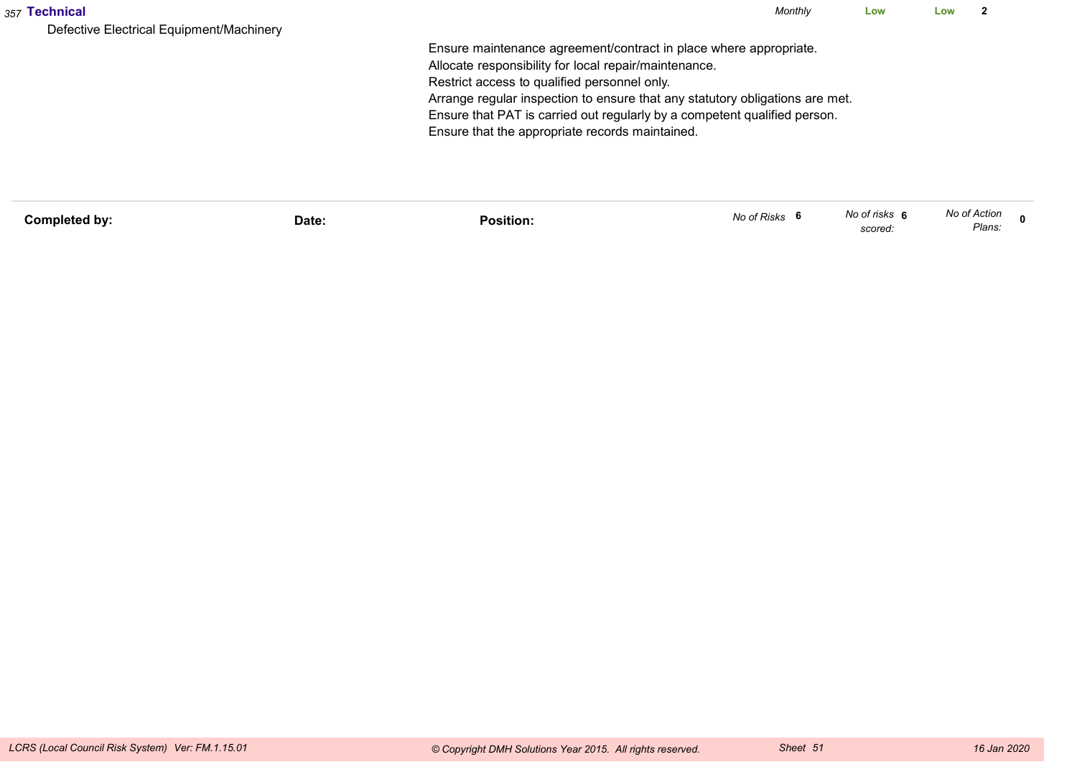| 357 Technical                                                                                         | Monthly | Low | Low | ົ |
|-------------------------------------------------------------------------------------------------------|---------|-----|-----|---|
| Defective Electrical Equipment/Machinery                                                              |         |     |     |   |
| Ensure maintenance agreement/contract in place where appropriate.                                     |         |     |     |   |
| Allocate responsibility for local repair/maintenance.<br>Restrict access to qualified personnel only. |         |     |     |   |
| Arrange regular inspection to ensure that any statutory obligations are met.                          |         |     |     |   |
| Ensure that PAT is carried out regularly by a competent qualified person.                             |         |     |     |   |
| Ensure that the appropriate records maintained.                                                       |         |     |     |   |
|                                                                                                       |         |     |     |   |
|                                                                                                       |         |     |     |   |
|                                                                                                       |         |     |     |   |

| Completed by: | Date: | Position: | No of Risks | No of risks 6<br>scored: | No of Action<br>Plans: |  |
|---------------|-------|-----------|-------------|--------------------------|------------------------|--|
|               |       |           |             |                          |                        |  |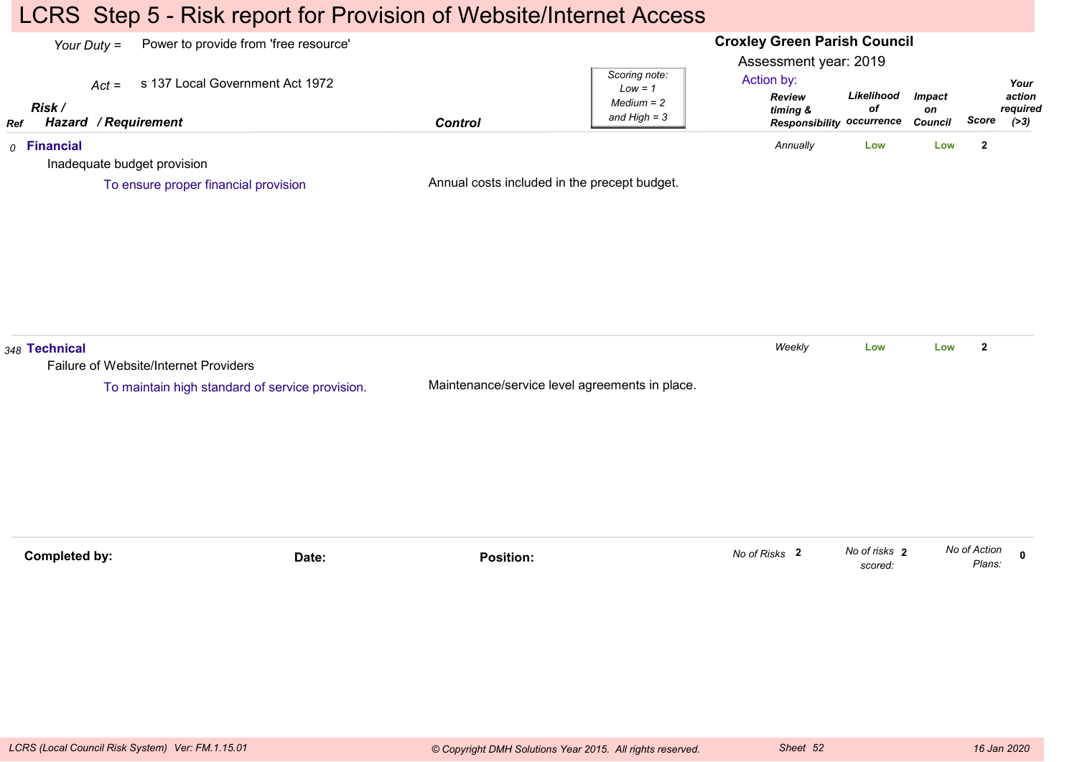### LCRS Step 5 - Risk report for Provision of Website/Internet Access

#### **Croxley Green Parish Council**Assessment year: 2019*Your Duty =* Power to provide from 'free resource' *Act =* s 137 Local Government Act 1972 *RefRisk / Hazard Control / RequirementReview timing & Responsibility occurrenceLikelihoodofImpacton Council ScoreScoring note:Low = 1 Medium = 2 and High = 3Your action required(>3)*Action by:*0* **Financial** Inadequate budget provisionAnnual costs included in the precept budget.*Annually* **Low Low <sup>2</sup>** To ensure proper financial provision*348* **Technical** Failure of Website/Internet ProvidersMaintenance/service level agreements in place.*Weekly* **Low Low <sup>2</sup>** To maintain high standard of service provision.**Completed by: Date: Position: <sup>0</sup>** *No of risks scored:***2** *No of Action Plans:No of Risks* **<sup>2</sup>**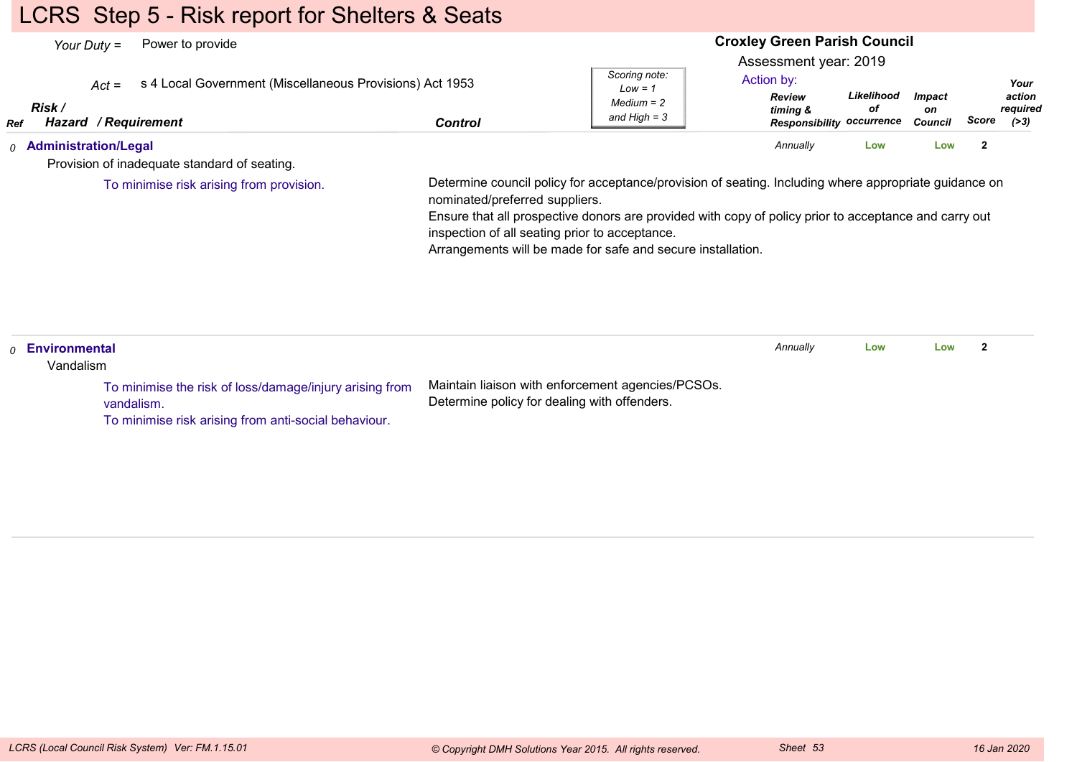## LCRS Step 5 - Risk report for Shelters & Seats

| Power to provide<br>Your Duty $=$                                                                                   |                                                |                                                                                                                                                                      | <b>Croxley Green Parish Council</b>                                                                  |                  |                                       |                |                                      |
|---------------------------------------------------------------------------------------------------------------------|------------------------------------------------|----------------------------------------------------------------------------------------------------------------------------------------------------------------------|------------------------------------------------------------------------------------------------------|------------------|---------------------------------------|----------------|--------------------------------------|
| s 4 Local Government (Miscellaneous Provisions) Act 1953<br>$Act =$<br>Risk /<br><b>Hazard / Requirement</b><br>Ref | <b>Control</b>                                 | Scoring note:<br>$Low = 1$<br>$Median = 2$<br>and High $=$ 3                                                                                                         | Assessment year: 2019<br>Action by:<br><b>Review</b><br>timing &<br><b>Responsibility occurrence</b> | Likelihood<br>оf | <b>Impact</b><br>on<br><b>Council</b> | Score          | Your<br>action<br>required<br>( > 3) |
| 0 Administration/Legal                                                                                              |                                                |                                                                                                                                                                      | Annually                                                                                             | Low              | Low                                   | $\overline{2}$ |                                      |
| Provision of inadequate standard of seating.                                                                        |                                                |                                                                                                                                                                      |                                                                                                      |                  |                                       |                |                                      |
|                                                                                                                     | inspection of all seating prior to acceptance. | Ensure that all prospective donors are provided with copy of policy prior to acceptance and carry out<br>Arrangements will be made for safe and secure installation. |                                                                                                      |                  |                                       |                |                                      |
| Environmental<br>$\Omega$<br>Vandalism                                                                              |                                                |                                                                                                                                                                      | Annually                                                                                             | Low              | Low                                   | $\mathbf{2}$   |                                      |
| To minimise the risk of loss/damage/injury arising from<br>vandalism.                                               | Determine policy for dealing with offenders.   | Maintain liaison with enforcement agencies/PCSOs.                                                                                                                    |                                                                                                      |                  |                                       |                |                                      |

To minimise risk arising from anti-social behaviour.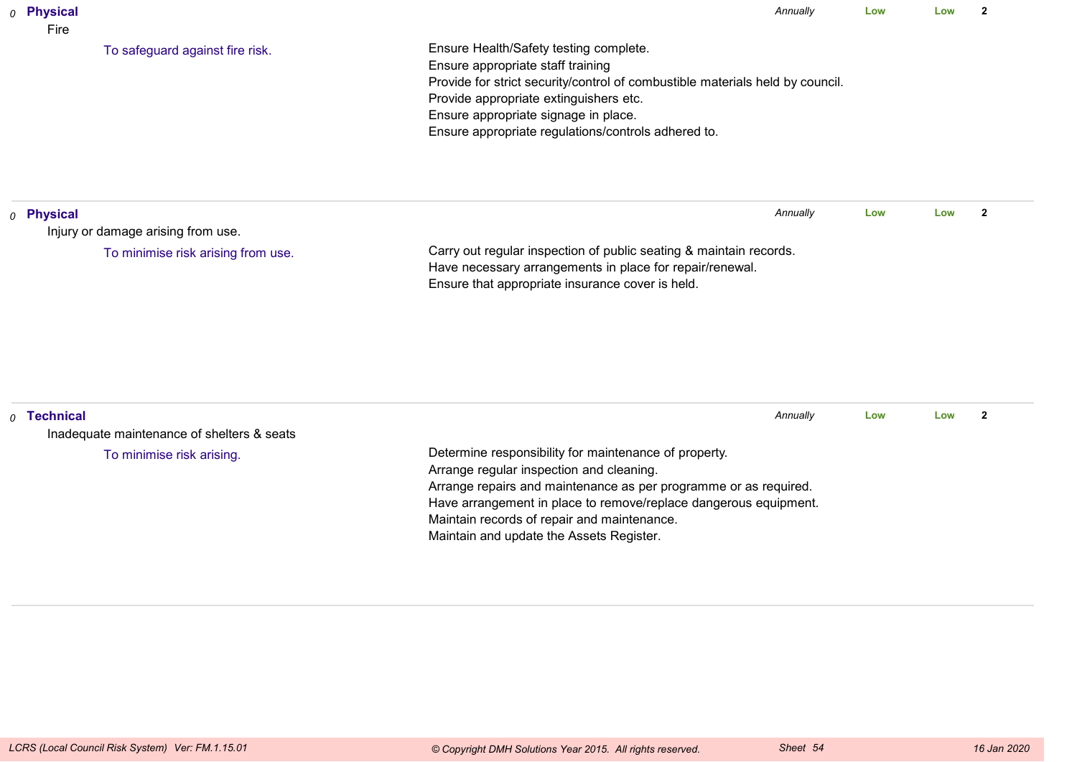| $0$ Physical<br>Fire |                                            |                                                                                                                                                                                                                                                                                                       | Annually | Low | Low | $\overline{2}$ |
|----------------------|--------------------------------------------|-------------------------------------------------------------------------------------------------------------------------------------------------------------------------------------------------------------------------------------------------------------------------------------------------------|----------|-----|-----|----------------|
|                      | To safeguard against fire risk.            | Ensure Health/Safety testing complete.<br>Ensure appropriate staff training<br>Provide for strict security/control of combustible materials held by council.<br>Provide appropriate extinguishers etc.<br>Ensure appropriate signage in place.<br>Ensure appropriate regulations/controls adhered to. |          |     |     |                |
| $o$ Physical         |                                            |                                                                                                                                                                                                                                                                                                       | Annually | Low | Low | $\overline{2}$ |
|                      | Injury or damage arising from use.         |                                                                                                                                                                                                                                                                                                       |          |     |     |                |
|                      | To minimise risk arising from use.         | Carry out regular inspection of public seating & maintain records.<br>Have necessary arrangements in place for repair/renewal.<br>Ensure that appropriate insurance cover is held.                                                                                                                    |          |     |     |                |
| $0$ Technical        | Inadequate maintenance of shelters & seats |                                                                                                                                                                                                                                                                                                       | Annually | Low | Low | $\overline{2}$ |
|                      | To minimise risk arising.                  | Determine responsibility for maintenance of property.<br>Arrange regular inspection and cleaning.<br>Arrange repairs and maintenance as per programme or as required.                                                                                                                                 |          |     |     |                |

Maintain records of repair and maintenance.Maintain and update the Assets Register.

Have arrangement in place to remove/replace dangerous equipment.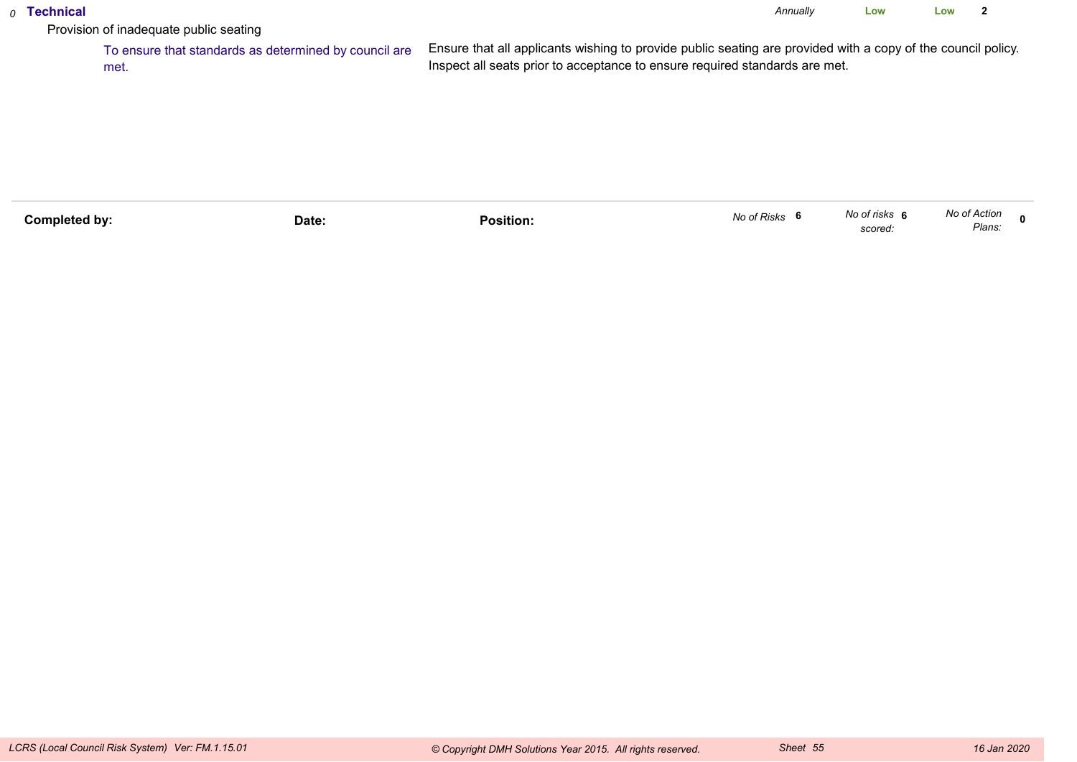### *0* **Technical**

*Annually* **LowLow <sup>2</sup>**

Provision of inadequate public seating

 To ensure that standards as determined by council areEnsure that all applicants wishing to provide public seating are provided with a copy of the council policy.Inspect all seats prior to acceptance to ensure required standards are met.met.

| Completed by: | Date: | .<br>Position: | No of Risks | No of risks<br>scored. | No of Action<br>Plans. |  |
|---------------|-------|----------------|-------------|------------------------|------------------------|--|
|               |       |                |             |                        |                        |  |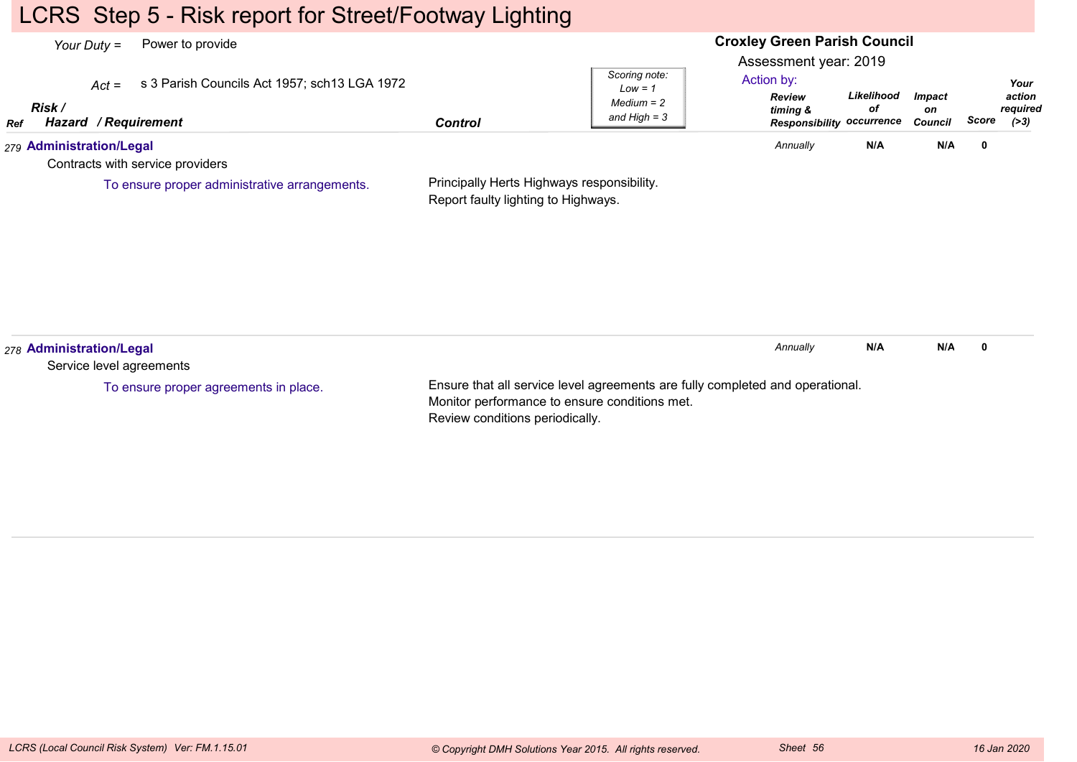### LCRS Step 5 - Risk report for Street/Footway Lighting

#### **Croxley Green Parish Council**Assessment year: 2019*Your Duty =* Power to provide *Act =* s 3 Parish Councils Act 1957; sch13 LGA 1972 *RefRisk / Hazard Control / RequirementReview timing & Responsibility occurrenceLikelihoodofImpacton Council ScoreScoring note:Low = 1 Medium = 2 and High = 3Your action required(>3)*Action by:*279* **Administration/Legal** Contracts with service providersPrincipally Herts Highways responsibility.Report faulty lighting to Highways.*Annually* **N/A N/A <sup>0</sup>** To ensure proper administrative arrangements.*278* **Administration/Legal** Service level agreementsEnsure that all service level agreements are fully completed and operational.Monitor performance to ensure conditions met.*Annually* **N/A N/A <sup>0</sup>** To ensure proper agreements in place.

Review conditions periodically.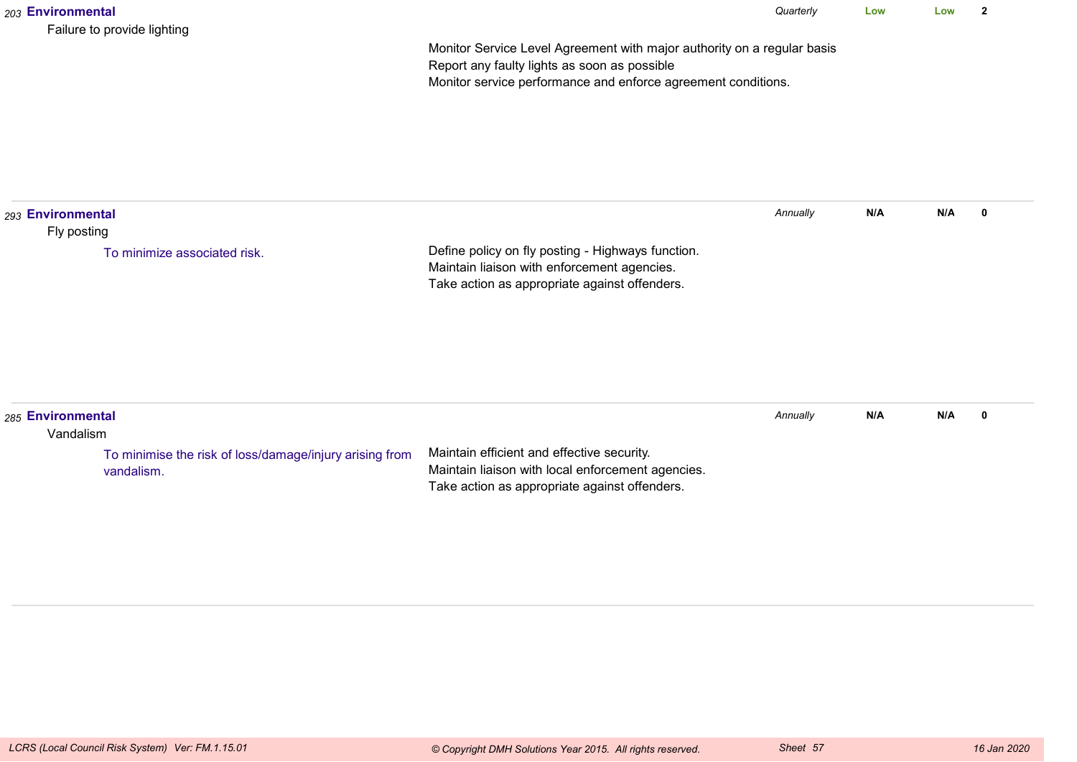| 203 Environmental                | Failure to provide lighting                                           |                                                                                                                                                                                          | Quarterly | Low | Low | $\mathbf{2}$ |
|----------------------------------|-----------------------------------------------------------------------|------------------------------------------------------------------------------------------------------------------------------------------------------------------------------------------|-----------|-----|-----|--------------|
|                                  |                                                                       | Monitor Service Level Agreement with major authority on a regular basis<br>Report any faulty lights as soon as possible<br>Monitor service performance and enforce agreement conditions. |           |     |     |              |
| 293 Environmental<br>Fly posting |                                                                       |                                                                                                                                                                                          | Annually  | N/A | N/A | 0            |
|                                  | To minimize associated risk.                                          | Define policy on fly posting - Highways function.<br>Maintain liaison with enforcement agencies.<br>Take action as appropriate against offenders.                                        |           |     |     |              |
|                                  |                                                                       |                                                                                                                                                                                          |           |     |     |              |
| 285 Environmental<br>Vandalism   |                                                                       |                                                                                                                                                                                          | Annually  | N/A | N/A | $\mathbf 0$  |
|                                  | To minimise the risk of loss/damage/injury arising from<br>vandalism. | Maintain efficient and effective security.<br>Maintain liaison with local enforcement agencies.<br>Take action as appropriate against offenders.                                         |           |     |     |              |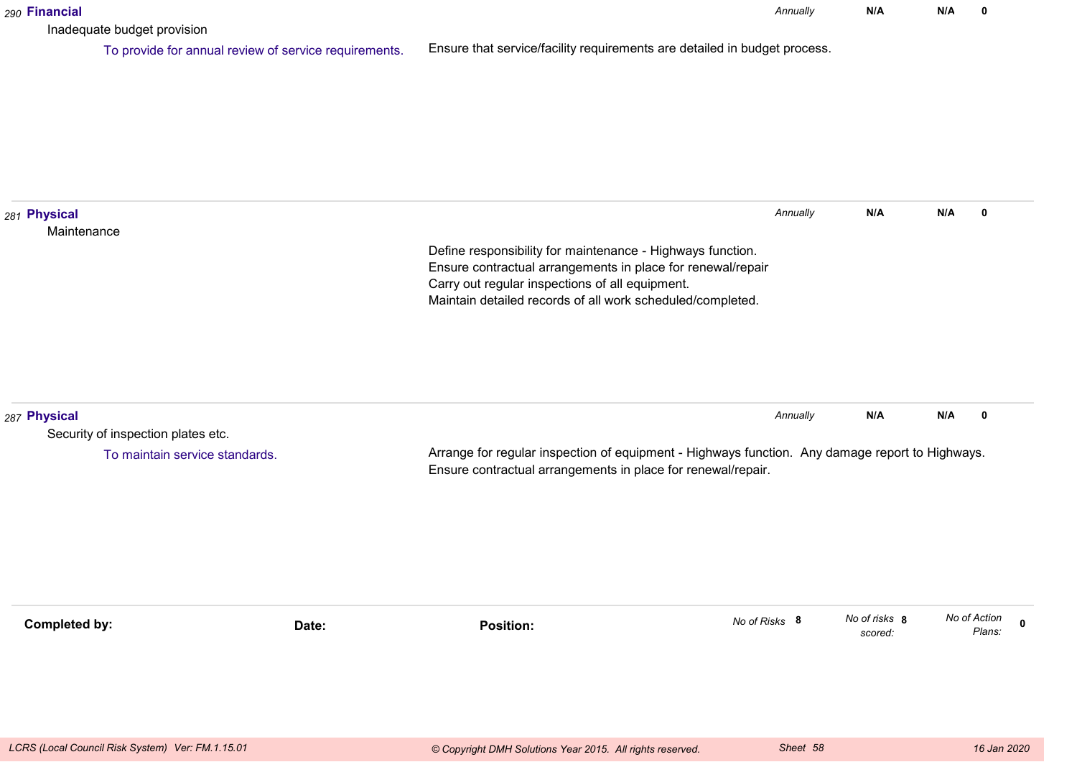| 290 Financial               |                                                                                      |                                                                                                                                                                                                                                            | Annually      | N/A                      | N/A |              | 0                     |
|-----------------------------|--------------------------------------------------------------------------------------|--------------------------------------------------------------------------------------------------------------------------------------------------------------------------------------------------------------------------------------------|---------------|--------------------------|-----|--------------|-----------------------|
|                             | Inadequate budget provision<br>To provide for annual review of service requirements. | Ensure that service/facility requirements are detailed in budget process.                                                                                                                                                                  |               |                          |     |              |                       |
| 281 Physical<br>Maintenance |                                                                                      | Define responsibility for maintenance - Highways function.<br>Ensure contractual arrangements in place for renewal/repair<br>Carry out regular inspections of all equipment.<br>Maintain detailed records of all work scheduled/completed. | Annually      | N/A                      | N/A |              | 0                     |
| 287 Physical                | Security of inspection plates etc.<br>To maintain service standards.                 | Arrange for regular inspection of equipment - Highways function. Any damage report to Highways.<br>Ensure contractual arrangements in place for renewal/repair.                                                                            | Annually      | N/A                      | N/A |              | 0                     |
| <b>Completed by:</b>        | Date:                                                                                | <b>Position:</b>                                                                                                                                                                                                                           | No of Risks 8 | No of risks 8<br>scored: |     | No of Action | $\mathbf 0$<br>Plans: |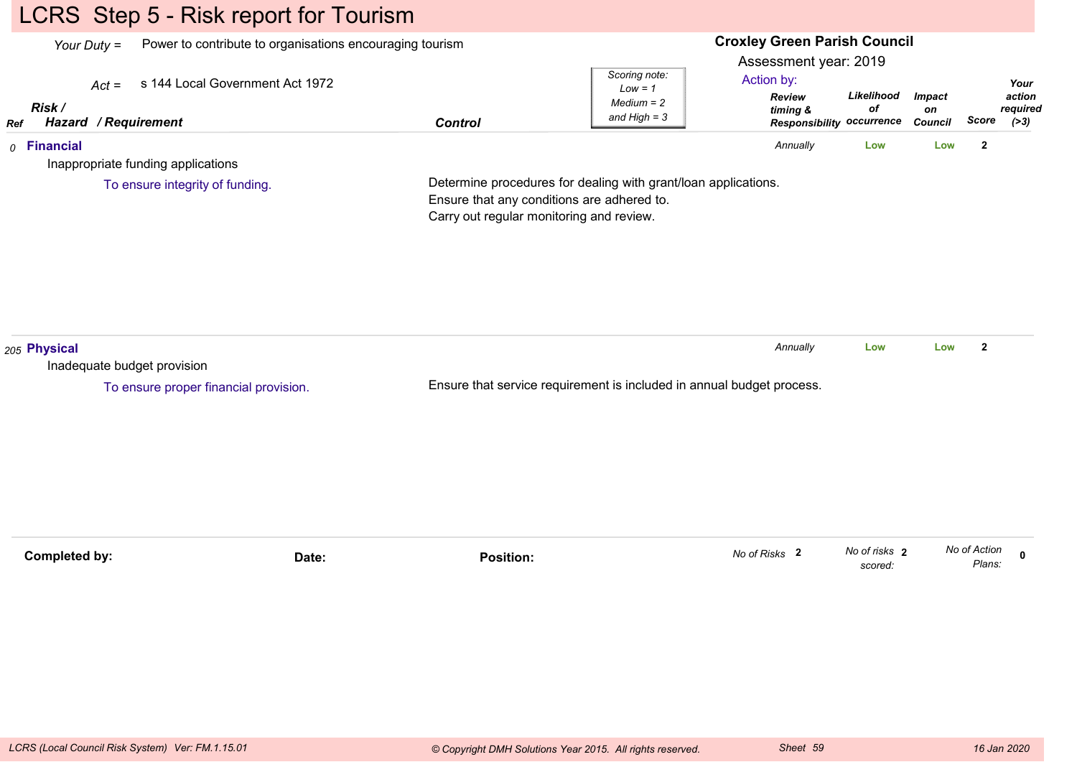# LCRS Step 5 - Risk report for Tourism

|                      | Your Duty $=$                              | Power to contribute to organisations encouraging tourism |                                          |                                                                                                              | <b>Croxley Green Parish Council</b>                  |                          |                      |                        |                    |  |
|----------------------|--------------------------------------------|----------------------------------------------------------|------------------------------------------|--------------------------------------------------------------------------------------------------------------|------------------------------------------------------|--------------------------|----------------------|------------------------|--------------------|--|
|                      | s 144 Local Government Act 1972<br>$Act =$ |                                                          |                                          | Scoring note:<br>$Low = 1$<br>$Median = 2$                                                                   | Assessment year: 2019<br>Action by:<br><b>Review</b> | Likelihood               | <b>Impact</b>        |                        | Your<br>action     |  |
| Risk /<br>Ref        | Hazard / Requirement                       |                                                          | <b>Control</b>                           | and $High = 3$                                                                                               | timing &<br><b>Responsibility</b>                    | of<br>occurrence         | on<br><b>Council</b> | Score                  | required<br>( > 3) |  |
| $0$ Financial        | Inappropriate funding applications         |                                                          |                                          |                                                                                                              | Annually                                             | Low                      | Low                  | $\overline{2}$         |                    |  |
|                      | To ensure integrity of funding.            |                                                          | Carry out regular monitoring and review. | Determine procedures for dealing with grant/loan applications.<br>Ensure that any conditions are adhered to. |                                                      |                          |                      |                        |                    |  |
| 205 Physical         | Inadequate budget provision                |                                                          |                                          |                                                                                                              | Annually                                             | Low                      | Low                  | $\overline{2}$         |                    |  |
|                      | To ensure proper financial provision.      |                                                          |                                          | Ensure that service requirement is included in annual budget process.                                        |                                                      |                          |                      |                        |                    |  |
|                      |                                            |                                                          |                                          |                                                                                                              |                                                      |                          |                      |                        |                    |  |
| <b>Completed by:</b> |                                            | Date:                                                    | <b>Position:</b>                         |                                                                                                              | No of Risks 2                                        | No of risks 2<br>scored: |                      | No of Action<br>Plans: | 0                  |  |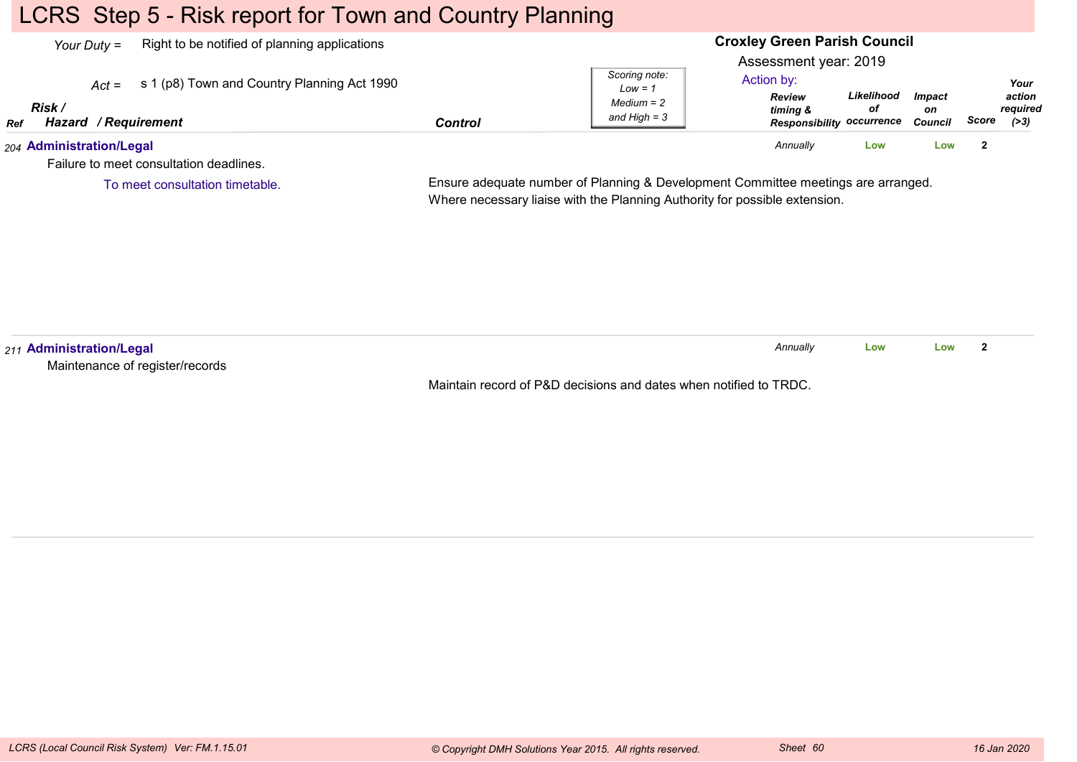### LCRS Step 5 - Risk report for Town and Country Planning

To meet consultation timetable.

| Right to be notified of planning applications<br>Your Duty $=$                                                |         | <b>Croxley Green Parish Council</b><br>Assessment year: 2019<br>Scoring note:          |                                                      |                                |       |                                      |
|---------------------------------------------------------------------------------------------------------------|---------|----------------------------------------------------------------------------------------|------------------------------------------------------|--------------------------------|-------|--------------------------------------|
| s 1 (p8) Town and Country Planning Act 1990<br>$Act =$<br>Risk /<br><b>Hazard / Requirement</b><br><b>Ref</b> | Control | Action by:<br>$Low = 1$<br><b>Review</b><br>$Median = 2$<br>timina &<br>and High $=$ 3 | Likelihood<br>οf<br><b>Responsibility occurrence</b> | <b>Impact</b><br>on<br>Council | Score | Your<br>action<br>required<br>( > 3) |
| 204 Administration/Legal<br>Failure to meet consultation deadlines.                                           |         | Annually                                                                               | Low                                                  | LOW                            |       |                                      |

Ensure adequate number of Planning & Development Committee meetings are arranged.

Where necessary liaise with the Planning Authority for possible extension.

*211* **Administration/Legal** Maintenance of register/recordsMaintain record of P&D decisions and dates when notified to TRDC.*Annually* **LowLow <sup>2</sup>**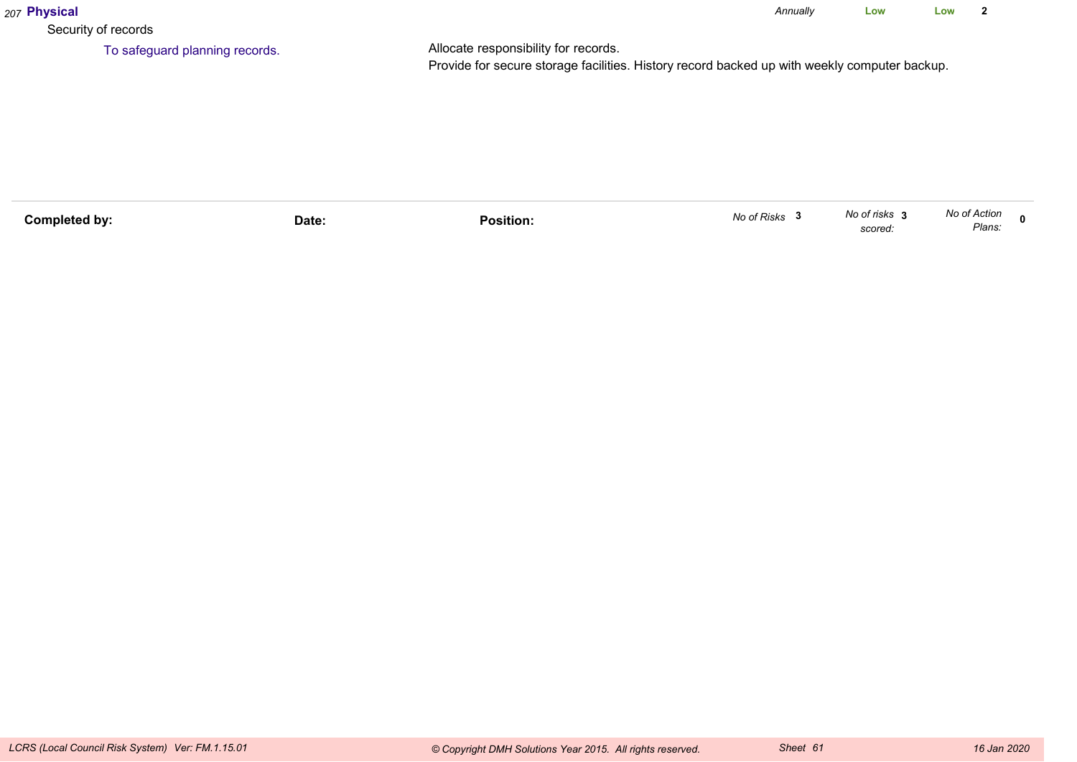| 207 Physical                   |                                                                                                                                      | Annually | Low | Low |  |
|--------------------------------|--------------------------------------------------------------------------------------------------------------------------------------|----------|-----|-----|--|
| Security of records            |                                                                                                                                      |          |     |     |  |
| To safeguard planning records. | Allocate responsibility for records.<br>Provide for secure storage facilities. History record backed up with weekly computer backup. |          |     |     |  |

| Completed bv: | Date: | .<br>Position. | No of Risks | No of risks<br>scored: | No of Action<br>Plans. |  |
|---------------|-------|----------------|-------------|------------------------|------------------------|--|
|               |       |                |             |                        |                        |  |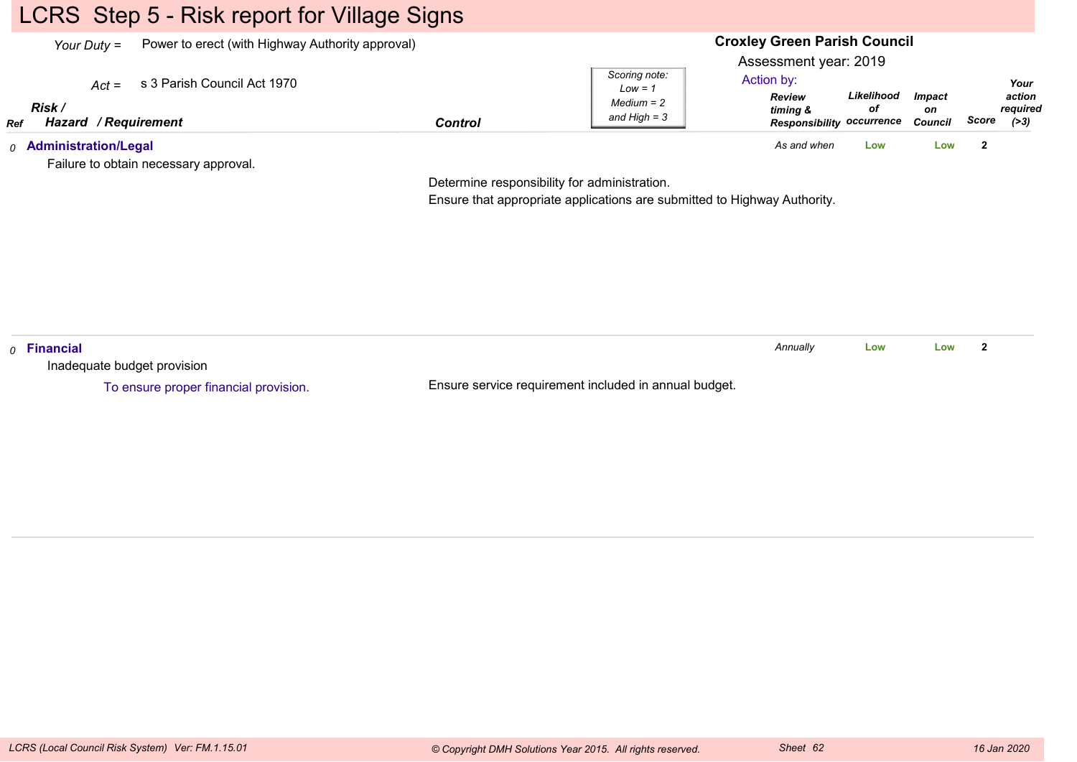# LCRS Step 5 - Risk report for Village Signs

| Power to erect (with Highway Authority approval)<br>Your Duty $=$ |                                       |                | <b>Croxley Green Parish Council</b>                          |                                                                                                      |                  |                                       |       |                                      |
|-------------------------------------------------------------------|---------------------------------------|----------------|--------------------------------------------------------------|------------------------------------------------------------------------------------------------------|------------------|---------------------------------------|-------|--------------------------------------|
| $Act =$<br>Risk<br>Hazard / Requirement<br>Ref                    | s 3 Parish Council Act 1970           | <b>Control</b> | Scoring note:<br>$Low = 1$<br>$Median = 2$<br>and High $=$ 3 | Assessment year: 2019<br>Action by:<br><b>Review</b><br>timing &<br><b>Responsibility occurrence</b> | Likelihood<br>οf | <i><b>Impact</b></i><br>on<br>Council | Score | Your<br>action<br>required<br>( > 3) |
| <sub>0</sub> Administration/Legal                                 | Failure to obtain necessary approval. |                |                                                              | As and when                                                                                          | Low              | Low                                   |       |                                      |

Determine responsibility for administration.

Ensure that appropriate applications are submitted to Highway Authority.

| $\rho$ Financial                      |                                                       | Annuallv | Low | Low |  |
|---------------------------------------|-------------------------------------------------------|----------|-----|-----|--|
| Inadequate budget provision           |                                                       |          |     |     |  |
| To ensure proper financial provision. | Ensure service requirement included in annual budget. |          |     |     |  |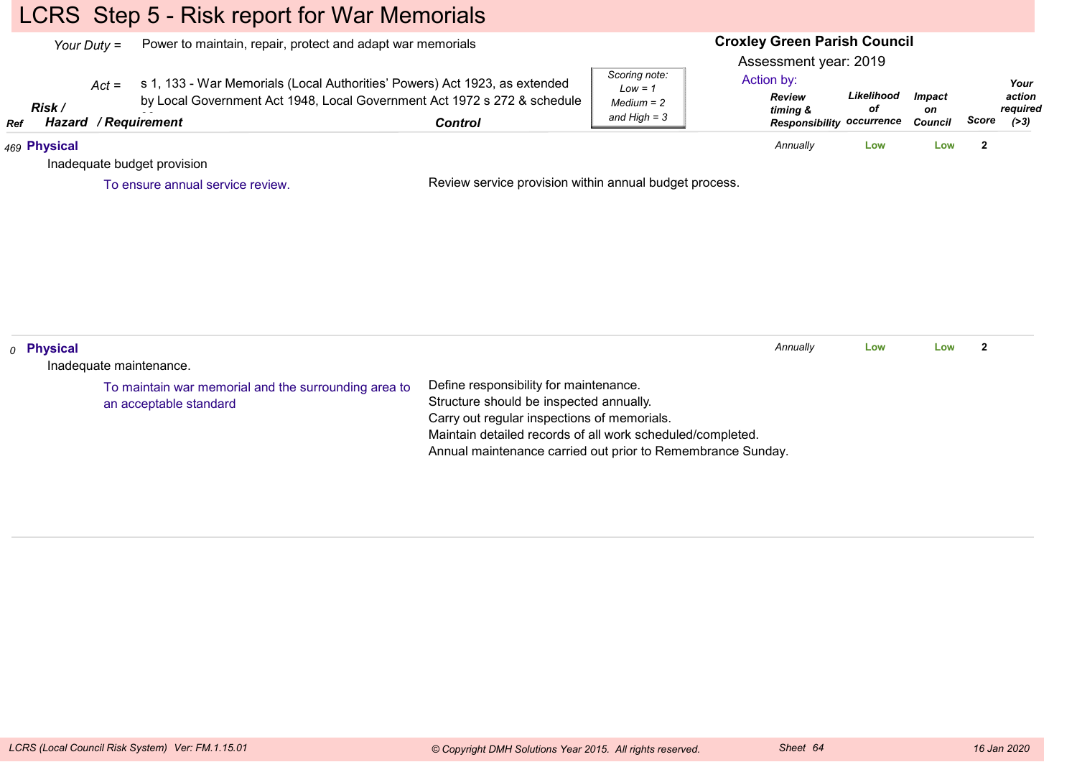# LCRS Step 5 - Risk report for War Memorials

| Your Duty $=$ |                       |         | Power to maintain, repair, protect and adapt war memorials                                                                                                              |                                                                                                                                                                                                |                                                              | <b>Croxley Green Parish Council</b><br>Assessment year: 2019                |                  |                                       |                         |                                            |
|---------------|-----------------------|---------|-------------------------------------------------------------------------------------------------------------------------------------------------------------------------|------------------------------------------------------------------------------------------------------------------------------------------------------------------------------------------------|--------------------------------------------------------------|-----------------------------------------------------------------------------|------------------|---------------------------------------|-------------------------|--------------------------------------------|
| Ref           | Risk /<br>Hazard      | $Act =$ | s 1, 133 - War Memorials (Local Authorities' Powers) Act 1923, as extended<br>by Local Government Act 1948, Local Government Act 1972 s 272 & schedule<br>/ Requirement | <b>Control</b>                                                                                                                                                                                 | Scoring note:<br>$Low = 1$<br>$Median = 2$<br>and $High = 3$ | Action by:<br><b>Review</b><br>timing &<br><b>Responsibility occurrence</b> | Likelihood<br>οf | <b>Impact</b><br>on<br><b>Council</b> |                         | Your<br>action<br>required<br>Score $(>3)$ |
|               | 469 Physical          |         |                                                                                                                                                                         |                                                                                                                                                                                                |                                                              | Annually                                                                    | Low              | Low                                   | $\overline{2}$          |                                            |
|               |                       |         | Inadequate budget provision                                                                                                                                             |                                                                                                                                                                                                |                                                              |                                                                             |                  |                                       |                         |                                            |
|               |                       |         | To ensure annual service review.                                                                                                                                        | Review service provision within annual budget process.                                                                                                                                         |                                                              |                                                                             |                  |                                       |                         |                                            |
|               |                       |         |                                                                                                                                                                         |                                                                                                                                                                                                |                                                              |                                                                             |                  |                                       |                         |                                            |
|               | <sub>0</sub> Physical |         |                                                                                                                                                                         |                                                                                                                                                                                                |                                                              | Annually                                                                    | Low              | Low                                   | $\overline{\mathbf{2}}$ |                                            |
|               |                       |         | Inadequate maintenance.                                                                                                                                                 |                                                                                                                                                                                                |                                                              |                                                                             |                  |                                       |                         |                                            |
|               |                       |         | To maintain war memorial and the surrounding area to<br>an acceptable standard                                                                                          | Define responsibility for maintenance.<br>Structure should be inspected annually.<br>Carry out regular inspections of memorials.<br>Maintain detailed records of all work scheduled/completed. |                                                              |                                                                             |                  |                                       |                         |                                            |

Annual maintenance carried out prior to Remembrance Sunday.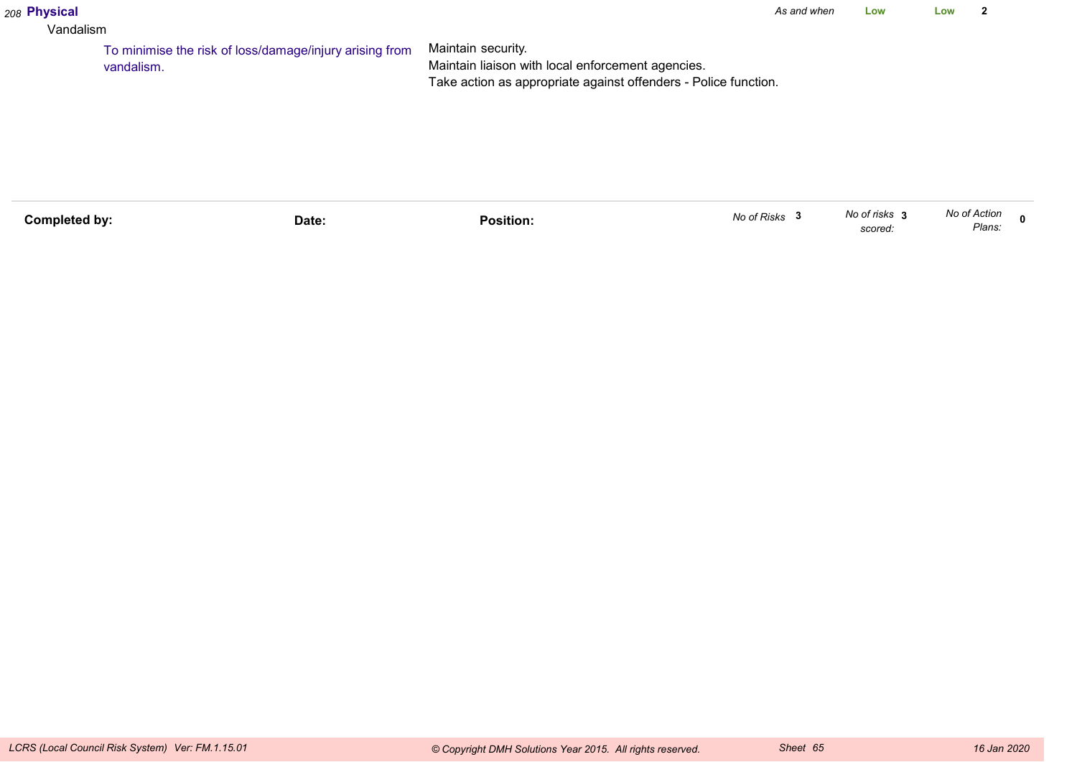#### *208* **Physical**

#### Vandalism

Maintain security. Maintain liaison with local enforcement agencies. Take action as appropriate against offenders - Police function.To minimise the risk of loss/damage/injury arising fromvandalism.

| Completed by: | Date: | Position. | No of Risks | No of risks 3<br>scored. | No of Action<br>Plans: |  |
|---------------|-------|-----------|-------------|--------------------------|------------------------|--|
|               |       |           |             |                          |                        |  |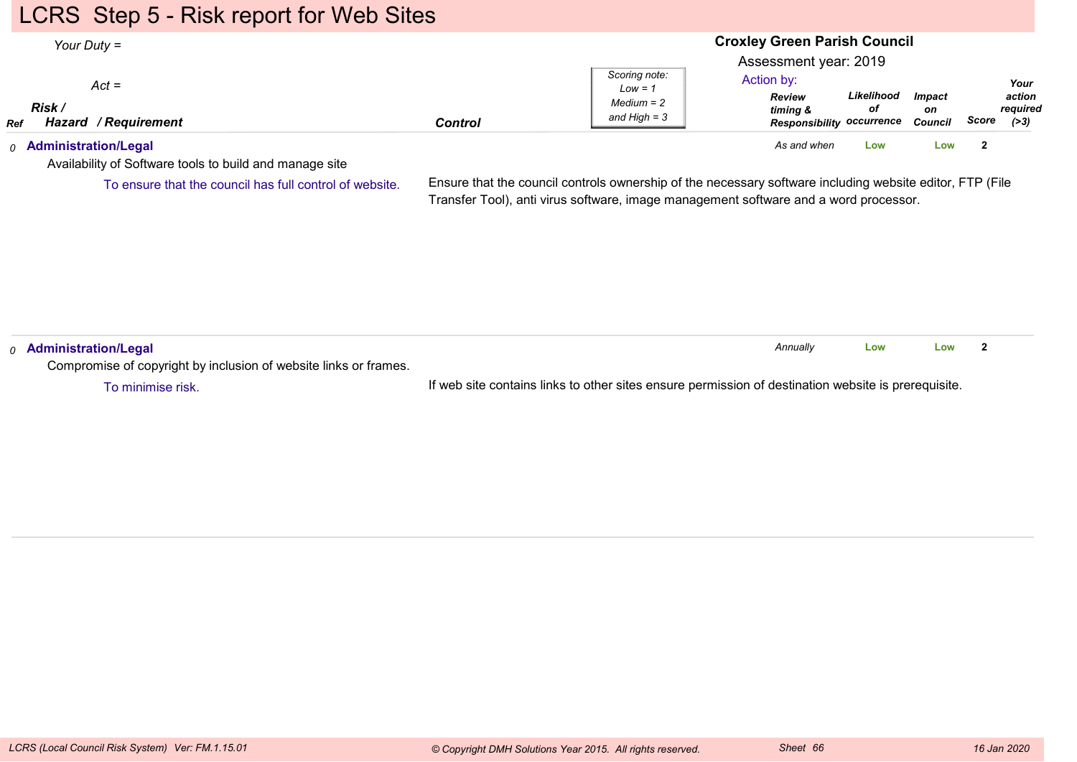### LCRS Step 5 - Risk report for Web Sites

#### **Croxley Green Parish Council**Assessment year: 2019*Your Duty =Act =RefRisk / Hazard Control / RequirementReview timing & Responsibility occurrence CouncilLikelihoodofImpacton ScoreScoring note:Low = 1 Medium = 2 and High = 3Your action required(>3)*Action by:*0* **Administration/Legal** *As and when* **LowLow <sup>2</sup>**

Availability of Software tools to build and manage site

To ensure that the council has full control of website.

Ensure that the council controls ownership of the necessary software including website editor, FTP (FileTransfer Tool), anti virus software, image management software and a word processor.

| Administration/Legal                                             |                                                                                                     | Annuallv | Low | Low |  |
|------------------------------------------------------------------|-----------------------------------------------------------------------------------------------------|----------|-----|-----|--|
| Compromise of copyright by inclusion of website links or frames. |                                                                                                     |          |     |     |  |
| To minimise risk.                                                | If web site contains links to other sites ensure permission of destination website is prerequisite. |          |     |     |  |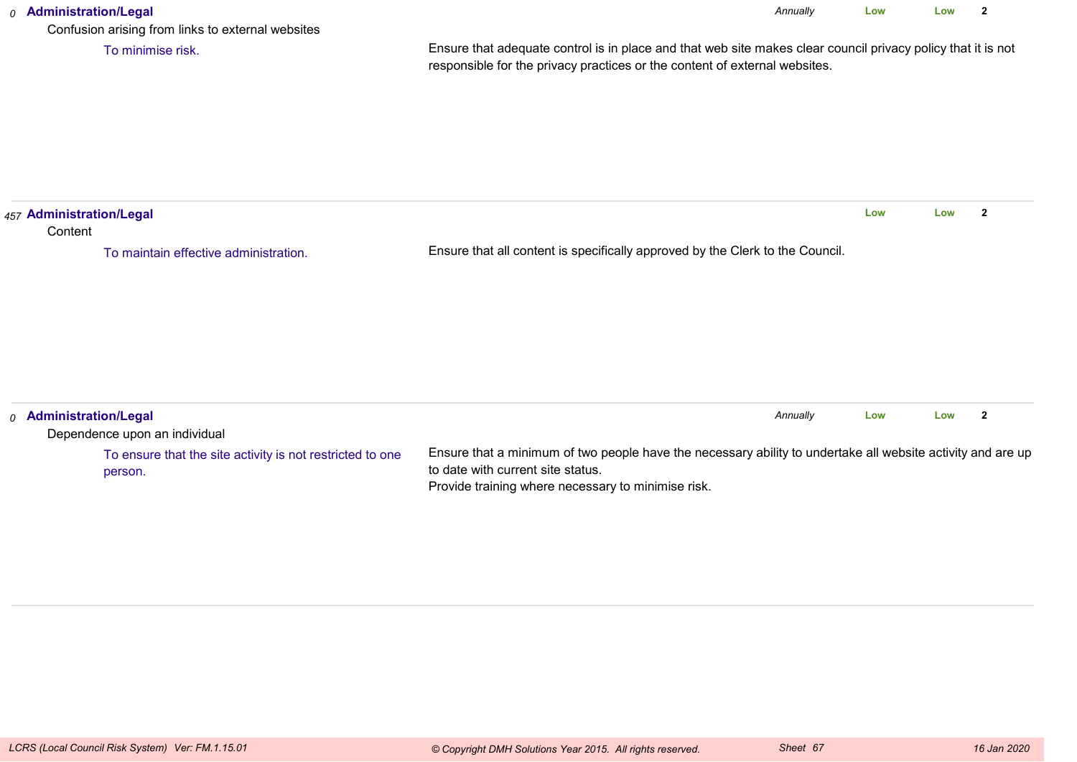### *0* **Administration/Legal** Confusion arising from links to external websitesEnsure that adequate control is in place and that web site makes clear council privacy policy that it is notresponsible for the privacy practices or the content of external websites.*Annually* **Low Low <sup>2</sup>** To minimise risk.*457* **Administration/Legal Content** Ensure that all content is specifically approved by the Clerk to the Council.**Low Low <sup>2</sup>** To maintain effective administration.*0* **Administration/Legal** Dependence upon an individual*Annually* **LowLow <sup>2</sup>**

| <b>Administration/Legal</b>                               |                                                                                                             | Annuallv | Low | Low |  |
|-----------------------------------------------------------|-------------------------------------------------------------------------------------------------------------|----------|-----|-----|--|
| Dependence upon an individual                             |                                                                                                             |          |     |     |  |
| To ensure that the site activity is not restricted to one | Ensure that a minimum of two people have the necessary ability to undertake all website activity and are up |          |     |     |  |
| person.                                                   | to date with current site status.                                                                           |          |     |     |  |
|                                                           | Provide training where necessary to minimise risk.                                                          |          |     |     |  |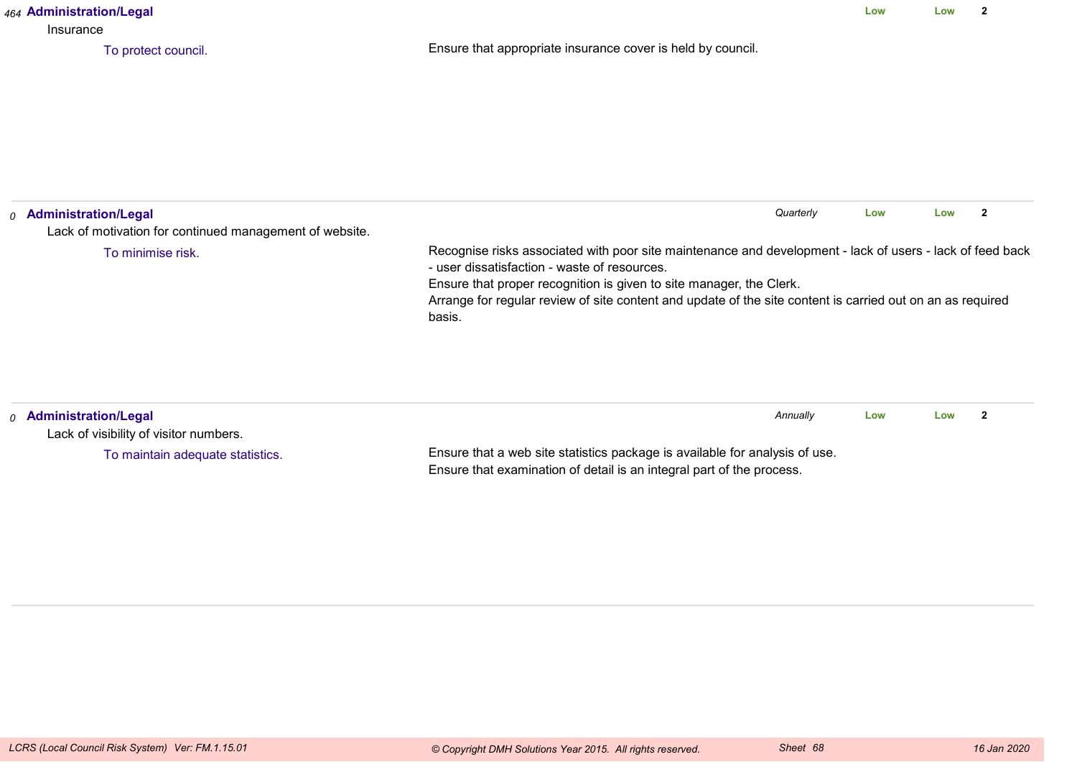| 464 Administration/Legal<br>Insurance                                                                             |                                                                                                                                                                                                                                               |     | Low | $\mathbf{2}$   |
|-------------------------------------------------------------------------------------------------------------------|-----------------------------------------------------------------------------------------------------------------------------------------------------------------------------------------------------------------------------------------------|-----|-----|----------------|
| To protect council.                                                                                               | Ensure that appropriate insurance cover is held by council.                                                                                                                                                                                   |     |     |                |
| <sub>0</sub> Administration/Legal<br>Lack of motivation for continued management of website.<br>To minimise risk. | Quarterly<br>Recognise risks associated with poor site maintenance and development - lack of users - lack of feed back<br>- user dissatisfaction - waste of resources.<br>Ensure that proper recognition is given to site manager, the Clerk. | Low | Low | $\overline{2}$ |
|                                                                                                                   | Arrange for regular review of site content and update of the site content is carried out on an as required<br>basis.                                                                                                                          |     |     |                |
| 0 Administration/Legal<br>Lack of visibility of visitor numbers.                                                  | Annually                                                                                                                                                                                                                                      | Low | Low | $\mathbf{2}$   |
| To maintain adequate statistics.                                                                                  | Ensure that a web site statistics package is available for analysis of use.<br>Ensure that examination of detail is an integral part of the process.                                                                                          |     |     |                |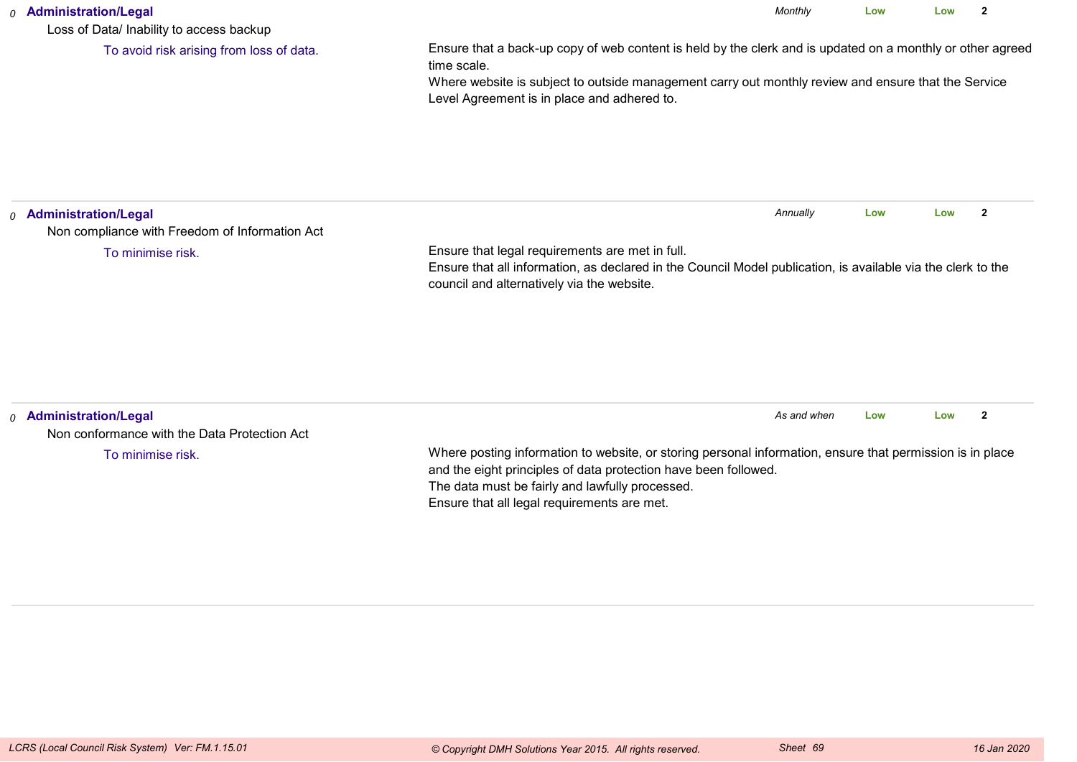### *0* **Administration/Legal**

Loss of Data/ Inability to access backup

To avoid risk arising from loss of data.

Ensure that a back-up copy of web content is held by the clerk and is updated on a monthly or other agreedtime scale.

*Monthly*

**Low**

**Low <sup>2</sup>**

 Where website is subject to outside management carry out monthly review and ensure that the ServiceLevel Agreement is in place and adhered to.

| <sub>0</sub> Administration/Legal<br>Non compliance with Freedom of Information Act |                                                                                                                                                                                                                                                                                | Annually    |     |     |              |
|-------------------------------------------------------------------------------------|--------------------------------------------------------------------------------------------------------------------------------------------------------------------------------------------------------------------------------------------------------------------------------|-------------|-----|-----|--------------|
| To minimise risk.                                                                   | Ensure that legal requirements are met in full.<br>Ensure that all information, as declared in the Council Model publication, is available via the clerk to the<br>council and alternatively via the website.                                                                  |             |     |     |              |
|                                                                                     |                                                                                                                                                                                                                                                                                |             |     |     |              |
| <sub>0</sub> Administration/Legal<br>Non conformance with the Data Protection Act   |                                                                                                                                                                                                                                                                                | As and when | Low | Low | $\mathbf{2}$ |
| To minimise risk.                                                                   | Where posting information to website, or storing personal information, ensure that permission is in place<br>and the eight principles of data protection have been followed.<br>The data must be fairly and lawfully processed.<br>Ensure that all legal requirements are met. |             |     |     |              |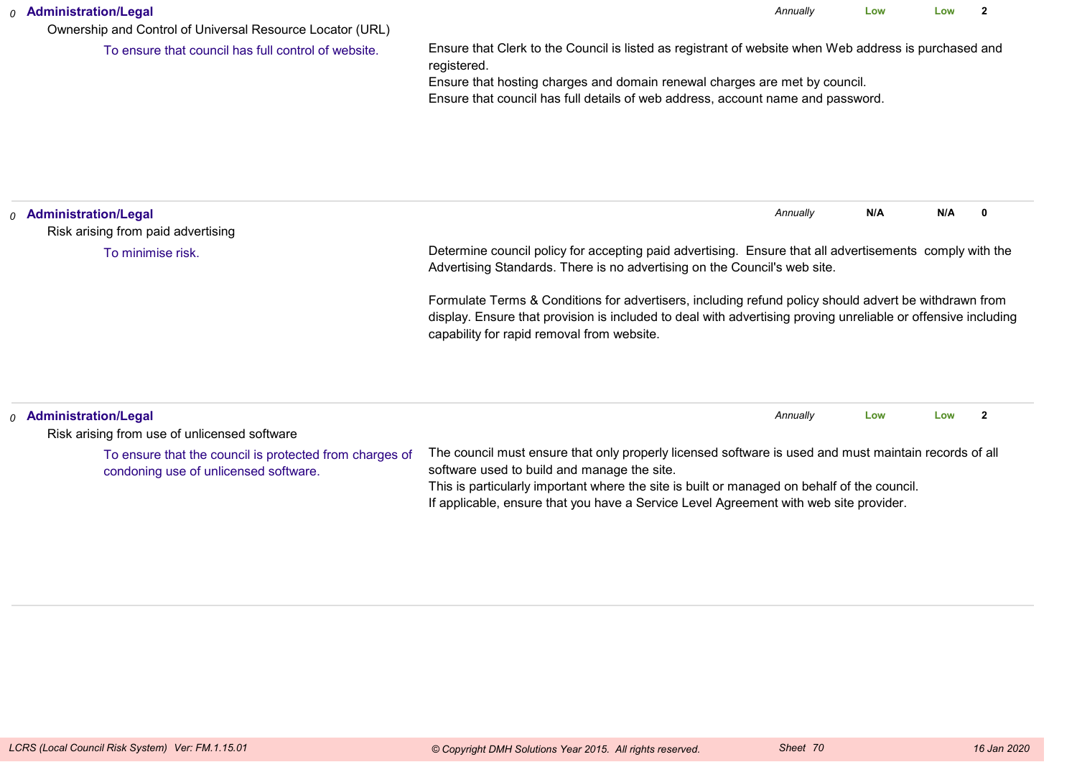| <sub>0</sub> Administration/Legal<br>Ownership and Control of Universal Resource Locator (URL) | Annually                                                                                                                                                                                                                                                                              |          |     |     |   |
|------------------------------------------------------------------------------------------------|---------------------------------------------------------------------------------------------------------------------------------------------------------------------------------------------------------------------------------------------------------------------------------------|----------|-----|-----|---|
| To ensure that council has full control of website.                                            | Ensure that Clerk to the Council is listed as registrant of website when Web address is purchased and<br>registered.<br>Ensure that hosting charges and domain renewal charges are met by council.<br>Ensure that council has full details of web address, account name and password. |          |     |     |   |
| <b>Administration/Legal</b><br>$\Omega$<br>Risk arising from paid advertising                  |                                                                                                                                                                                                                                                                                       | Annually | N/A | N/A | 0 |
| To minimise risk.                                                                              | Determine council policy for accepting paid advertising. Ensure that all advertisements comply with the<br>Advertising Standards. There is no advertising on the Council's web site.                                                                                                  |          |     |     |   |
|                                                                                                | Formulate Terms & Conditions for advertisers, including refund policy should advert be withdrawn from<br>display. Ensure that provision is included to deal with advertising proving unreliable or offensive including<br>capability for rapid removal from website.                  |          |     |     |   |
| <b>Administration/Legal</b><br>O                                                               |                                                                                                                                                                                                                                                                                       | Annually | Low | Low |   |

| $_0$ Administration/Legal                                                                        |                                                                                                                                                                                                                                                                                                                                              | Annually | Low | Low |  |
|--------------------------------------------------------------------------------------------------|----------------------------------------------------------------------------------------------------------------------------------------------------------------------------------------------------------------------------------------------------------------------------------------------------------------------------------------------|----------|-----|-----|--|
| Risk arising from use of unlicensed software                                                     |                                                                                                                                                                                                                                                                                                                                              |          |     |     |  |
| To ensure that the council is protected from charges of<br>condoning use of unlicensed software. | The council must ensure that only properly licensed software is used and must maintain records of all<br>software used to build and manage the site.<br>This is particularly important where the site is built or managed on behalf of the council.<br>If applicable, ensure that you have a Service Level Agreement with web site provider. |          |     |     |  |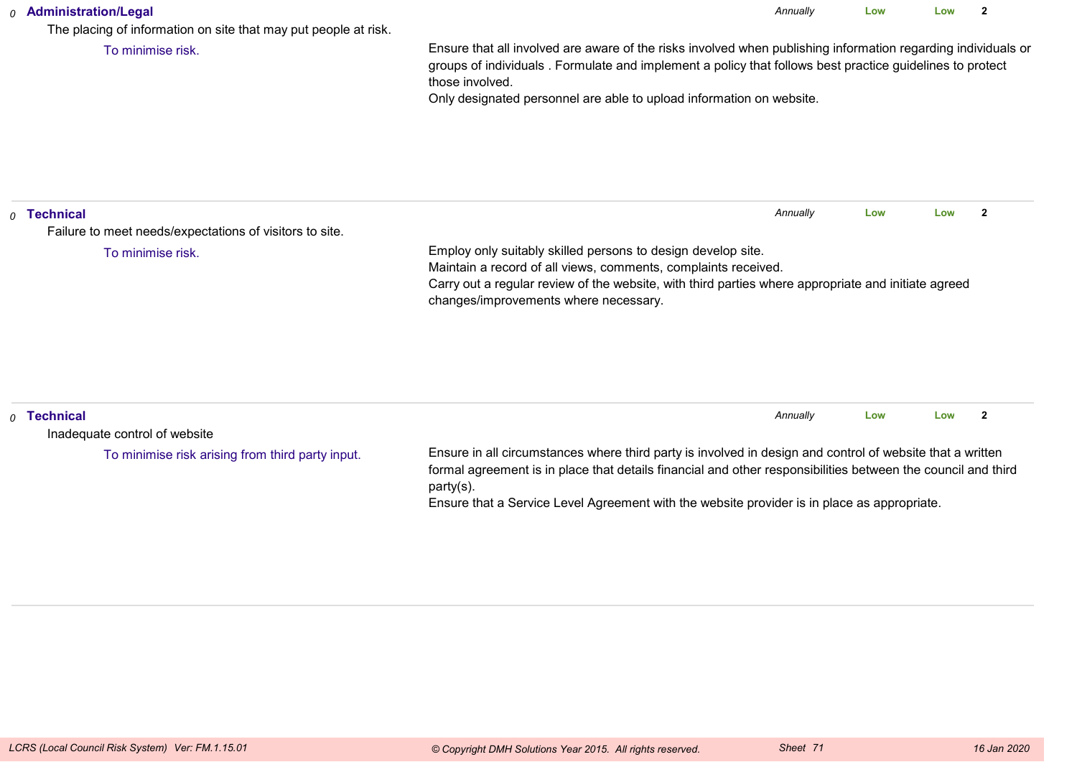### *0* **Administration/Legal**

The placing of information on site that may put people at risk.

To minimise risk.

Ensure that all involved are aware of the risks involved when publishing information regarding individuals orgroups of individuals . Formulate and implement a policy that follows best practice guidelines to protectthose involved.

*Annually*

**Low**

**Low <sup>2</sup>**

Only designated personnel are able to upload information on website.

| $\rho$ Technical | Failure to meet needs/expectations of visitors to site. |                                                                                                                                                                                                                                                                                                                                       | Annually | Low | Low |                |
|------------------|---------------------------------------------------------|---------------------------------------------------------------------------------------------------------------------------------------------------------------------------------------------------------------------------------------------------------------------------------------------------------------------------------------|----------|-----|-----|----------------|
|                  | To minimise risk.                                       | Employ only suitably skilled persons to design develop site.<br>Maintain a record of all views, comments, complaints received.<br>Carry out a regular review of the website, with third parties where appropriate and initiate agreed<br>changes/improvements where necessary.                                                        |          |     |     |                |
| $\rho$ Technical | Inadequate control of website                           |                                                                                                                                                                                                                                                                                                                                       | Annually | Low | Low | $\overline{2}$ |
|                  | To minimise risk arising from third party input.        | Ensure in all circumstances where third party is involved in design and control of website that a written<br>formal agreement is in place that details financial and other responsibilities between the council and third<br>party(s).<br>Ensure that a Service Level Agreement with the website provider is in place as appropriate. |          |     |     |                |